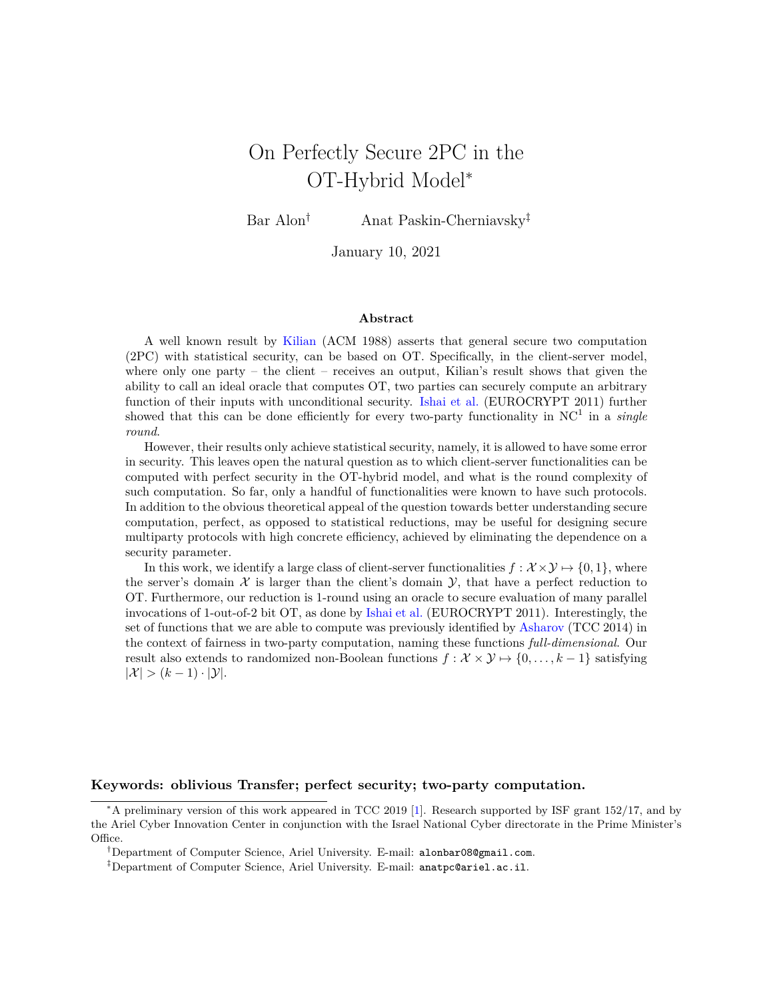# On Perfectly Secure 2PC in the OT-Hybrid Model<sup>∗</sup>

Bar Alon† Anat Paskin-Cherniavsky‡

January 10, 2021

#### **Abstract**

A well known result by [Kilian](#page-32-0) (ACM 1988) asserts that general secure two computation (2PC) with statistical security, can be based on OT. Specifically, in the client-server model, where only one party – the client – receives an output, Kilian's result shows that given the ability to call an ideal oracle that computes OT, two parties can securely compute an arbitrary function of their inputs with unconditional security. [Ishai et al.](#page-32-1) (EUROCRYPT 2011) further showed that this can be done efficiently for every two-party functionality in NC<sup>1</sup> in a *single round*.

However, their results only achieve statistical security, namely, it is allowed to have some error in security. This leaves open the natural question as to which client-server functionalities can be computed with perfect security in the OT-hybrid model, and what is the round complexity of such computation. So far, only a handful of functionalities were known to have such protocols. In addition to the obvious theoretical appeal of the question towards better understanding secure computation, perfect, as opposed to statistical reductions, may be useful for designing secure multiparty protocols with high concrete efficiency, achieved by eliminating the dependence on a security parameter.

In this work, we identify a large class of client-server functionalities  $f : \mathcal{X} \times \mathcal{Y} \mapsto \{0, 1\}$ , where the server's domain  $\mathcal X$  is larger than the client's domain  $\mathcal Y$ , that have a perfect reduction to OT. Furthermore, our reduction is 1-round using an oracle to secure evaluation of many parallel invocations of 1-out-of-2 bit OT, as done by [Ishai et al.](#page-32-1) (EUROCRYPT 2011). Interestingly, the set of functions that we are able to compute was previously identified by [Asharov](#page-31-0) (TCC 2014) in the context of fairness in two-party computation, naming these functions *full-dimensional*. Our result also extends to randomized non-Boolean functions  $f : \mathcal{X} \times \mathcal{Y} \mapsto \{0, \ldots, k-1\}$  satisfying  $|\mathcal{X}| > (k-1) \cdot |\mathcal{Y}|.$ 

#### **Keywords: oblivious Transfer; perfect security; two-party computation.**

<sup>∗</sup>A preliminary version of this work appeared in TCC 2019 [\[1\]](#page-31-1). Research supported by ISF grant 152/17, and by the Ariel Cyber Innovation Center in conjunction with the Israel National Cyber directorate in the Prime Minister's Office.

<sup>†</sup>Department of Computer Science, Ariel University. E-mail: alonbar08@gmail.com.

<sup>‡</sup>Department of Computer Science, Ariel University. E-mail: anatpc@ariel.ac.il.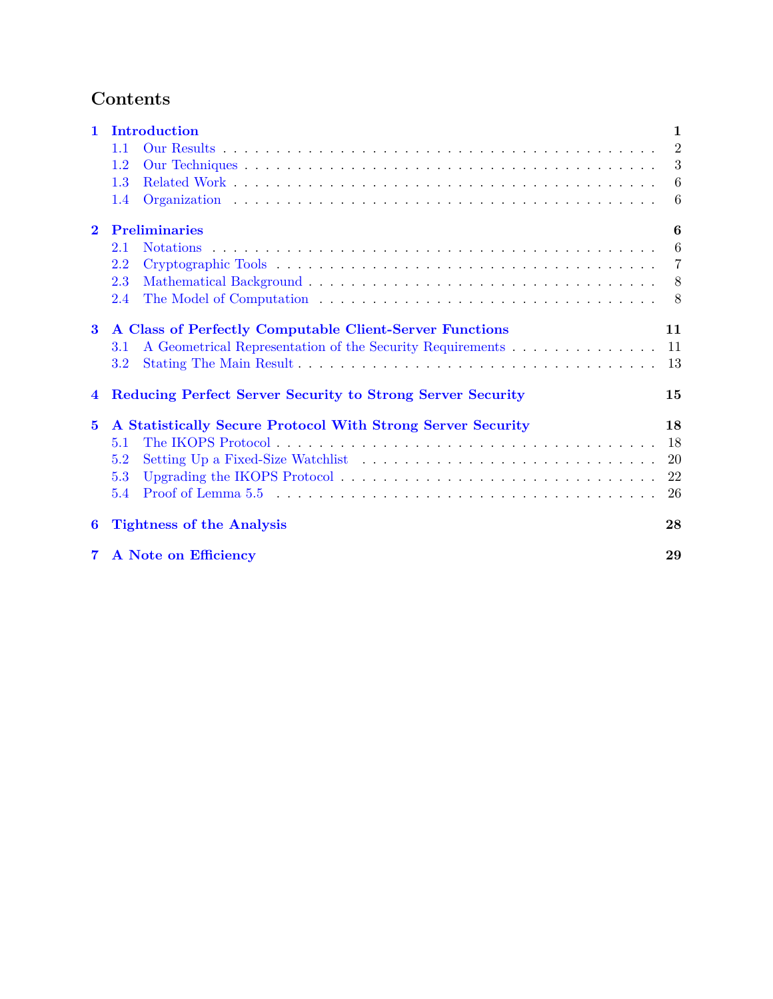# **Contents**

| $\mathbf{1}$   | Introduction                                                | 1              |
|----------------|-------------------------------------------------------------|----------------|
|                | 1.1                                                         | $\overline{2}$ |
|                | 1.2                                                         | 3              |
|                | 1.3                                                         | 6              |
|                | 1.4                                                         | 6              |
| $\mathbf 2$    | <b>Preliminaries</b>                                        | 6              |
|                | 2.1                                                         | 6              |
|                | 2.2                                                         | 7              |
|                | 2.3                                                         | 8              |
|                | 2.4                                                         | 8              |
| $\bf{3}$       | A Class of Perfectly Computable Client-Server Functions     | 11             |
|                | 3.1                                                         | <sup>11</sup>  |
|                | 3.2                                                         | -13            |
| $\overline{4}$ | Reducing Perfect Server Security to Strong Server Security  | 15             |
| $5^{\circ}$    | A Statistically Secure Protocol With Strong Server Security | 18             |
|                | 5.1                                                         | 18             |
|                | 5.2                                                         | <b>20</b>      |
|                | 5.3                                                         | 22             |
|                | 5.4                                                         | 26             |
| 6              | <b>Tightness of the Analysis</b>                            | 28             |
| $\mathbf{7}$   | A Note on Efficiency                                        | 29             |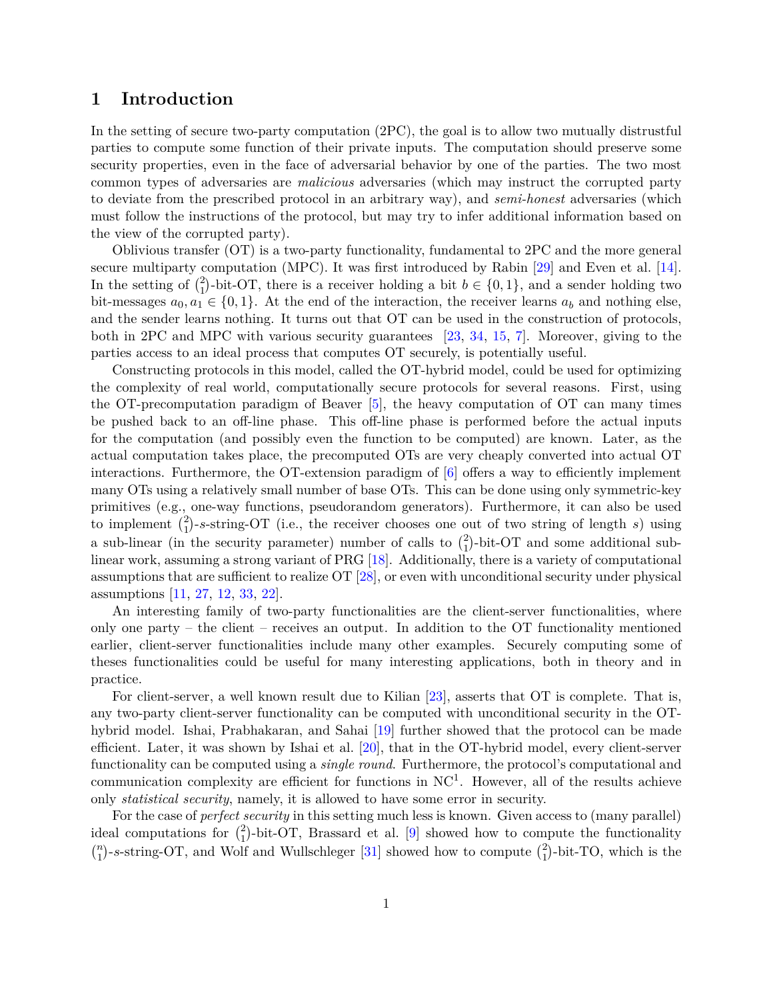## <span id="page-2-0"></span>**1 Introduction**

In the setting of secure two-party computation (2PC), the goal is to allow two mutually distrustful parties to compute some function of their private inputs. The computation should preserve some security properties, even in the face of adversarial behavior by one of the parties. The two most common types of adversaries are *malicious* adversaries (which may instruct the corrupted party to deviate from the prescribed protocol in an arbitrary way), and *semi-honest* adversaries (which must follow the instructions of the protocol, but may try to infer additional information based on the view of the corrupted party).

Oblivious transfer (OT) is a two-party functionality, fundamental to 2PC and the more general secure multiparty computation (MPC). It was first introduced by Rabin [\[29\]](#page-33-0) and Even et al. [\[14\]](#page-32-2). In the setting of  $\binom{2}{1}$ <sup>2</sup><sub>1</sub>)-bit-OT, there is a receiver holding a bit  $b \in \{0, 1\}$ , and a sender holding two bit-messages  $a_0, a_1 \in \{0, 1\}$ . At the end of the interaction, the receiver learns  $a_b$  and nothing else, and the sender learns nothing. It turns out that OT can be used in the construction of protocols, both in 2PC and MPC with various security guarantees  $[23, 34, 15, 7]$  $[23, 34, 15, 7]$  $[23, 34, 15, 7]$  $[23, 34, 15, 7]$  $[23, 34, 15, 7]$  $[23, 34, 15, 7]$  $[23, 34, 15, 7]$ . Moreover, giving to the parties access to an ideal process that computes OT securely, is potentially useful.

Constructing protocols in this model, called the OT-hybrid model, could be used for optimizing the complexity of real world, computationally secure protocols for several reasons. First, using the OT-precomputation paradigm of Beaver [\[5\]](#page-31-3), the heavy computation of OT can many times be pushed back to an off-line phase. This off-line phase is performed before the actual inputs for the computation (and possibly even the function to be computed) are known. Later, as the actual computation takes place, the precomputed OTs are very cheaply converted into actual OT interactions. Furthermore, the OT-extension paradigm of [\[6\]](#page-31-4) offers a way to efficiently implement many OTs using a relatively small number of base OTs. This can be done using only symmetric-key primitives (e.g., one-way functions, pseudorandom generators). Furthermore, it can also be used to implement  $\binom{2}{1}$ 1 -*s*-string-OT (i.e., the receiver chooses one out of two string of length *s*) using a sub-linear (in the security parameter) number of calls to  $\binom{2}{1}$  $_{1}^{2}$ )-bit-OT and some additional sublinear work, assuming a strong variant of PRG [\[18\]](#page-32-4). Additionally, there is a variety of computational assumptions that are sufficient to realize OT [\[28\]](#page-33-2), or even with unconditional security under physical assumptions [\[11,](#page-32-5) [27,](#page-33-3) [12,](#page-32-6) [33,](#page-33-4) [22\]](#page-32-7).

An interesting family of two-party functionalities are the client-server functionalities, where only one party – the client – receives an output. In addition to the  $\overline{OT}$  functionality mentioned earlier, client-server functionalities include many other examples. Securely computing some of theses functionalities could be useful for many interesting applications, both in theory and in practice.

For client-server, a well known result due to Kilian [\[23\]](#page-32-0), asserts that OT is complete. That is, any two-party client-server functionality can be computed with unconditional security in the OThybrid model. Ishai, Prabhakaran, and Sahai [\[19\]](#page-32-8) further showed that the protocol can be made efficient. Later, it was shown by Ishai et al. [\[20\]](#page-32-1), that in the OT-hybrid model, every client-server functionality can be computed using a *single round*. Furthermore, the protocol's computational and communication complexity are efficient for functions in  $NC<sup>1</sup>$ . However, all of the results achieve only *statistical security*, namely, it is allowed to have some error in security.

For the case of *perfect security* in this setting much less is known. Given access to (many parallel) ideal computations for  $\binom{2}{1}$  $_{1}^{2}$ )-bit-OT, Brassard et al. [\[9\]](#page-31-5) showed how to compute the functionality  $\binom{n}{1}$ -s-string-OT, and Wolf and Wullschleger [\[31\]](#page-33-5) showed how to compute  $\binom{2}{1}$  $_{1}^{2}$ )-bit-TO, which is the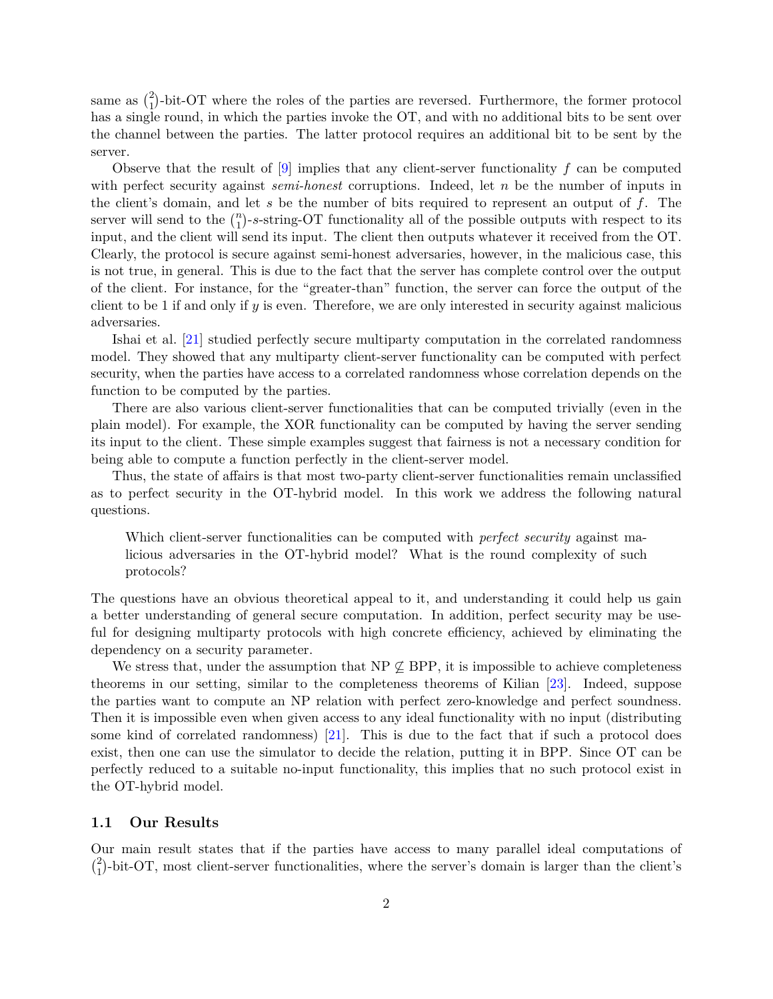same as  $\binom{2}{1}$  $_{1}^{2}$ )-bit-OT where the roles of the parties are reversed. Furthermore, the former protocol has a single round, in which the parties invoke the OT, and with no additional bits to be sent over the channel between the parties. The latter protocol requires an additional bit to be sent by the server.

Observe that the result of [\[9\]](#page-31-5) implies that any client-server functionality *f* can be computed with perfect security against *semi-honest* corruptions. Indeed, let *n* be the number of inputs in the client's domain, and let *s* be the number of bits required to represent an output of *f*. The server will send to the  $\binom{n}{1}$ -s-string-OT functionality all of the possible outputs with respect to its input, and the client will send its input. The client then outputs whatever it received from the OT. Clearly, the protocol is secure against semi-honest adversaries, however, in the malicious case, this is not true, in general. This is due to the fact that the server has complete control over the output of the client. For instance, for the "greater-than" function, the server can force the output of the client to be 1 if and only if *y* is even. Therefore, we are only interested in security against malicious adversaries.

Ishai et al. [\[21\]](#page-32-9) studied perfectly secure multiparty computation in the correlated randomness model. They showed that any multiparty client-server functionality can be computed with perfect security, when the parties have access to a correlated randomness whose correlation depends on the function to be computed by the parties.

There are also various client-server functionalities that can be computed trivially (even in the plain model). For example, the XOR functionality can be computed by having the server sending its input to the client. These simple examples suggest that fairness is not a necessary condition for being able to compute a function perfectly in the client-server model.

Thus, the state of affairs is that most two-party client-server functionalities remain unclassified as to perfect security in the OT-hybrid model. In this work we address the following natural questions.

Which client-server functionalities can be computed with *perfect security* against malicious adversaries in the OT-hybrid model? What is the round complexity of such protocols?

The questions have an obvious theoretical appeal to it, and understanding it could help us gain a better understanding of general secure computation. In addition, perfect security may be useful for designing multiparty protocols with high concrete efficiency, achieved by eliminating the dependency on a security parameter.

We stress that, under the assumption that  $NP \not\subseteq BPP$ , it is impossible to achieve completeness theorems in our setting, similar to the completeness theorems of Kilian [\[23\]](#page-32-0). Indeed, suppose the parties want to compute an NP relation with perfect zero-knowledge and perfect soundness. Then it is impossible even when given access to any ideal functionality with no input (distributing some kind of correlated randomness) [\[21\]](#page-32-9). This is due to the fact that if such a protocol does exist, then one can use the simulator to decide the relation, putting it in BPP. Since OT can be perfectly reduced to a suitable no-input functionality, this implies that no such protocol exist in the OT-hybrid model.

## <span id="page-3-0"></span>**1.1 Our Results**

Our main result states that if the parties have access to many parallel ideal computations of  $\binom{2}{1}$ <sup>2</sup>/<sub>1</sub>)-bit-OT, most client-server functionalities, where the server's domain is larger than the client's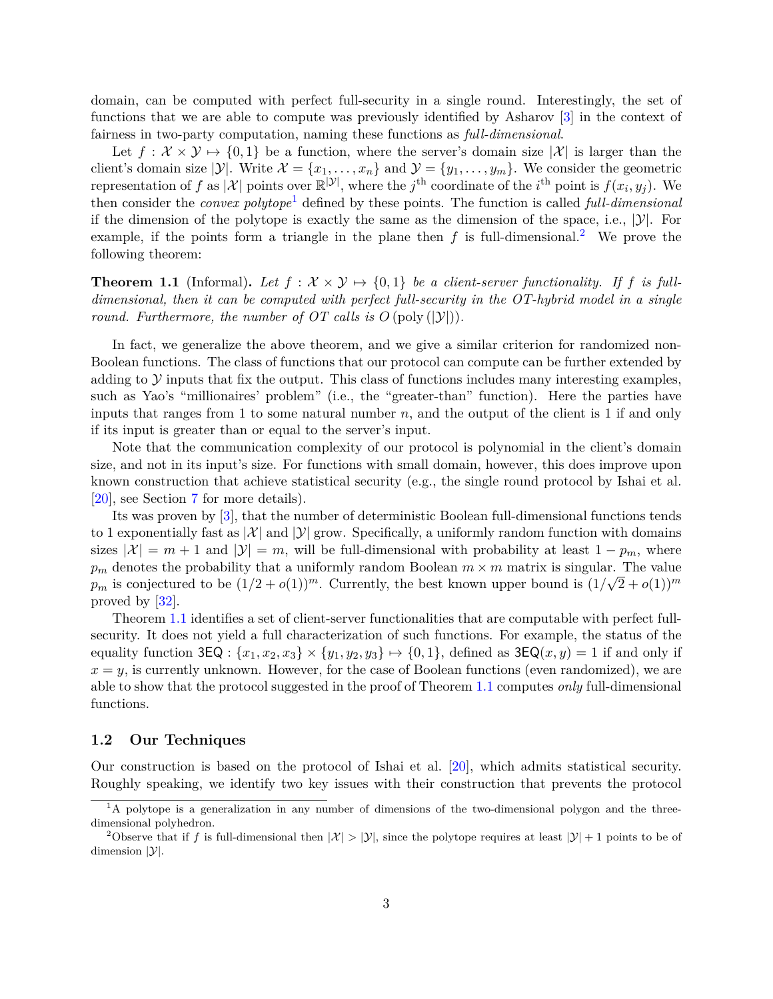domain, can be computed with perfect full-security in a single round. Interestingly, the set of functions that we are able to compute was previously identified by Asharov [\[3\]](#page-31-0) in the context of fairness in two-party computation, naming these functions as *full-dimensional*.

Let  $f: \mathcal{X} \times \mathcal{Y} \mapsto \{0,1\}$  be a function, where the server's domain size  $|\mathcal{X}|$  is larger than the client's domain size  $|\mathcal{Y}|$ . Write  $\mathcal{X} = \{x_1, \ldots, x_n\}$  and  $\mathcal{Y} = \{y_1, \ldots, y_m\}$ . We consider the geometric representation of f as  $|\mathcal{X}|$  points over  $\mathbb{R}^{|\mathcal{Y}|}$ , where the j<sup>th</sup> coordinate of the *i*<sup>th</sup> point is  $f(x_i, y_j)$ . We then consider the *convex polytope*[1](#page-4-1) defined by these points. The function is called *full-dimensional* if the dimension of the polytope is exactly the same as the dimension of the space, i.e.,  $|\mathcal{Y}|$ . For example, if the points form a triangle in the plane then  $f$  is full-dimensional.<sup>[2](#page-4-2)</sup> We prove the following theorem:

<span id="page-4-3"></span>**Theorem 1.1** (Informal). Let  $f: \mathcal{X} \times \mathcal{Y} \mapsto \{0,1\}$  be a client-server functionality. If f is full*dimensional, then it can be computed with perfect full-security in the OT-hybrid model in a single round. Furthermore, the number of OT calls is*  $O(\text{poly}(|\mathcal{Y}|))$ *.* 

In fact, we generalize the above theorem, and we give a similar criterion for randomized non-Boolean functions. The class of functions that our protocol can compute can be further extended by adding to  $\mathcal Y$  inputs that fix the output. This class of functions includes many interesting examples, such as Yao's "millionaires' problem" (i.e., the "greater-than" function). Here the parties have inputs that ranges from 1 to some natural number *n*, and the output of the client is 1 if and only if its input is greater than or equal to the server's input.

Note that the communication complexity of our protocol is polynomial in the client's domain size, and not in its input's size. For functions with small domain, however, this does improve upon known construction that achieve statistical security (e.g., the single round protocol by Ishai et al. [\[20\]](#page-32-1), see Section [7](#page-30-0) for more details).

Its was proven by [\[3\]](#page-31-0), that the number of deterministic Boolean full-dimensional functions tends to 1 exponentially fast as  $|\mathcal{X}|$  and  $|\mathcal{Y}|$  grow. Specifically, a uniformly random function with domains sizes  $|\mathcal{X}| = m + 1$  and  $|\mathcal{Y}| = m$ , will be full-dimensional with probability at least  $1 - p_m$ , where  $p_m$  denotes the probability that a uniformly random Boolean  $m \times m$  matrix is singular. The value  $p_m$  is conjectured to be  $(1/2 + o(1))^m$ . Currently, the best known upper bound is  $(1/\sqrt{2} + o(1))^m$ proved by [\[32\]](#page-33-6).

Theorem [1.1](#page-4-3) identifies a set of client-server functionalities that are computable with perfect fullsecurity. It does not yield a full characterization of such functions. For example, the status of the equality function  $3\mathsf{EQ}: \{x_1, x_2, x_3\} \times \{y_1, y_2, y_3\} \mapsto \{0, 1\}$ , defined as  $3\mathsf{EQ}(x, y) = 1$  if and only if  $x = y$ , is currently unknown. However, for the case of Boolean functions (even randomized), we are able to show that the protocol suggested in the proof of Theorem [1.1](#page-4-3) computes *only* full-dimensional functions.

## <span id="page-4-0"></span>**1.2 Our Techniques**

Our construction is based on the protocol of Ishai et al. [\[20\]](#page-32-1), which admits statistical security. Roughly speaking, we identify two key issues with their construction that prevents the protocol

<span id="page-4-1"></span><sup>&</sup>lt;sup>1</sup>A polytope is a generalization in any number of dimensions of the two-dimensional polygon and the threedimensional polyhedron.

<span id="page-4-2"></span><sup>&</sup>lt;sup>2</sup>Observe that if *f* is full-dimensional then  $|\mathcal{X}| > |\mathcal{Y}|$ , since the polytope requires at least  $|\mathcal{Y}| + 1$  points to be of dimension  $|\mathcal{Y}|$ .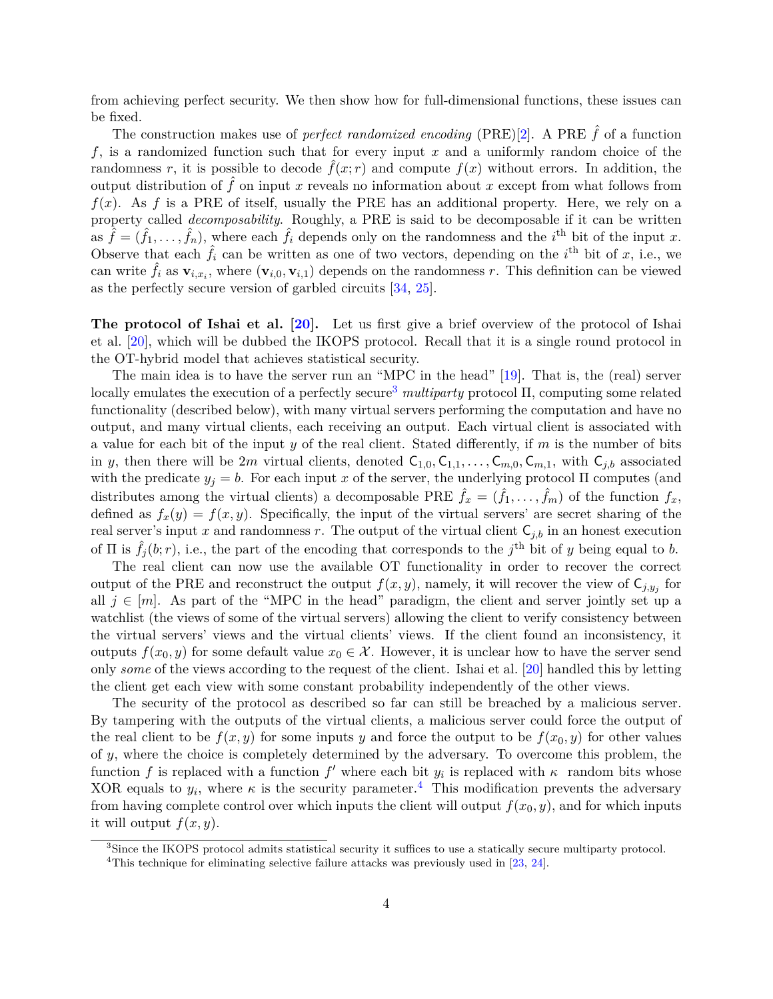from achieving perfect security. We then show how for full-dimensional functions, these issues can be fixed.

The construction makes use of *perfect randomized encoding* (PRE)[\[2\]](#page-31-6). A PRE  $\hat{f}$  of a function *f*, is a randomized function such that for every input *x* and a uniformly random choice of the randomness *r*, it is possible to decode  $\hat{f}(x; r)$  and compute  $f(x)$  without errors. In addition, the output distribution of  $\hat{f}$  on input x reveals no information about x except from what follows from  $f(x)$ . As f is a PRE of itself, usually the PRE has an additional property. Here, we rely on a property called *decomposability*. Roughly, a PRE is said to be decomposable if it can be written as  $\tilde{f} = (\hat{f}_1, \ldots, \hat{f}_n)$ , where each  $\hat{f}_i$  depends only on the randomness and the *i*<sup>th</sup> bit of the input *x*. Observe that each  $\hat{f}_i$  can be written as one of two vectors, depending on the *i*<sup>th</sup> bit of *x*, i.e., we can write  $\hat{f}_i$  as  $\mathbf{v}_{i,x_i}$ , where  $(\mathbf{v}_{i,0}, \mathbf{v}_{i,1})$  depends on the randomness r. This definition can be viewed as the perfectly secure version of garbled circuits [\[34,](#page-33-1) [25\]](#page-33-7).

**The protocol of Ishai et al. [\[20\]](#page-32-1).** Let us first give a brief overview of the protocol of Ishai et al. [\[20\]](#page-32-1), which will be dubbed the IKOPS protocol. Recall that it is a single round protocol in the OT-hybrid model that achieves statistical security.

The main idea is to have the server run an "MPC in the head" [\[19\]](#page-32-8). That is, the (real) server locally emulates the execution of a perfectly secure<sup>[3](#page-5-0)</sup> *multiparty* protocol Π, computing some related functionality (described below), with many virtual servers performing the computation and have no output, and many virtual clients, each receiving an output. Each virtual client is associated with a value for each bit of the input *y* of the real client. Stated differently, if *m* is the number of bits in *y*, then there will be 2*m* virtual clients, denoted  $C_{1,0}, C_{1,1}, \ldots, C_{m,0}, C_{m,1}$ , with  $C_{j,b}$  associated with the predicate  $y_j = b$ . For each input *x* of the server, the underlying protocol  $\Pi$  computes (and distributes among the virtual clients) a decomposable PRE  $\hat{f}_x = (\hat{f}_1, \dots, \hat{f}_m)$  of the function  $f_x$ , defined as  $f_x(y) = f(x, y)$ . Specifically, the input of the virtual servers' are secret sharing of the real server's input *x* and randomness *r*. The output of the virtual client  $C_{j,b}$  in an honest execution of  $\Pi$  is  $\hat{f}_j(b; r)$ , i.e., the part of the encoding that corresponds to the *j*<sup>th</sup> bit of *y* being equal to *b*.

The real client can now use the available OT functionality in order to recover the correct output of the PRE and reconstruct the output  $f(x, y)$ , namely, it will recover the view of  $C_{j, y_j}$  for all  $j \in [m]$ . As part of the "MPC in the head" paradigm, the client and server jointly set up a watchlist (the views of some of the virtual servers) allowing the client to verify consistency between the virtual servers' views and the virtual clients' views. If the client found an inconsistency, it outputs  $f(x_0, y)$  for some default value  $x_0 \in \mathcal{X}$ . However, it is unclear how to have the server send only *some* of the views according to the request of the client. Ishai et al. [\[20\]](#page-32-1) handled this by letting the client get each view with some constant probability independently of the other views.

The security of the protocol as described so far can still be breached by a malicious server. By tampering with the outputs of the virtual clients, a malicious server could force the output of the real client to be  $f(x, y)$  for some inputs y and force the output to be  $f(x_0, y)$  for other values of *y*, where the choice is completely determined by the adversary. To overcome this problem, the function *f* is replaced with a function  $f'$  where each bit  $y_i$  is replaced with  $\kappa$  random bits whose XOR equals to  $y_i$ , where  $\kappa$  is the security parameter.<sup>[4](#page-5-1)</sup> This modification prevents the adversary from having complete control over which inputs the client will output  $f(x_0, y)$ , and for which inputs it will output *f*(*x, y*).

<span id="page-5-0"></span><sup>&</sup>lt;sup>3</sup>Since the IKOPS protocol admits statistical security it suffices to use a statically secure multiparty protocol.

<span id="page-5-1"></span><sup>&</sup>lt;sup>4</sup>This technique for eliminating selective failure attacks was previously used in [\[23,](#page-32-0) [24\]](#page-32-10).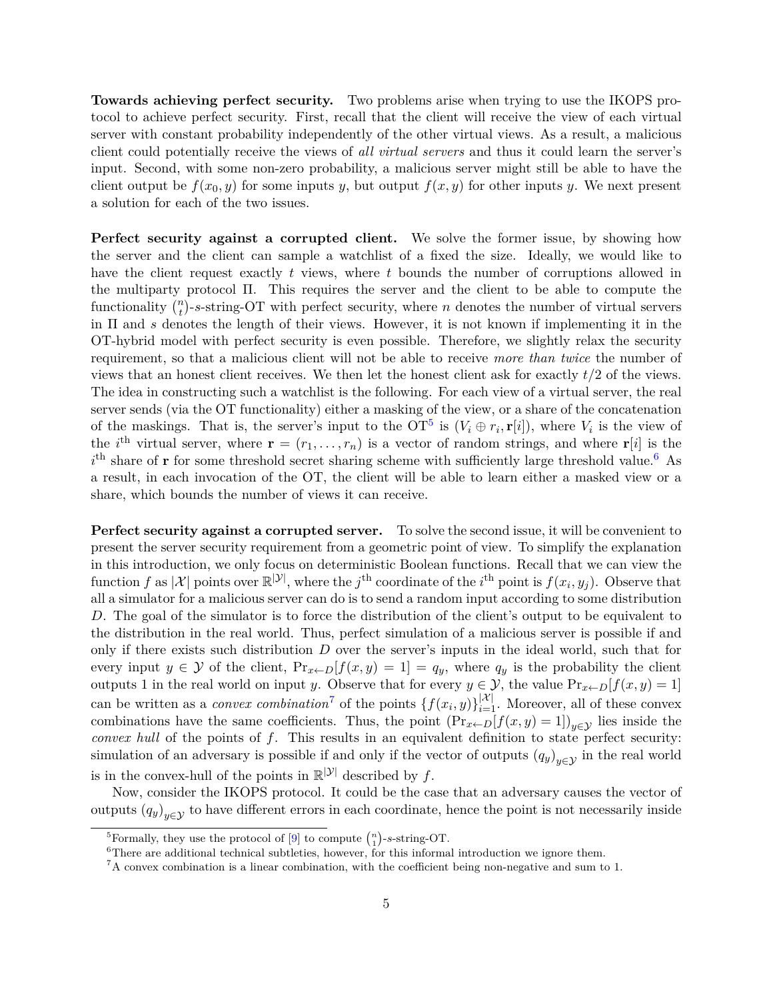**Towards achieving perfect security.** Two problems arise when trying to use the IKOPS protocol to achieve perfect security. First, recall that the client will receive the view of each virtual server with constant probability independently of the other virtual views. As a result, a malicious client could potentially receive the views of *all virtual servers* and thus it could learn the server's input. Second, with some non-zero probability, a malicious server might still be able to have the client output be  $f(x_0, y)$  for some inputs *y*, but output  $f(x, y)$  for other inputs *y*. We next present a solution for each of the two issues.

**Perfect security against a corrupted client.** We solve the former issue, by showing how the server and the client can sample a watchlist of a fixed the size. Ideally, we would like to have the client request exactly *t* views, where *t* bounds the number of corruptions allowed in the multiparty protocol Π. This requires the server and the client to be able to compute the functionality  $\binom{n}{t}$ -s-string-OT with perfect security, where *n* denotes the number of virtual servers in Π and *s* denotes the length of their views. However, it is not known if implementing it in the OT-hybrid model with perfect security is even possible. Therefore, we slightly relax the security requirement, so that a malicious client will not be able to receive *more than twice* the number of views that an honest client receives. We then let the honest client ask for exactly *t/*2 of the views. The idea in constructing such a watchlist is the following. For each view of a virtual server, the real server sends (via the OT functionality) either a masking of the view, or a share of the concatenation of the maskings. That is, the server's input to the  $\mathrm{OT}^5$  $\mathrm{OT}^5$  is  $(V_i \oplus r_i, \mathbf{r}[i])$ , where  $V_i$  is the view of the *i*<sup>th</sup> virtual server, where  $\mathbf{r} = (r_1, \ldots, r_n)$  is a vector of random strings, and where  $\mathbf{r}[i]$  is the  $i<sup>th</sup>$  share of **r** for some threshold secret sharing scheme with sufficiently large threshold value.<sup>[6](#page-6-1)</sup> As a result, in each invocation of the OT, the client will be able to learn either a masked view or a share, which bounds the number of views it can receive.

**Perfect security against a corrupted server.** To solve the second issue, it will be convenient to present the server security requirement from a geometric point of view. To simplify the explanation in this introduction, we only focus on deterministic Boolean functions. Recall that we can view the function *f* as  $|\mathcal{X}|$  points over  $\mathbb{R}^{|\mathcal{Y}|}$ , where the *j*<sup>th</sup> coordinate of the *i*<sup>th</sup> point is  $f(x_i, y_j)$ . Observe that all a simulator for a malicious server can do is to send a random input according to some distribution *D*. The goal of the simulator is to force the distribution of the client's output to be equivalent to the distribution in the real world. Thus, perfect simulation of a malicious server is possible if and only if there exists such distribution *D* over the server's inputs in the ideal world, such that for every input  $y \in \mathcal{Y}$  of the client,  $Pr_{x \leftarrow D}[f(x, y) = 1] = q_y$ , where  $q_y$  is the probability the client outputs 1 in the real world on input *y*. Observe that for every  $y \in \mathcal{Y}$ , the value  $Pr_{x \leftarrow D}[f(x, y) = 1]$ can be written as a *convex combination*<sup>[7](#page-6-2)</sup> of the points  $\{f(x_i, y)\}_{i=1}^{|\mathcal{X}|}$ . Moreover, all of these convex combinations have the same coefficients. Thus, the point  $(Pr_{x \leftarrow D}[f(x, y) = 1])_{y \in \mathcal{Y}}$  lies inside the *convex hull* of the points of *f*. This results in an equivalent definition to state perfect security: simulation of an adversary is possible if and only if the vector of outputs  $(q_y)_{y \in \mathcal{Y}}$  in the real world is in the convex-hull of the points in  $\mathbb{R}^{|\mathcal{Y}|}$  described by f.

Now, consider the IKOPS protocol. It could be the case that an adversary causes the vector of outputs  $(q_y)_{y \in \mathcal{Y}}$  to have different errors in each coordinate, hence the point is not necessarily inside

<span id="page-6-0"></span><sup>&</sup>lt;sup>5</sup>Formally, they use the protocol of  $[9]$  to compute  $\binom{n}{1}$ -s-string-OT.

<span id="page-6-1"></span> $6$ There are additional technical subtleties, however, for this informal introduction we ignore them.

<span id="page-6-2"></span> ${}^{7}$ A convex combination is a linear combination, with the coefficient being non-negative and sum to 1.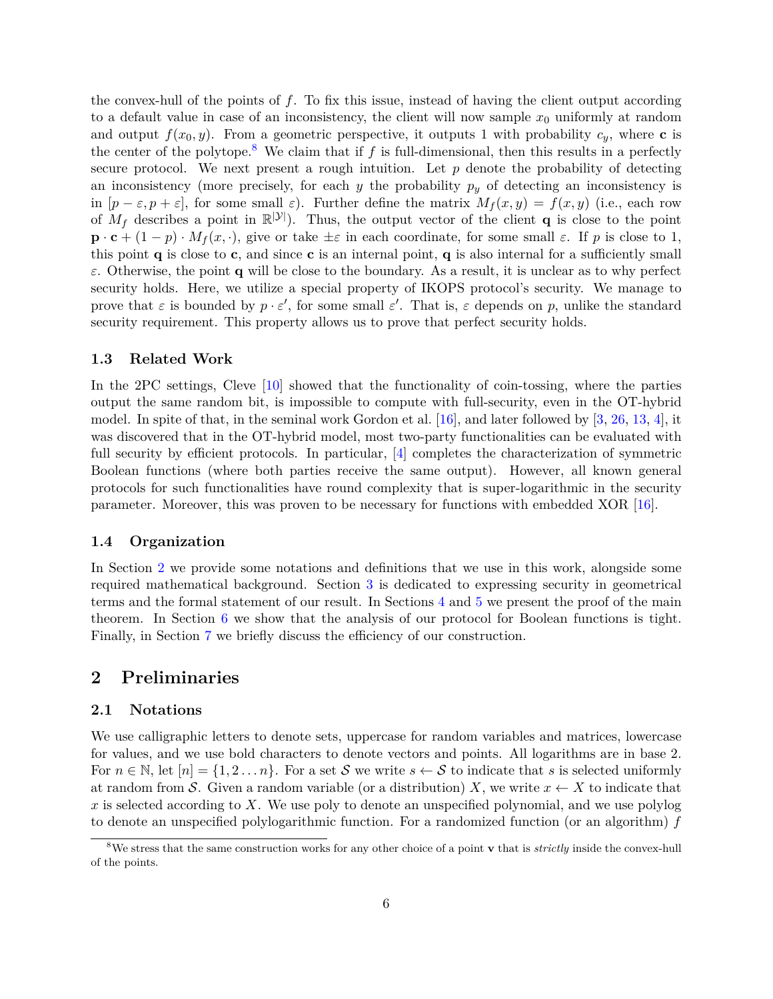the convex-hull of the points of *f*. To fix this issue, instead of having the client output according to a default value in case of an inconsistency, the client will now sample  $x<sub>0</sub>$  uniformly at random and output  $f(x_0, y)$ . From a geometric perspective, it outputs 1 with probability  $c_y$ , where **c** is the center of the polytope.<sup>[8](#page-7-4)</sup> We claim that if  $f$  is full-dimensional, then this results in a perfectly secure protocol. We next present a rough intuition. Let  $p$  denote the probability of detecting an inconsistency (more precisely, for each  $y$  the probability  $p_y$  of detecting an inconsistency is in  $[p - \varepsilon, p + \varepsilon]$ , for some small  $\varepsilon$ ). Further define the matrix  $M_f(x, y) = f(x, y)$  (i.e., each row of  $M_f$  describes a point in  $\mathbb{R}^{|\mathcal{Y}|}$ . Thus, the output vector of the client **q** is close to the point  $\mathbf{p} \cdot \mathbf{c} + (1 - p) \cdot M_f(x, \cdot)$ , give or take  $\pm \varepsilon$  in each coordinate, for some small  $\varepsilon$ . If *p* is close to 1, this point **q** is close to **c**, and since **c** is an internal point, **q** is also internal for a sufficiently small *ε*. Otherwise, the point **q** will be close to the boundary. As a result, it is unclear as to why perfect security holds. Here, we utilize a special property of IKOPS protocol's security. We manage to prove that  $\varepsilon$  is bounded by  $p \cdot \varepsilon'$ , for some small  $\varepsilon'$ . That is,  $\varepsilon$  depends on  $p$ , unlike the standard security requirement. This property allows us to prove that perfect security holds.

#### <span id="page-7-0"></span>**1.3 Related Work**

In the 2PC settings, Cleve [\[10\]](#page-31-7) showed that the functionality of coin-tossing, where the parties output the same random bit, is impossible to compute with full-security, even in the OT-hybrid model. In spite of that, in the seminal work Gordon et al.  $[16]$ , and later followed by  $[3, 26, 13, 4]$  $[3, 26, 13, 4]$  $[3, 26, 13, 4]$  $[3, 26, 13, 4]$  $[3, 26, 13, 4]$  $[3, 26, 13, 4]$  $[3, 26, 13, 4]$ , it was discovered that in the OT-hybrid model, most two-party functionalities can be evaluated with full security by efficient protocols. In particular, [\[4\]](#page-31-8) completes the characterization of symmetric Boolean functions (where both parties receive the same output). However, all known general protocols for such functionalities have round complexity that is super-logarithmic in the security parameter. Moreover, this was proven to be necessary for functions with embedded XOR [\[16\]](#page-32-11).

## <span id="page-7-1"></span>**1.4 Organization**

In Section [2](#page-7-2) we provide some notations and definitions that we use in this work, alongside some required mathematical background. Section [3](#page-12-0) is dedicated to expressing security in geometrical terms and the formal statement of our result. In Sections [4](#page-16-0) and [5](#page-19-0) we present the proof of the main theorem. In Section [6](#page-29-0) we show that the analysis of our protocol for Boolean functions is tight. Finally, in Section [7](#page-30-0) we briefly discuss the efficiency of our construction.

## <span id="page-7-2"></span>**2 Preliminaries**

## <span id="page-7-3"></span>**2.1 Notations**

We use calligraphic letters to denote sets, uppercase for random variables and matrices, lowercase for values, and we use bold characters to denote vectors and points. All logarithms are in base 2. For  $n \in \mathbb{N}$ , let  $[n] = \{1, 2, \ldots n\}$ . For a set S we write  $s \leftarrow S$  to indicate that s is selected uniformly at random from S. Given a random variable (or a distribution) X, we write  $x \leftarrow X$  to indicate that *x* is selected according to *X*. We use poly to denote an unspecified polynomial, and we use polylog to denote an unspecified polylogarithmic function. For a randomized function (or an algorithm) *f*

<span id="page-7-4"></span><sup>8</sup>We stress that the same construction works for any other choice of a point **v** that is *strictly* inside the convex-hull of the points.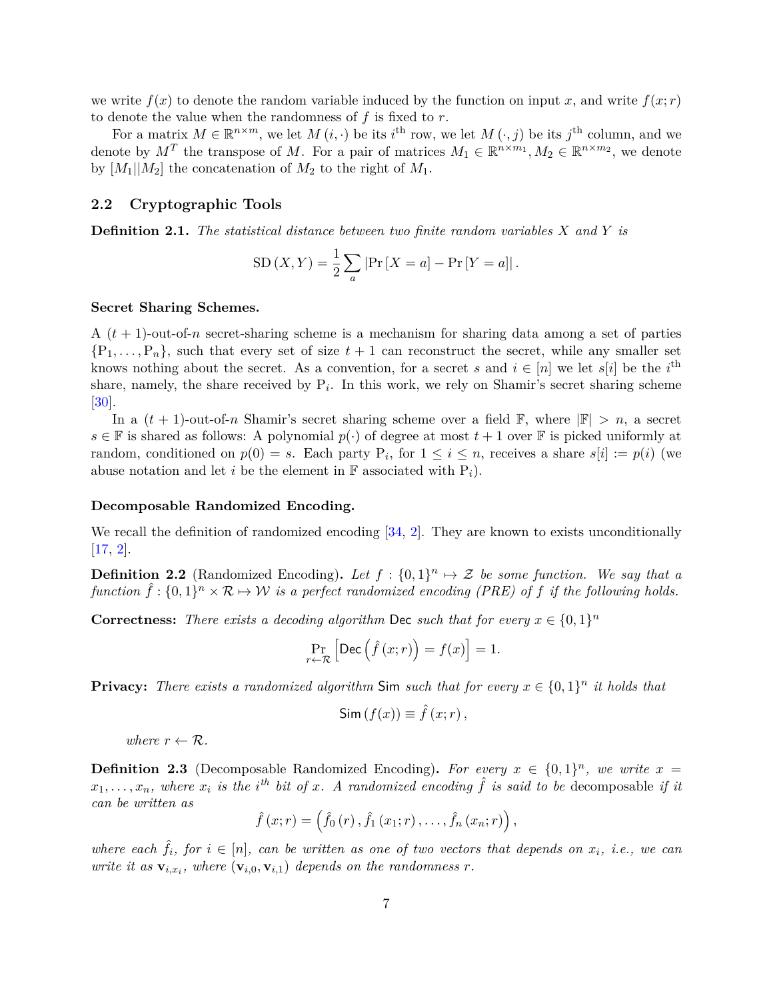we write  $f(x)$  to denote the random variable induced by the function on input *x*, and write  $f(x; r)$ to denote the value when the randomness of *f* is fixed to *r*.

For a matrix  $M \in \mathbb{R}^{n \times m}$ , we let  $M(i, \cdot)$  be its *i*<sup>th</sup> row, we let  $M(\cdot, j)$  be its *j*<sup>th</sup> column, and we denote by  $M^T$  the transpose of *M*. For a pair of matrices  $M_1 \in \mathbb{R}^{n \times m_1}, M_2 \in \mathbb{R}^{n \times m_2}$ , we denote by  $[M_1||M_2]$  the concatenation of  $M_2$  to the right of  $M_1$ .

## <span id="page-8-0"></span>**2.2 Cryptographic Tools**

**Definition 2.1.** *The statistical distance between two finite random variables X and Y is*

SD (X, Y) = 
$$
\frac{1}{2} \sum_{a} |Pr[X = a] - Pr[Y = a]|
$$
.

#### **Secret Sharing Schemes.**

A (*t* + 1)-out-of-*n* secret-sharing scheme is a mechanism for sharing data among a set of parties  ${P_1, \ldots, P_n}$ , such that every set of size  $t + 1$  can reconstruct the secret, while any smaller set knows nothing about the secret. As a convention, for a secret *s* and  $i \in [n]$  we let *s*[*i*] be the *i*<sup>th</sup> share, namely, the share received by  $P_i$ . In this work, we rely on Shamir's secret sharing scheme [\[30\]](#page-33-9).

In a  $(t + 1)$ -out-of-*n* Shamir's secret sharing scheme over a field  $\mathbb{F}$ , where  $|\mathbb{F}| > n$ , a secret  $s \in \mathbb{F}$  is shared as follows: A polynomial  $p(\cdot)$  of degree at most  $t+1$  over  $\mathbb F$  is picked uniformly at random, conditioned on  $p(0) = s$ . Each party  $P_i$ , for  $1 \leq i \leq n$ , receives a share  $s[i] := p(i)$  (we abuse notation and let *i* be the element in  $\mathbb{F}$  associated with  $P_i$ ).

## **Decomposable Randomized Encoding.**

We recall the definition of randomized encoding [\[34,](#page-33-1) [2\]](#page-31-6). They are known to exists unconditionally [\[17,](#page-32-13) [2\]](#page-31-6).

**Definition 2.2** (Randomized Encoding). Let  $f : \{0,1\}^n \mapsto \mathcal{Z}$  be some function. We say that a  $function \hat{f}: \{0,1\}^n \times \mathcal{R} \mapsto \mathcal{W}$  is a perfect randomized encoding (PRE) of f if the following holds.

**Correctness:** *There exists a decoding algorithm* Dec *such that for every*  $x \in \{0,1\}^n$ 

$$
\Pr_{r \leftarrow \mathcal{R}} \left[ \text{Dec} \left( \hat{f} \left( x; r \right) \right) = f(x) \right] = 1.
$$

**Privacy:** There exists a randomized algorithm Sim such that for every  $x \in \{0,1\}^n$  it holds that

$$
\mathsf{Sim}\left(f(x)\right) \equiv \hat{f}(x;r)\,,
$$

*where*  $r \leftarrow \mathcal{R}$ *.* 

**Definition 2.3** (Decomposable Randomized Encoding). For every  $x \in \{0,1\}^n$ , we write  $x =$  $x_1, \ldots, x_n$ , where  $x_i$  is the *i*<sup>th</sup> bit of x. A randomized encoding  $\hat{f}$  is said to be decomposable if it *can be written as*

$$
\hat{f}(x; r) = (\hat{f}_0(r), \hat{f}_1(x_1; r), \dots, \hat{f}_n(x_n; r)),
$$

*where each*  $\hat{f}_i$ *, for*  $i \in [n]$ *, can be written as one of two vectors that depends on*  $x_i$ *, i.e., we can write it as*  $\mathbf{v}_{i,x_i}$ *, where*  $(\mathbf{v}_{i,0}, \mathbf{v}_{i,1})$  *depends on the randomness*  $r$ *.*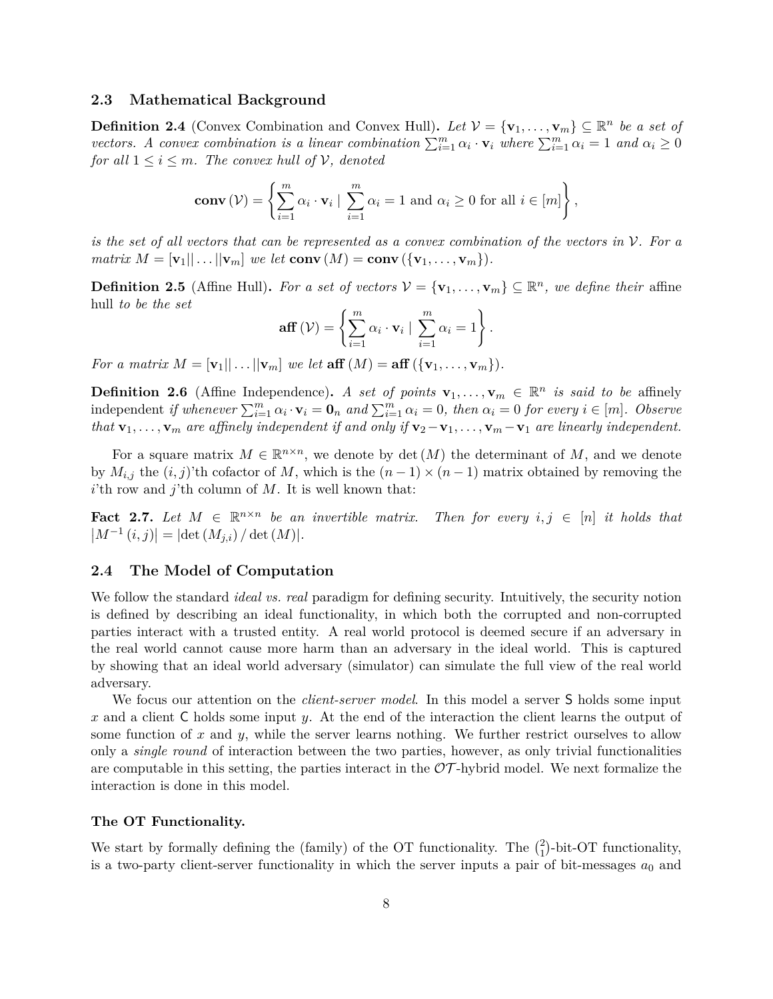## <span id="page-9-0"></span>**2.3 Mathematical Background**

**Definition 2.4** (Convex Combination and Convex Hull). Let  $V = {\bf{v}_1, \ldots, \bf{v}_m} \subseteq \mathbb{R}^n$  be a set of *vectors.* A convex combination is a linear combination  $\sum_{i=1}^{m} \alpha_i \cdot \mathbf{v}_i$  where  $\sum_{i=1}^{m} \alpha_i = 1$  and  $\alpha_i \geq 0$ *for all*  $1 \leq i \leq m$ *. The convex hull of*  $\mathcal{V}$ *, denoted* 

**conv** (
$$
\mathcal{V}
$$
) =  $\left\{\sum_{i=1}^{m} \alpha_i \cdot \mathbf{v}_i \mid \sum_{i=1}^{m} \alpha_i = 1 \text{ and } \alpha_i \ge 0 \text{ for all } i \in [m] \right\},\$ 

*is the set of all vectors that can be represented as a convex combination of the vectors in* V*. For a matrix*  $M = [\mathbf{v}_1 || \dots || \mathbf{v}_m]$  *we let*  $\text{conv}(M) = \text{conv}(\{\mathbf{v}_1, \dots, \mathbf{v}_m\}).$ 

**Definition 2.5** (Affine Hull). For a set of vectors  $V = {\mathbf{v}_1, \dots, \mathbf{v}_m} \subseteq \mathbb{R}^n$ , we define their affine hull *to be the set*

$$
\mathbf{aff}\left(\mathcal{V}\right) = \left\{\sum_{i=1}^{m} \alpha_i \cdot \mathbf{v}_i \mid \sum_{i=1}^{m} \alpha_i = 1\right\}.
$$

*For a matrix*  $M = [\mathbf{v}_1 || \dots || \mathbf{v}_m]$  *we let*  $\textbf{aff}(M) = \textbf{aff}(\{\mathbf{v}_1, \dots, \mathbf{v}_m\}).$ 

**Definition 2.6** (Affine Independence). *A set of points*  $\mathbf{v}_1, \ldots, \mathbf{v}_m \in \mathbb{R}^n$  *is said to be* affinely independent if whenever  $\sum_{i=1}^{m} \alpha_i \cdot \mathbf{v}_i = \mathbf{0}_n$  and  $\sum_{i=1}^{m} \alpha_i = 0$ , then  $\alpha_i = 0$  for every  $i \in [m]$ . Observe *that*  $\mathbf{v}_1, \ldots, \mathbf{v}_m$  *are affinely independent if and only if*  $\mathbf{v}_2 - \mathbf{v}_1, \ldots, \mathbf{v}_m - \mathbf{v}_1$  *are linearly independent.* 

For a square matrix  $M \in \mathbb{R}^{n \times n}$ , we denote by det  $(M)$  the determinant of M, and we denote by  $M_{i,j}$  the  $(i, j)$ 'th cofactor of  $M$ , which is the  $(n - 1) \times (n - 1)$  matrix obtained by removing the *i*'th row and *j*'th column of *M*. It is well known that:

<span id="page-9-2"></span>**Fact** 2.7. Let  $M \in \mathbb{R}^{n \times n}$ *a for every*  $i, j \in [n]$  *it holds that*  $|M^{-1}(i,j)| = |\det(M_{j,i})| / \det(M)|.$ 

## <span id="page-9-1"></span>**2.4 The Model of Computation**

We follow the standard *ideal vs. real* paradigm for defining security. Intuitively, the security notion is defined by describing an ideal functionality, in which both the corrupted and non-corrupted parties interact with a trusted entity. A real world protocol is deemed secure if an adversary in the real world cannot cause more harm than an adversary in the ideal world. This is captured by showing that an ideal world adversary (simulator) can simulate the full view of the real world adversary.

We focus our attention on the *client-server model*. In this model a server S holds some input *x* and a client C holds some input *y*. At the end of the interaction the client learns the output of some function of *x* and *y*, while the server learns nothing. We further restrict ourselves to allow only a *single round* of interaction between the two parties, however, as only trivial functionalities are computable in this setting, the parties interact in the  $\mathcal{OT}$ -hybrid model. We next formalize the interaction is done in this model.

#### **The OT Functionality.**

We start by formally defining the (family) of the OT functionality. The  $\binom{2}{1}$  $_{1}^{2}$ )-bit-OT functionality, is a two-party client-server functionality in which the server inputs a pair of bit-messages  $a_0$  and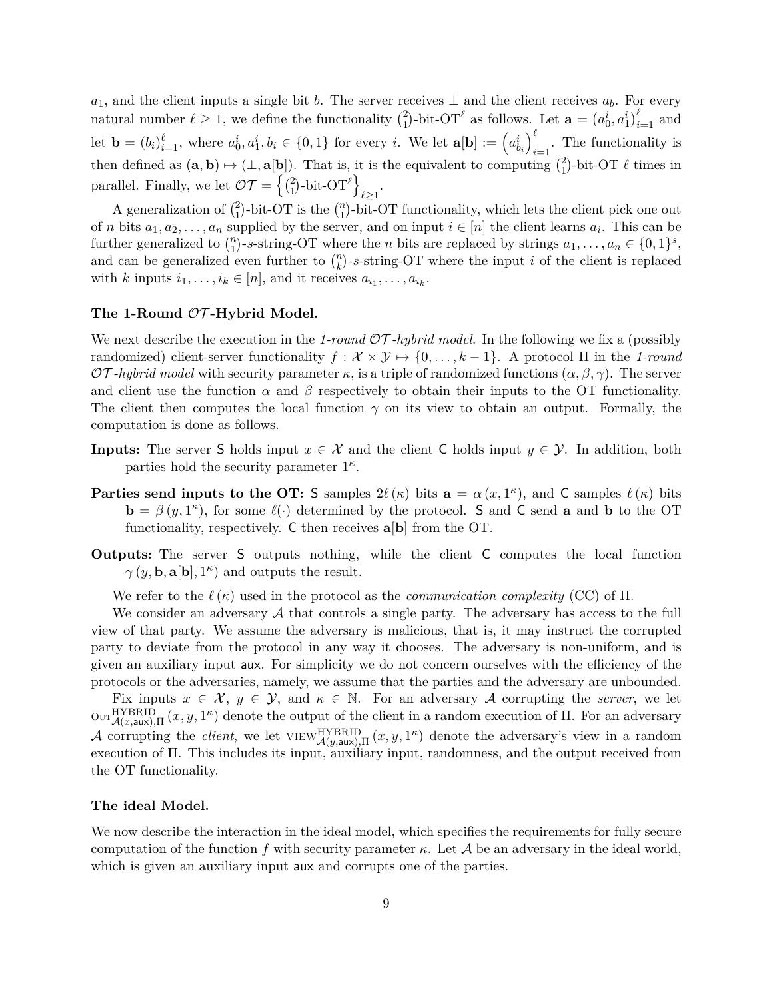$a_1$ , and the client inputs a single bit *b*. The server receives  $\perp$  and the client receives  $a_b$ . For every natural number  $\ell \geq 1$ , we define the functionality  $\binom{2}{1}$ <sup>2</sup><sub>1</sub>)-bit-OT<sup> $\ell$ </sup> as follows. Let  $\mathbf{a} = (a_0^i, a_1^i)_{i=1}^{\ell}$  and let  $\mathbf{b} = (b_i)_{i=1}^{\ell}$ , where  $a_0^i, a_1^i, b_i \in \{0, 1\}$  for every *i*. We let  $\mathbf{a}[\mathbf{b}] := (a_{b_i}^i)_{i=1}^{\ell}$  $\sum_{i=1}$ . The functionality is then defined as  $(\mathbf{a}, \mathbf{b}) \mapsto (\perp, \mathbf{a}[\mathbf{b}])$ . That is, it is the equivalent to computing  $\binom{2}{1}$  $_{1}^{2}$ )-bit-OT  $\ell$  times in parallel. Finally, we let  $\mathcal{OT} = \left\{ \begin{smallmatrix} 2 \\ 1 \end{smallmatrix} \right\}$  $_{1}^{2}\text{)}$ -bit-O $\text{T}^{\ell}\Big\}$ *`*≥1 .

A generalization of  $\binom{2}{1}$ <sup>2</sup><sub>1</sub>)-bit-OT is the  $\binom{n}{1}$ -bit-OT functionality, which lets the client pick one out of *n* bits  $a_1, a_2, \ldots, a_n$  supplied by the server, and on input  $i \in [n]$  the client learns  $a_i$ . This can be further generalized to  $\binom{n}{1}$ -s-string-OT where the *n* bits are replaced by strings  $a_1, \ldots, a_n \in \{0, 1\}^s$ , and can be generalized even further to  $\binom{n}{k}$ -s-string-OT where the input *i* of the client is replaced with *k* inputs  $i_1, \ldots, i_k \in [n]$ , and it receives  $a_{i_1}, \ldots, a_{i_k}$ .

## The 1-Round  $OT$ -Hybrid Model.

We next describe the execution in the *1-round*  $OT$ *-hybrid model*. In the following we fix a (possibly randomized) client-server functionality  $f : \mathcal{X} \times \mathcal{Y} \mapsto \{0, \ldots, k-1\}$ . A protocol  $\Pi$  in the *1-round*  $\mathcal{OT}$ *-hybrid model* with security parameter  $\kappa$ , is a triple of randomized functions  $(\alpha, \beta, \gamma)$ . The server and client use the function  $\alpha$  and  $\beta$  respectively to obtain their inputs to the OT functionality. The client then computes the local function  $\gamma$  on its view to obtain an output. Formally, the computation is done as follows.

- **Inputs:** The server S holds input  $x \in \mathcal{X}$  and the client C holds input  $y \in \mathcal{Y}$ . In addition, both parties hold the security parameter 1 *κ* .
- **Parties send inputs to the OT:** S samples  $2\ell(\kappa)$  bits  $\mathbf{a} = \alpha(x, 1^{\kappa})$ , and C samples  $\ell(\kappa)$  bits  $\mathbf{b} = \beta(y, 1^{\kappa})$ , for some  $\ell(\cdot)$  determined by the protocol. S and C send **a** and **b** to the OT functionality, respectively. C then receives **a**[**b**] from the OT.
- **Outputs:** The server S outputs nothing, while the client C computes the local function  $\gamma(y, \mathbf{b}, \mathbf{a}[\mathbf{b}], 1^{\kappa})$  and outputs the result.

We refer to the  $\ell(\kappa)$  used in the protocol as the *communication complexity* (CC) of  $\Pi$ .

We consider an adversary  $A$  that controls a single party. The adversary has access to the full view of that party. We assume the adversary is malicious, that is, it may instruct the corrupted party to deviate from the protocol in any way it chooses. The adversary is non-uniform, and is given an auxiliary input aux. For simplicity we do not concern ourselves with the efficiency of the protocols or the adversaries, namely, we assume that the parties and the adversary are unbounded.

Fix inputs  $x \in \mathcal{X}, y \in \mathcal{Y}$ , and  $\kappa \in \mathbb{N}$ . For an adversary A corrupting the *server*, we let  $\sigma_{\mathcal{A}(x,\mathsf{aux}),\Pi}(x,y,1^{\kappa})$  denote the output of the client in a random execution of  $\Pi$ . For an adversary A corrupting the *client*, we let  $VIEW_{\mathcal{A}(y, \text{aux}), \Pi}^{\text{HYBRID}}(x, y, 1^{\kappa})$  denote the adversary's view in a random execution of Π. This includes its input, auxiliary input, randomness, and the output received from the OT functionality.

#### **The ideal Model.**

We now describe the interaction in the ideal model, which specifies the requirements for fully secure computation of the function *f* with security parameter  $\kappa$ . Let A be an adversary in the ideal world, which is given an auxiliary input **aux** and corrupts one of the parties.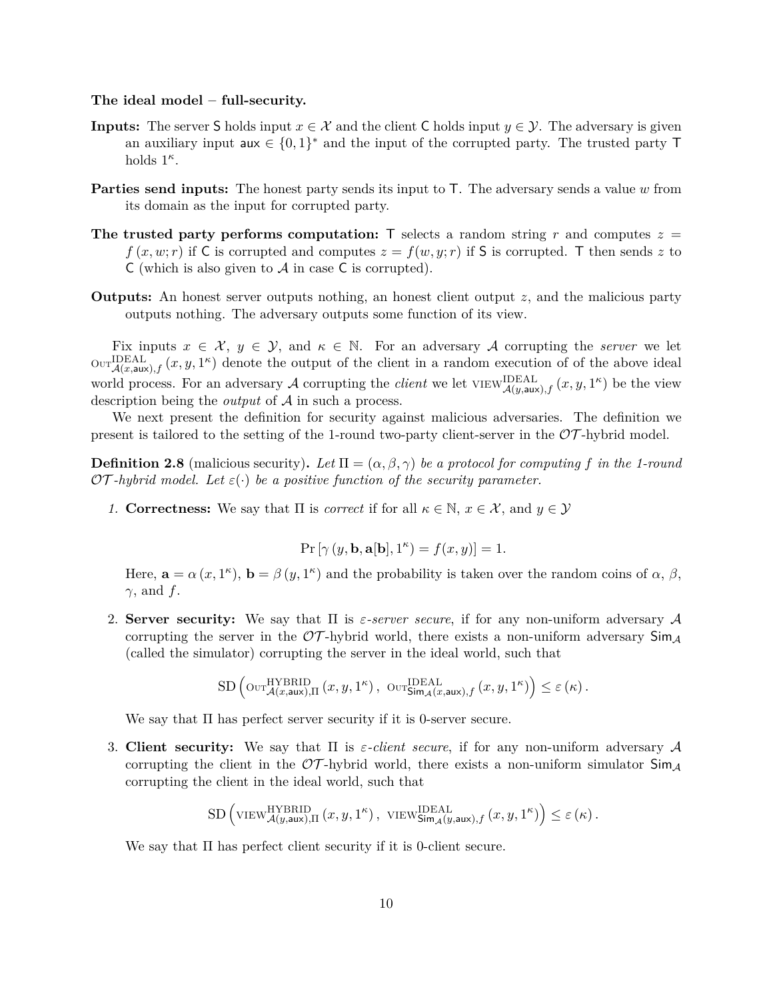#### **The ideal model – full-security.**

- **Inputs:** The server S holds input  $x \in \mathcal{X}$  and the client C holds input  $y \in \mathcal{Y}$ . The adversary is given an auxiliary input  $\mathsf{aux} \in \{0,1\}^*$  and the input of the corrupted party. The trusted party T holds  $1^{\kappa}$ .
- **Parties send inputs:** The honest party sends its input to T. The adversary sends a value *w* from its domain as the input for corrupted party.
- **The trusted party performs computation:** T selects a random string r and computes  $z =$  $f(x, w; r)$  if C is corrupted and computes  $z = f(w, y; r)$  if S is corrupted. T then sends z to  $\mathsf C$  (which is also given to  $\mathcal A$  in case  $\mathsf C$  is corrupted).
- **Outputs:** An honest server outputs nothing, an honest client output *z*, and the malicious party outputs nothing. The adversary outputs some function of its view.

Fix inputs  $x \in \mathcal{X}, y \in \mathcal{Y},$  and  $\kappa \in \mathbb{N}$ . For an adversary A corrupting the *server* we let  $\overline{\mathrm{Out}_{\mathcal{A}(x,\mathsf{aux}),f}^{\text{IDEAL}}(x,y,1^{\kappa})}$  denote the output of the client in a random execution of of the above ideal world process. For an adversary A corrupting the *client* we let VIEW $\frac{\text{IDEAL}}{\mathcal{A}(y,\text{aux})},f(x,y,1^{\kappa})$  be the view description being the *output* of A in such a process.

We next present the definition for security against malicious adversaries. The definition we present is tailored to the setting of the 1-round two-party client-server in the  $\mathcal{OT}$ -hybrid model.

**Definition 2.8** (malicious security). Let  $\Pi = (\alpha, \beta, \gamma)$  be a protocol for computing f in the 1-round  $OT$ *-hybrid model. Let*  $\varepsilon(\cdot)$  *be a positive function of the security parameter.* 

*1.* **Correctness:** We say that  $\Pi$  is *correct* if for all  $\kappa \in \mathbb{N}$ ,  $x \in \mathcal{X}$ , and  $y \in \mathcal{Y}$ 

$$
\Pr\left[\gamma\left(y,\mathbf{b},\mathbf{a}[\mathbf{b}],1^{\kappa}\right)=f(x,y)\right]=1.
$$

Here,  $\mathbf{a} = \alpha(x, 1^{\kappa})$ ,  $\mathbf{b} = \beta(y, 1^{\kappa})$  and the probability is taken over the random coins of  $\alpha, \beta$ , *γ*, and *f*.

2. **Server security:** We say that Π is *ε-server secure*, if for any non-uniform adversary A corrupting the server in the  $\mathcal{OT}$ -hybrid world, there exists a non-uniform adversary  $\mathsf{Sim}_\mathcal{A}$ (called the simulator) corrupting the server in the ideal world, such that

$$
\mathrm{SD} \left( \mathrm{Out}_{\mathcal{A}(x, \mathsf{aux}), \Pi}^{\mathrm{HYBRID}} \left( x, y, 1^{\kappa} \right), \ \mathrm{Out}_{\mathsf{Sim}_{\mathcal{A}}(x, \mathsf{aux}), f}^{\mathrm{IDEAL}} \left( x, y, 1^{\kappa} \right) \right) \leq \varepsilon \left( \kappa \right).
$$

We say that  $\Pi$  has perfect server security if it is 0-server secure.

3. **Client security:** We say that Π is *ε-client secure*, if for any non-uniform adversary A corrupting the client in the  $\mathcal{OT}$ -hybrid world, there exists a non-uniform simulator  $\mathsf{Sim}_A$ corrupting the client in the ideal world, such that

$$
\mathrm{SD} \left( \mathrm{View}_{\mathcal{A}(y,\mathsf{aux}),\Pi}^{\mathrm{HYBRID}} \left( x, y, 1^{\kappa} \right), \ \mathrm{View}_{\mathrm{Sim}_{\mathcal{A}}(y,\mathsf{aux}),f}^{\mathrm{IDEAL}} \left( x, y, 1^{\kappa} \right) \right) \leq \varepsilon \left( \kappa \right).
$$

We say that Π has perfect client security if it is 0-client secure.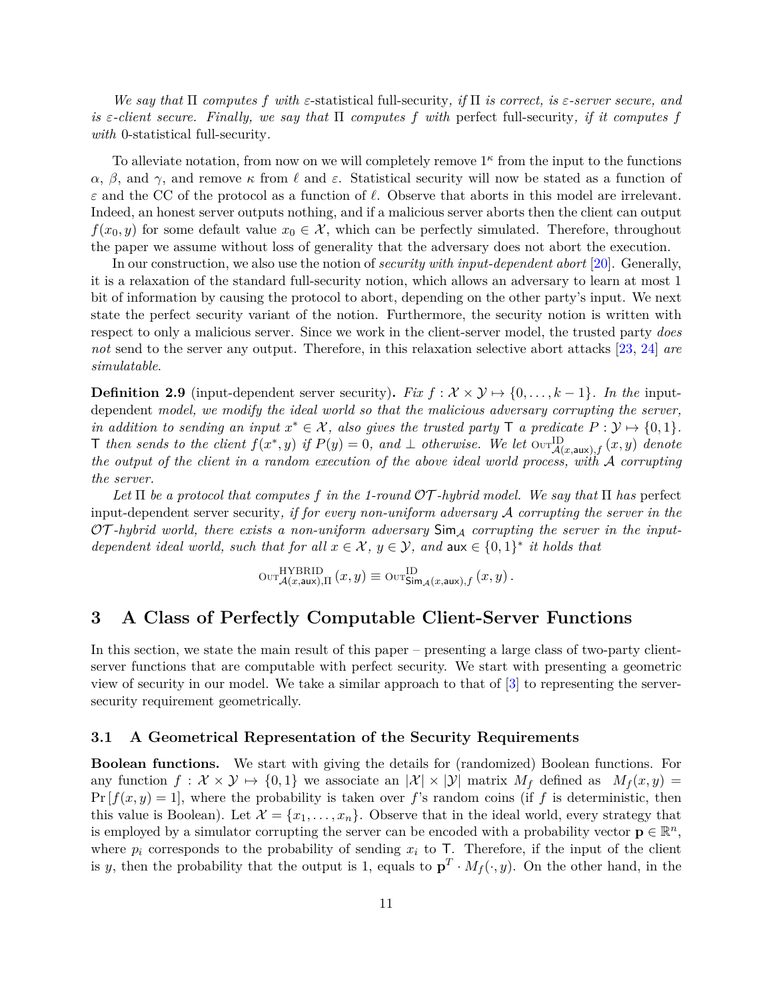*We say that* Π *computes f with ε*-statistical full-security*, if* Π *is correct, is ε-server secure, and is*  $\varepsilon$ -client secure. Finally, we say that  $\Pi$  *computes*  $f$  *with* perfect full-security, if it computes  $f$ *with* 0-statistical full-security*.*

To alleviate notation, from now on we will completely remove 1 *κ* from the input to the functions *α*, *β*, and *γ*, and remove *κ* from *ℓ* and *ε*. Statistical security will now be stated as a function of *ε* and the CC of the protocol as a function of *`*. Observe that aborts in this model are irrelevant. Indeed, an honest server outputs nothing, and if a malicious server aborts then the client can output  $f(x_0, y)$  for some default value  $x_0 \in \mathcal{X}$ , which can be perfectly simulated. Therefore, throughout the paper we assume without loss of generality that the adversary does not abort the execution.

In our construction, we also use the notion of *security with input-dependent abort* [\[20\]](#page-32-1). Generally, it is a relaxation of the standard full-security notion, which allows an adversary to learn at most 1 bit of information by causing the protocol to abort, depending on the other party's input. We next state the perfect security variant of the notion. Furthermore, the security notion is written with respect to only a malicious server. Since we work in the client-server model, the trusted party *does not* send to the server any output. Therefore, in this relaxation selective abort attacks [\[23,](#page-32-0) [24\]](#page-32-10) *are simulatable*.

**Definition 2.9** (input-dependent server security). Fix  $f : \mathcal{X} \times \mathcal{Y} \mapsto \{0, \ldots, k-1\}$ *. In the* inputdependent *model, we modify the ideal world so that the malicious adversary corrupting the server, in addition to sending an input*  $x^* \in \mathcal{X}$ *, also gives the trusted party*  $\mathsf{T}$  *a predicate*  $P: \mathcal{Y} \mapsto \{0,1\}$ *.* T then sends to the client  $f(x^*, y)$  if  $P(y) = 0$ , and ⊥ otherwise. We let  $\overline{\text{Out}_{\mathcal{A}(x, \text{aux}), f}(x, y)}$  denote *the output of the client in a random execution of the above ideal world process, with* A *corrupting the server.*

*Let* Π *be a protocol that computes f in the 1-round* OT *-hybrid model. We say that* Π *has* perfect input-dependent server security*, if for every non-uniform adversary* A *corrupting the server in the*  $OT$ -hybrid world, there exists a non-uniform adversary  $\mathsf{Sim}_{\mathcal{A}}$  corrupting the server in the input*dependent ideal world, such that for all*  $x \in \mathcal{X}$ ,  $y \in \mathcal{Y}$ , and  $\text{aux} \in \{0,1\}^*$  *it holds that* 

$$
\mathrm{Out}_{\mathcal{A}(x,\mathsf{aux}),\Pi}^{\mathrm{HYBRID}}\left(x,y\right) \equiv \mathrm{Out}_{\mathsf{Sim}_{\mathcal{A}}(x,\mathsf{aux}),f}^{\mathrm{ID}}\left(x,y\right).
$$

## <span id="page-12-0"></span>**3 A Class of Perfectly Computable Client-Server Functions**

In this section, we state the main result of this paper – presenting a large class of two-party clientserver functions that are computable with perfect security. We start with presenting a geometric view of security in our model. We take a similar approach to that of [\[3\]](#page-31-0) to representing the serversecurity requirement geometrically.

## <span id="page-12-1"></span>**3.1 A Geometrical Representation of the Security Requirements**

**Boolean functions.** We start with giving the details for (randomized) Boolean functions. For any function  $f: \mathcal{X} \times \mathcal{Y} \mapsto \{0,1\}$  we associate an  $|\mathcal{X}| \times |\mathcal{Y}|$  matrix  $M_f$  defined as  $M_f(x,y) =$  $Pr[f(x, y) = 1]$ , where the probability is taken over *f*'s random coins (if *f* is deterministic, then this value is Boolean). Let  $\mathcal{X} = \{x_1, \ldots, x_n\}$ . Observe that in the ideal world, every strategy that is employed by a simulator corrupting the server can be encoded with a probability vector  $\mathbf{p} \in \mathbb{R}^n$ , where  $p_i$  corresponds to the probability of sending  $x_i$  to  $\mathsf T$ . Therefore, if the input of the client is *y*, then the probability that the output is 1, equals to  $\mathbf{p}^T \cdot M_f(\cdot, y)$ . On the other hand, in the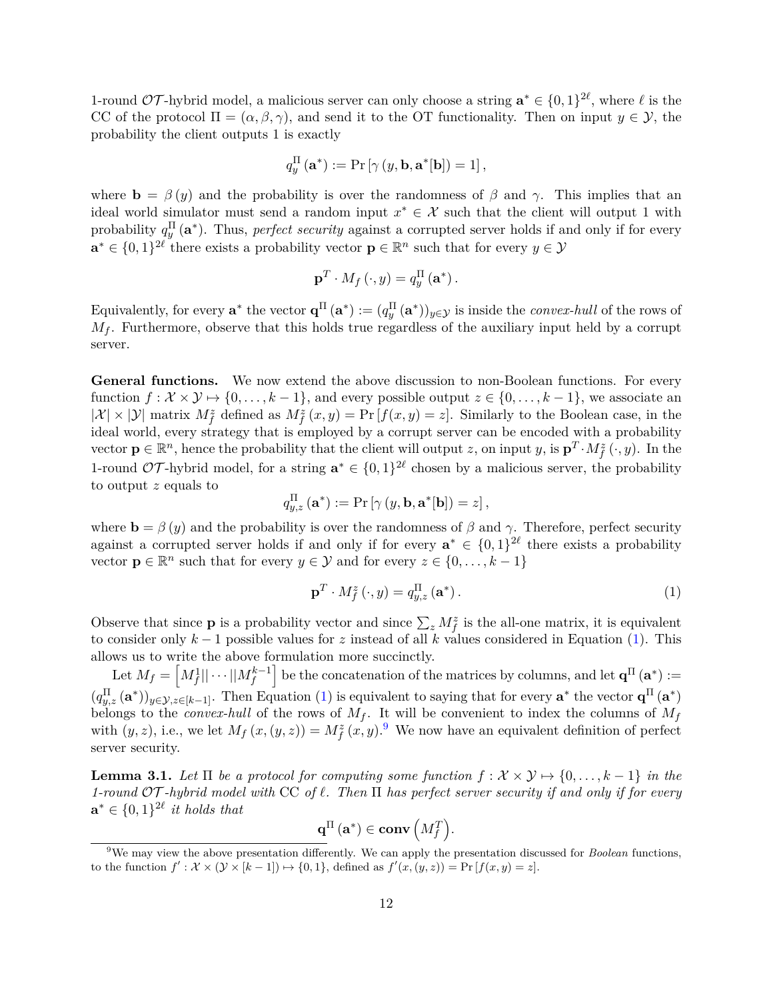1-round OT-hybrid model, a malicious server can only choose a string  $\mathbf{a}^* \in \{0,1\}^{2\ell}$ , where  $\ell$  is the CC of the protocol  $\Pi = (\alpha, \beta, \gamma)$ , and send it to the OT functionality. Then on input  $y \in \mathcal{Y}$ , the probability the client outputs 1 is exactly

$$
q_{y}^{\Pi}\left(\mathbf{a}^{*}\right):=\Pr\left[\gamma\left(y,\mathbf{b},\mathbf{a}^{*}[\mathbf{b}]\right)=1\right],
$$

where  $\mathbf{b} = \beta(y)$  and the probability is over the randomness of  $\beta$  and  $\gamma$ . This implies that an ideal world simulator must send a random input  $x^* \in \mathcal{X}$  such that the client will output 1 with probability  $q_y^{\Pi}(\mathbf{a}^*)$ . Thus, *perfect security* against a corrupted server holds if and only if for every  $\mathbf{a}^* \in \{0,1\}^{2\ell}$  there exists a probability vector  $\mathbf{p} \in \mathbb{R}^n$  such that for every  $y \in \mathcal{Y}$ 

$$
\mathbf{p}^{T} \cdot M_{f}(\cdot, y) = q_{y}^{\Pi}(\mathbf{a}^{*}).
$$

Equivalently, for every  $\mathbf{a}^*$  the vector  $\mathbf{q}^{\Pi}(\mathbf{a}^*) := (q_y^{\Pi}(\mathbf{a}^*))_{y \in \mathcal{Y}}$  is inside the *convex-hull* of the rows of  $M_f$ . Furthermore, observe that this holds true regardless of the auxiliary input held by a corrupt server.

General functions. We now extend the above discussion to non-Boolean functions. For every function  $f: \mathcal{X} \times \mathcal{Y} \mapsto \{0, \ldots, k-1\}$ , and every possible output  $z \in \{0, \ldots, k-1\}$ , we associate an  $|\mathcal{X}| \times |\mathcal{Y}|$  matrix  $M_f^z$  defined as  $M_f^z(x, y) = \Pr[f(x, y) = z]$ . Similarly to the Boolean case, in the ideal world, every strategy that is employed by a corrupt server can be encoded with a probability vector  $\mathbf{p} \in \mathbb{R}^n$ , hence the probability that the client will output *z*, on input *y*, is  $\mathbf{p}^T \cdot M_f^z(\cdot, y)$ . In the 1-round OT-hybrid model, for a string  $\mathbf{a}^* \in \{0,1\}^{2\ell}$  chosen by a malicious server, the probability to output *z* equals to

$$
q_{y,z}^{\Pi}(\mathbf{a}^*) := \Pr\left[\gamma\left(y,\mathbf{b},\mathbf{a}^*[\mathbf{b}]\right) = z\right],
$$

where  $\mathbf{b} = \beta(y)$  and the probability is over the randomness of  $\beta$  and  $\gamma$ . Therefore, perfect security against a corrupted server holds if and only if for every  $\mathbf{a}^* \in \{0,1\}^{2\ell}$  there exists a probability vector  $\mathbf{p} \in \mathbb{R}^n$  such that for every  $y \in \mathcal{Y}$  and for every  $z \in \{0, \ldots, k-1\}$ 

<span id="page-13-0"></span>
$$
\mathbf{p}^T \cdot M_f^z(\cdot, y) = q_{y,z}^{\Pi}(\mathbf{a}^*).
$$
 (1)

Observe that since **p** is a probability vector and since  $\sum_{z} M_{f}^{z}$  is the all-one matrix, it is equivalent to consider only *k* − 1 possible values for *z* instead of all *k* values considered in Equation [\(1\)](#page-13-0). This allows us to write the above formulation more succinctly.

 $\mathbf{L} \in M_f = \left[ M_f^1 || \cdots || M_f^{k-1} \right]$  be the concatenation of the matrices by columns, and let  $\mathbf{q}^\Pi \left( \mathbf{a}^* \right) :=$  $(q_{y,z}^{\Pi}(\mathbf{a}^*))_{y\in\mathcal{Y},z\in[k-1]}$ . Then Equation [\(1\)](#page-13-0) is equivalent to saying that for every  $\mathbf{a}^*$  the vector  $\mathbf{q}^{\Pi}(\mathbf{a}^*)$ belongs to the *convex-hull* of the rows of  $M_f$ . It will be convenient to index the columns of  $M_f$ with  $(y, z)$ , i.e., we let  $M_f(x, (y, z)) = M_f^z(x, y)$ . We now have an equivalent definition of perfect server security.

<span id="page-13-2"></span>**Lemma 3.1.** *Let*  $\Pi$  *be a protocol for computing some function*  $f: \mathcal{X} \times \mathcal{Y} \mapsto \{0, \ldots, k-1\}$  *in the 1-round* OT *-hybrid model with* CC *of `. Then* Π *has perfect server security if and only if for every*  $\mathbf{a}^* \in \{0,1\}^{2\ell}$  *it holds that* 

$$
\mathbf{q}^{\Pi}\left(\mathbf{a}^*\right) \in \mathbf{conv}\left(M_f^T\right).
$$

<span id="page-13-1"></span><sup>9</sup>We may view the above presentation differently. We can apply the presentation discussed for *Boolean* functions, to the function  $f' : \mathcal{X} \times (\mathcal{Y} \times [k-1]) \mapsto \{0,1\}$ , defined as  $f'(x,(y,z)) = \Pr[f(x,y) = z]$ .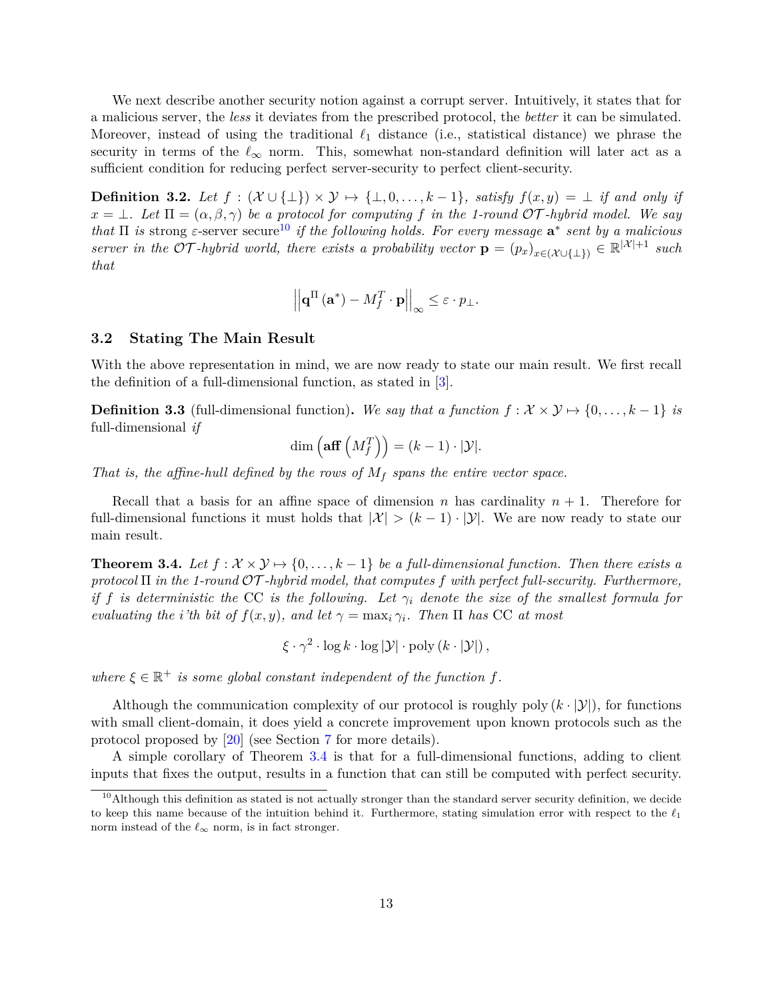We next describe another security notion against a corrupt server. Intuitively, it states that for a malicious server, the *less* it deviates from the prescribed protocol, the *better* it can be simulated. Moreover, instead of using the traditional  $\ell_1$  distance (i.e., statistical distance) we phrase the security in terms of the  $\ell_{\infty}$  norm. This, somewhat non-standard definition will later act as a sufficient condition for reducing perfect server-security to perfect client-security.

<span id="page-14-4"></span>**Definition 3.2.** Let  $f : (\mathcal{X} \cup \{\perp\}) \times \mathcal{Y} \mapsto \{\perp, 0, \ldots, k-1\}$ , satisfy  $f(x, y) = \perp$  if and only if  $x = \bot$ *. Let*  $\Pi = (\alpha, \beta, \gamma)$  *be a protocol for computing f in the 1-round*  $\mathcal{OT}$ *-hybrid model. We say that*  $\Pi$  *is* strong *ε*-server secure<sup>[10](#page-14-1)</sup> *if the following holds. For every message*  $\mathbf{a}^*$  *sent by a malicious server in the*  $\mathcal{OT}$ *-hybrid world, there exists a probability vector*  $\mathbf{p} = (p_x)_{x \in (\mathcal{X} \cup \{\perp\})} \in \mathbb{R}^{|\mathcal{X}|+1}$  *such that*

$$
\left\| \mathbf{q}^{\Pi}\left(\mathbf{a}^*\right) - M_f^T \cdot \mathbf{p} \right\|_{\infty} \leq \varepsilon \cdot p_{\perp}.
$$

## <span id="page-14-0"></span>**3.2 Stating The Main Result**

With the above representation in mind, we are now ready to state our main result. We first recall the definition of a full-dimensional function, as stated in [\[3\]](#page-31-0).

**Definition 3.3** (full-dimensional function). We say that a function  $f: \mathcal{X} \times \mathcal{Y} \mapsto \{0, \ldots, k-1\}$  is full-dimensional *if*

$$
\dim\left(\mathbf{aff}\left(M_f^T\right)\right)=(k-1)\cdot|\mathcal{Y}|.
$$

*That is, the affine-hull defined by the rows of M<sup>f</sup> spans the entire vector space.*

Recall that a basis for an affine space of dimension *n* has cardinality  $n + 1$ . Therefore for full-dimensional functions it must holds that  $|\mathcal{X}| > (k-1) \cdot |\mathcal{Y}|$ . We are now ready to state our main result.

<span id="page-14-2"></span>**Theorem 3.4.** Let  $f: \mathcal{X} \times \mathcal{Y} \mapsto \{0, \ldots, k-1\}$  be a full-dimensional function. Then there exists a *protocol* Π *in the 1-round* OT *-hybrid model, that computes f with perfect full-security. Furthermore, if f is deterministic the* CC *is the following. Let γ<sup>i</sup> denote the size of the smallest formula for evaluating the i*'th bit of  $f(x, y)$ *, and let*  $\gamma = \max_i \gamma_i$ *. Then*  $\Pi$  *has* CC *at most* 

$$
\xi \cdot \gamma^2 \cdot \log k \cdot \log |\mathcal{Y}| \cdot \mathrm{poly}\left(k \cdot |\mathcal{Y}|\right),
$$

where  $\xi \in \mathbb{R}^+$  *is some global constant independent of the function f.* 

Although the communication complexity of our protocol is roughly poly  $(k \cdot |\mathcal{Y}|)$ , for functions with small client-domain, it does yield a concrete improvement upon known protocols such as the protocol proposed by [\[20\]](#page-32-1) (see Section [7](#page-30-0) for more details).

A simple corollary of Theorem [3.4](#page-14-2) is that for a full-dimensional functions, adding to client inputs that fixes the output, results in a function that can still be computed with perfect security.

<span id="page-14-3"></span><span id="page-14-1"></span> $10$ Although this definition as stated is not actually stronger than the standard server security definition, we decide to keep this name because of the intuition behind it. Furthermore, stating simulation error with respect to the  $\ell_1$ norm instead of the  $\ell_{\infty}$  norm, is in fact stronger.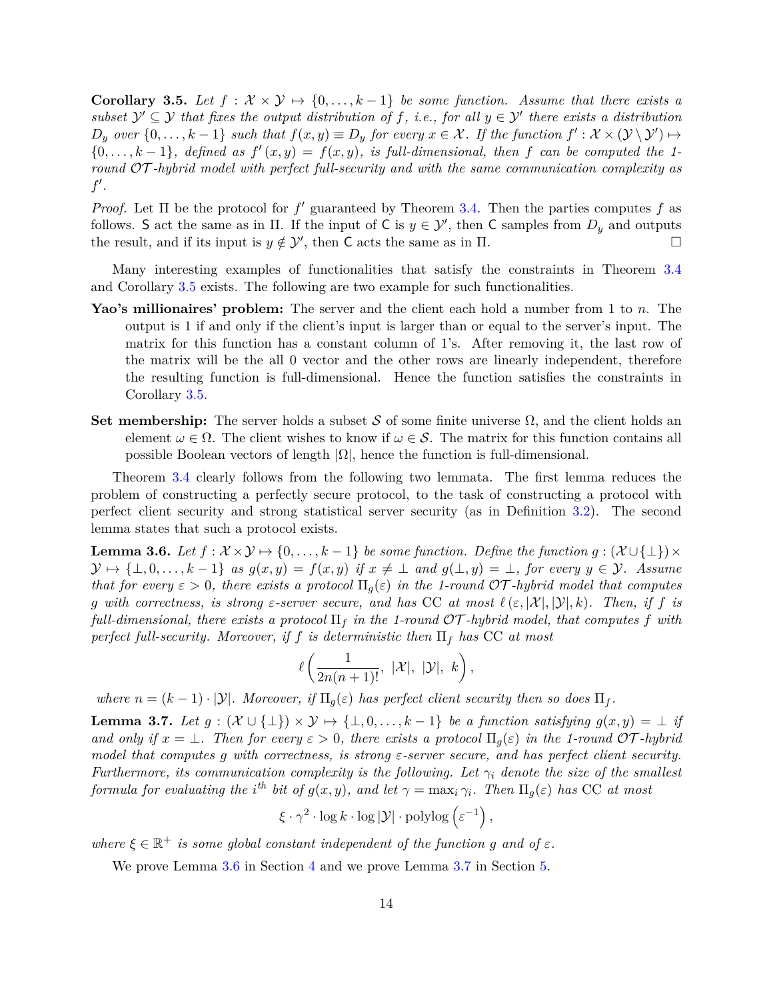**Corollary 3.5.** Let  $f : \mathcal{X} \times \mathcal{Y} \mapsto \{0, \ldots, k-1\}$  be some function. Assume that there exists a subset  $\mathcal{Y}' \subseteq \mathcal{Y}$  that fixes the output distribution of f, i.e., for all  $y \in \mathcal{Y}'$  there exists a distribution  $D_y$  *over*  $\{0, \ldots, k-1\}$  *such that*  $f(x, y) \equiv D_y$  *for every*  $x \in \mathcal{X}$ . If the function  $f' : \mathcal{X} \times (\mathcal{Y} \setminus \mathcal{Y}') \mapsto$  $\{0, \ldots, k-1\}$ , defined as  $f'(x, y) = f(x, y)$ , is full-dimensional, then f can be computed the 1*round* OT *-hybrid model with perfect full-security and with the same communication complexity as f* 0 *.*

*Proof.* Let  $\Pi$  be the protocol for  $f'$  guaranteed by Theorem [3.4.](#page-14-2) Then the parties computes  $f$  as follows. S act the same as in  $\Pi$ . If the input of C is  $y \in \mathcal{Y}'$ , then C samples from  $D_y$  and outputs the result, and if its input is  $y \notin \mathcal{Y}'$ , then C acts the same as in  $\Pi$ .

Many interesting examples of functionalities that satisfy the constraints in Theorem [3.4](#page-14-2) and Corollary [3.5](#page-14-3) exists. The following are two example for such functionalities.

- **Yao's millionaires' problem:** The server and the client each hold a number from 1 to *n*. The output is 1 if and only if the client's input is larger than or equal to the server's input. The matrix for this function has a constant column of 1's. After removing it, the last row of the matrix will be the all 0 vector and the other rows are linearly independent, therefore the resulting function is full-dimensional. Hence the function satisfies the constraints in Corollary [3.5.](#page-14-3)
- **Set membership:** The server holds a subset S of some finite universe  $\Omega$ , and the client holds an element  $\omega \in \Omega$ . The client wishes to know if  $\omega \in \mathcal{S}$ . The matrix for this function contains all possible Boolean vectors of length  $|\Omega|$ , hence the function is full-dimensional.

Theorem [3.4](#page-14-2) clearly follows from the following two lemmata. The first lemma reduces the problem of constructing a perfectly secure protocol, to the task of constructing a protocol with perfect client security and strong statistical server security (as in Definition [3.2\)](#page-14-4). The second lemma states that such a protocol exists.

<span id="page-15-0"></span>**Lemma 3.6.** *Let*  $f : \mathcal{X} \times \mathcal{Y} \mapsto \{0, \ldots, k-1\}$  *be some function. Define the function*  $g : (\mathcal{X} \cup \{\perp\}) \times$  $\mathcal{Y} \mapsto {\{\perp, 0, \ldots, k-1\}}$  as  $g(x, y) = f(x, y)$  if  $x \neq \perp$  and  $g(\perp, y) = \perp$ , for every  $y \in \mathcal{Y}$ . Assume *that for every*  $\varepsilon > 0$ , there exists a protocol  $\Pi_q(\varepsilon)$  in the 1-round  $\mathcal{OT}$ -hybrid model that computes *g* with correctness, is strong  $\varepsilon$ -server secure, and has CC at most  $\ell(\varepsilon,|\mathcal{X}|,|\mathcal{Y}|,k)$ . Then, if f is *full-dimensional, there exists a protocol*  $\Pi_f$  *in the 1-round*  $OT$ *-hybrid model, that computes f with perfect full-security. Moreover, if f is deterministic then* Π*<sup>f</sup> has* CC *at most*

$$
\ell\left(\frac{1}{2n(n+1)!},\ |\mathcal{X}|,\ |\mathcal{Y}|,\ k\right),
$$

*where*  $n = (k-1) \cdot |\mathcal{Y}|$ *. Moreover, if*  $\Pi_q(\varepsilon)$  *has perfect client security then so does*  $\Pi_f$ *.* 

<span id="page-15-1"></span>**Lemma 3.7.** *Let*  $g : (\mathcal{X} \cup \{\perp\}) \times \mathcal{Y} \mapsto \{\perp, 0, \ldots, k-1\}$  *be a function satisfying*  $g(x, y) = \perp if$ *and only if*  $x = \bot$ *. Then for every*  $\varepsilon > 0$ *, there exists a protocol*  $\Pi_q(\varepsilon)$  *in the 1-round*  $\mathcal{OT}$ *-hybrid model that computes g with correctness, is strong ε-server secure, and has perfect client security. Furthermore, its communication complexity is the following. Let γ<sup>i</sup> denote the size of the smallest formula for evaluating the i*<sup>th</sup> *bit of*  $g(x, y)$ *, and let*  $\gamma = \max_i \gamma_i$ *. Then*  $\Pi_g(\varepsilon)$  *has* CC *at most* 

$$
\xi \cdot \gamma^2 \cdot \log k \cdot \log |\mathcal{Y}| \cdot {\mathop{\mathrm{polylog}}\nolimits} \left( {\varepsilon^{-1}} \right),
$$

where  $\xi \in \mathbb{R}^+$  *is some global constant independent of the function g and of*  $\varepsilon$ *.* 

We prove Lemma [3.6](#page-15-0) in Section [4](#page-16-0) and we prove Lemma [3.7](#page-15-1) in Section [5.](#page-19-0)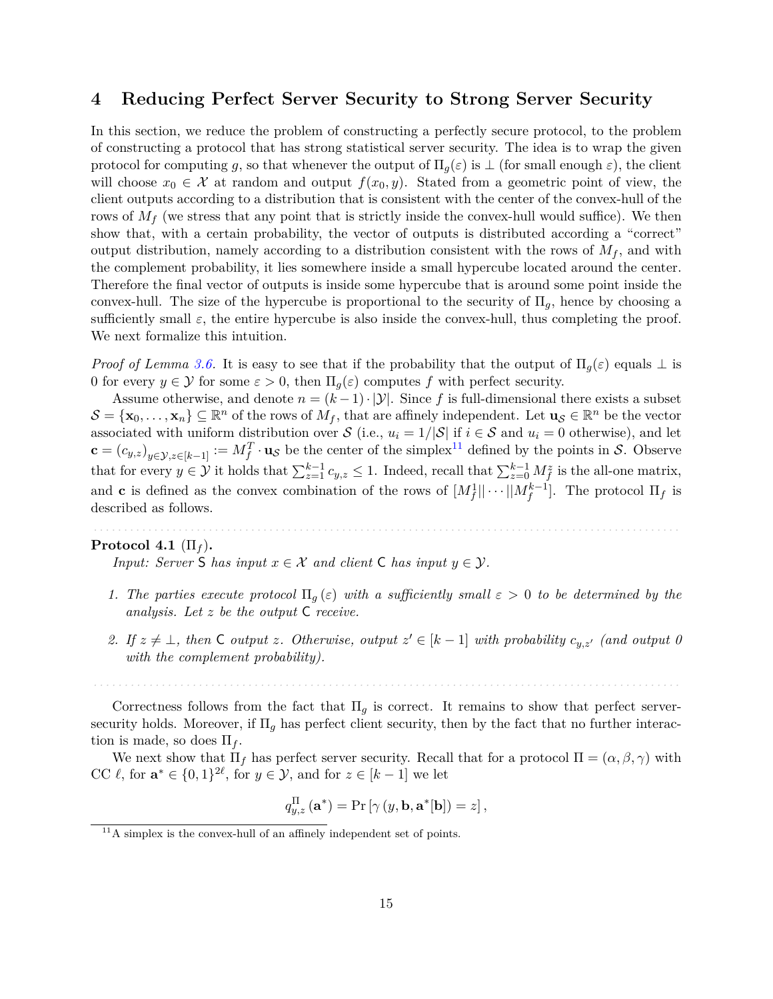## <span id="page-16-0"></span>**4 Reducing Perfect Server Security to Strong Server Security**

In this section, we reduce the problem of constructing a perfectly secure protocol, to the problem of constructing a protocol that has strong statistical server security. The idea is to wrap the given protocol for computing *g*, so that whenever the output of  $\Pi_q(\varepsilon)$  is  $\bot$  (for small enough  $\varepsilon$ ), the client will choose  $x_0 \in \mathcal{X}$  at random and output  $f(x_0, y)$ . Stated from a geometric point of view, the client outputs according to a distribution that is consistent with the center of the convex-hull of the rows of  $M_f$  (we stress that any point that is strictly inside the convex-hull would suffice). We then show that, with a certain probability, the vector of outputs is distributed according a "correct" output distribution, namely according to a distribution consistent with the rows of  $M_f$ , and with the complement probability, it lies somewhere inside a small hypercube located around the center. Therefore the final vector of outputs is inside some hypercube that is around some point inside the convex-hull. The size of the hypercube is proportional to the security of  $\Pi_g$ , hence by choosing a sufficiently small  $\varepsilon$ , the entire hypercube is also inside the convex-hull, thus completing the proof. We next formalize this intuition.

*Proof of Lemma [3.6.](#page-15-0)* It is easy to see that if the probability that the output of  $\Pi_q(\varepsilon)$  equals  $\perp$  is 0 for every  $y \in \mathcal{Y}$  for some  $\varepsilon > 0$ , then  $\Pi_q(\varepsilon)$  computes f with perfect security.

Assume otherwise, and denote  $n = (k-1) \cdot |\mathcal{Y}|$ . Since f is full-dimensional there exists a subset  $\mathcal{S} = {\mathbf{x}_0, \dots, \mathbf{x}_n} \subseteq \mathbb{R}^n$  of the rows of  $M_f$ , that are affinely independent. Let  $\mathbf{u}_{\mathcal{S}} \in \mathbb{R}^n$  be the vector associated with uniform distribution over S (i.e.,  $u_i = 1/|S|$  if  $i \in S$  and  $u_i = 0$  otherwise), and let  $\mathbf{c} = (c_{y,z})_{y \in \mathcal{Y}, z \in [k-1]} := M_f^T \cdot \mathbf{u}_{\mathcal{S}}$  be the center of the simplex<sup>[11](#page-16-1)</sup> defined by the points in S. Observe that for every  $y \in \mathcal{Y}$  it holds that  $\sum_{z=1}^{k-1} c_{y,z} \leq 1$ . Indeed, recall that  $\sum_{z=0}^{k-1} M_f^z$  is the all-one matrix, and **c** is defined as the convex combination of the rows of  $[M_f^1] \cdots ||M_f^{k-1}]$ . The protocol  $\Pi_f$  is described as follows.

. . . . . . . . . . . . . . . . . . . . . . . . . . . . . . . . . . . . . . . . . . . . . . . . . . . . . . . . . . . . . . . . . . . . . . . . . . . . . . . . . . . . . . . . . . . . . . . . .

#### **Protocol 4.1**  $(\Pi_f)$ **.**

*Input: Server* S *has input*  $x \in \mathcal{X}$  *and client* C *has input*  $y \in \mathcal{Y}$ *.* 

- *1. The parties execute protocol*  $\Pi_g(\varepsilon)$  *with a sufficiently small*  $\varepsilon > 0$  *to be determined by the analysis. Let z be the output* C *receive.*
- *2.* If  $z \neq \bot$ , then **C** output *z*. Otherwise, output  $z' \in [k-1]$  with probability  $c_{y,z'}$  (and output 0 *with the complement probability).*

*. . . . . . . . . . . . . . . . . . . . . . . . . . . . . . . . . . . . . . . . . . . . . . . . . . . . . . . . . . . . . . . . . . . . . . . . . . . . . . . . . . . . . . . . . . . . . . .*

Correctness follows from the fact that  $\Pi_g$  is correct. It remains to show that perfect serversecurity holds. Moreover, if  $\Pi_g$  has perfect client security, then by the fact that no further interaction is made, so does  $\Pi_f$ .

We next show that  $\Pi_f$  has perfect server security. Recall that for a protocol  $\Pi = (\alpha, \beta, \gamma)$  with CC  $\ell$ , for  $\mathbf{a}^* \in \{0,1\}^{2\ell}$ , for  $y \in \mathcal{Y}$ , and for  $z \in [k-1]$  we let

$$
q_{y,z}^{\Pi}(\mathbf{a}^*) = \Pr\left[\gamma\left(y,\mathbf{b},\mathbf{a}^*[\mathbf{b}]\right) = z\right],
$$

<span id="page-16-1"></span> $11A$  simplex is the convex-hull of an affinely independent set of points.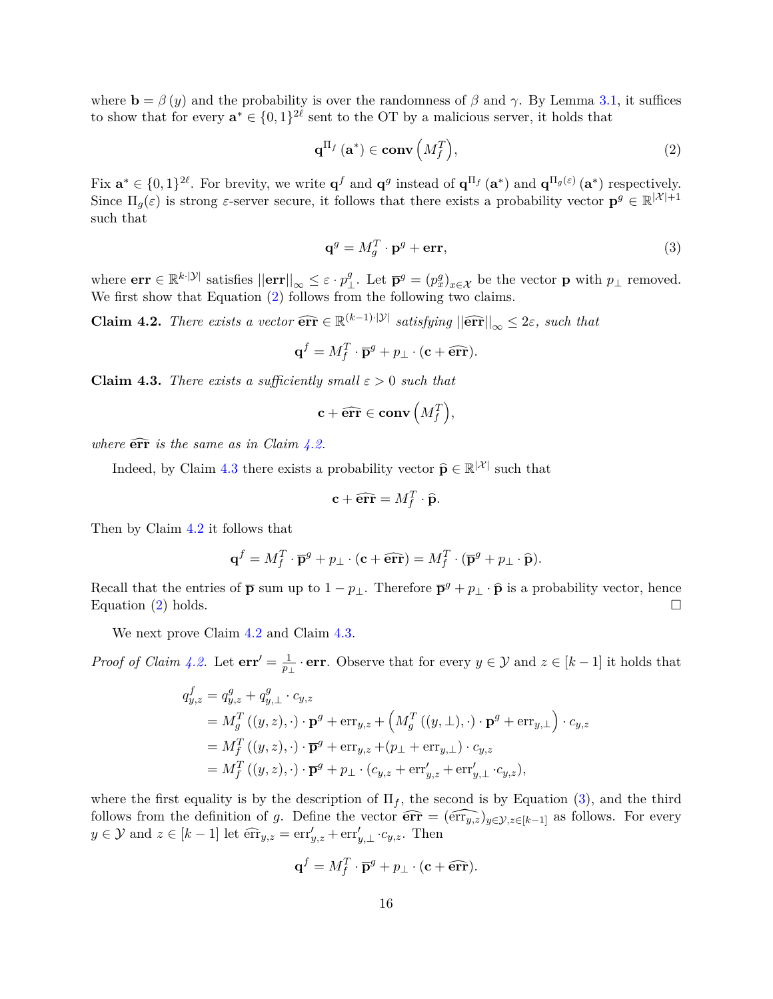where  $\mathbf{b} = \beta(y)$  and the probability is over the randomness of  $\beta$  and  $\gamma$ . By Lemma [3.1,](#page-13-2) it suffices to show that for every  $\mathbf{a}^* \in \{0,1\}^{2\ell}$  sent to the OT by a malicious server, it holds that

<span id="page-17-0"></span>
$$
\mathbf{q}^{\Pi_{f}}\left(\mathbf{a}^{*}\right) \in \mathbf{conv}\left(M_{f}^{T}\right),\tag{2}
$$

Fix  $\mathbf{a}^* \in \{0,1\}^{2\ell}$ . For brevity, we write  $\mathbf{q}^f$  and  $\mathbf{q}^g$  instead of  $\mathbf{q}^{\Pi_f}(\mathbf{a}^*)$  and  $\mathbf{q}^{\Pi_g(\varepsilon)}(\mathbf{a}^*)$  respectively. Since  $\Pi_g(\varepsilon)$  is strong  $\varepsilon$ -server secure, it follows that there exists a probability vector  $\mathbf{p}^g \in \mathbb{R}^{|\mathcal{X}|+1}$ such that

<span id="page-17-3"></span>
$$
\mathbf{q}^g = M_g^T \cdot \mathbf{p}^g + \mathbf{err},\tag{3}
$$

where  $\mathbf{err} \in \mathbb{R}^{k \cdot |\mathcal{Y}|}$  satisfies  $||\mathbf{err}||_{\infty} \leq \varepsilon \cdot p_{\perp}^g$ <sup>*g*</sup><sub>⊥</sub>. Let  $\bar{\mathbf{p}}^g = (p_x^g)_{x \in \mathcal{X}}$  be the vector **p** with  $p_{\perp}$  removed. We first show that Equation [\(2\)](#page-17-0) follows from the following two claims.

<span id="page-17-1"></span>**Claim 4.2.** *There exists a vector*  $\widehat{err} \in \mathbb{R}^{(k-1)\cdot|\mathcal{Y}|}$  *satisfying*  $||\widehat{err}||_{\infty} \leq 2\varepsilon$ *, such that* 

$$
\mathbf{q}^f = M_f^T \cdot \overline{\mathbf{p}}^g + p_\perp \cdot (\mathbf{c} + \widehat{\mathbf{err}}).
$$

<span id="page-17-2"></span>**Claim 4.3.** *There exists a sufficiently small*  $\varepsilon > 0$  *such that* 

$$
\mathbf{c} + \widehat{\mathbf{err}} \in \mathbf{conv}\left(M_f^T\right),\
$$

*where*  $\widehat{\text{err}}$  *is the same as in Claim [4.2.](#page-17-1)* 

Indeed, by Claim [4.3](#page-17-2) there exists a probability vector  $\hat{\mathbf{p}} \in \mathbb{R}^{|\mathcal{X}|}$  such that

$$
\mathbf{c} + \widehat{\mathbf{err}} = M_f^T \cdot \widehat{\mathbf{p}}.
$$

Then by Claim [4.2](#page-17-1) it follows that

$$
\mathbf{q}^f = M_f^T \cdot \mathbf{\bar{p}}^g + p_\perp \cdot (\mathbf{c} + \mathbf{\hat{e}} \mathbf{\hat{r}} \mathbf{\hat{r}}) = M_f^T \cdot (\mathbf{\bar{p}}^g + p_\perp \cdot \mathbf{\hat{p}}).
$$

Recall that the entries of  $\overline{\mathbf{p}}$  sum up to  $1 - p_{\perp}$ . Therefore  $\overline{\mathbf{p}}^g + p_{\perp} \cdot \hat{\mathbf{p}}$  is a probability vector, hence Equation [\(2\)](#page-17-0) holds.  $\square$ 

We next prove Claim  $4.2$  and Claim  $4.3$ .

*Proof of Claim [4.2.](#page-17-1)* Let  $err' = \frac{1}{n}$  $\frac{1}{p_{\perp}}$  • **err**. Observe that for every *y* ∈ *y* and *z* ∈ [*k* − 1] it holds that

$$
q_{y,z}^f = q_{y,z}^g + q_{y,\perp}^g \cdot c_{y,z}
$$
  
=  $M_g^T((y, z), \cdot) \cdot \mathbf{p}^g + \text{err}_{y,z} + \left(M_g^T((y, \perp), \cdot) \cdot \mathbf{p}^g + \text{err}_{y,\perp}\right) \cdot c_{y,z}$   
=  $M_f^T((y, z), \cdot) \cdot \overline{\mathbf{p}}^g + \text{err}_{y,z} + (p_\perp + \text{err}_{y,\perp}) \cdot c_{y,z}$   
=  $M_f^T((y, z), \cdot) \cdot \overline{\mathbf{p}}^g + p_\perp \cdot (c_{y,z} + \text{err}'_{y,z} + \text{err}'_{y,\perp} \cdot c_{y,z}),$ 

where the first equality is by the description of  $\Pi_f$ , the second is by Equation [\(3\)](#page-17-3), and the third follows from the definition of *g*. Define the vector  $\widehat{err} = (\widehat{err}_{y,z})_{y \in \mathcal{Y}, z \in [k-1]}$  as follows. For every  $y \in \mathcal{Y}$  and  $z \in [k-1]$  let  $\widehat{\text{err}}_{y,z} = \text{err}'_{y,z} + \text{err}'_{y,\perp} \cdot c_{y,z}$ . Then

$$
\mathbf{q}^f = M_f^T \cdot \overline{\mathbf{p}}^g + p_\perp \cdot (\mathbf{c} + \widehat{\mathbf{err}}).
$$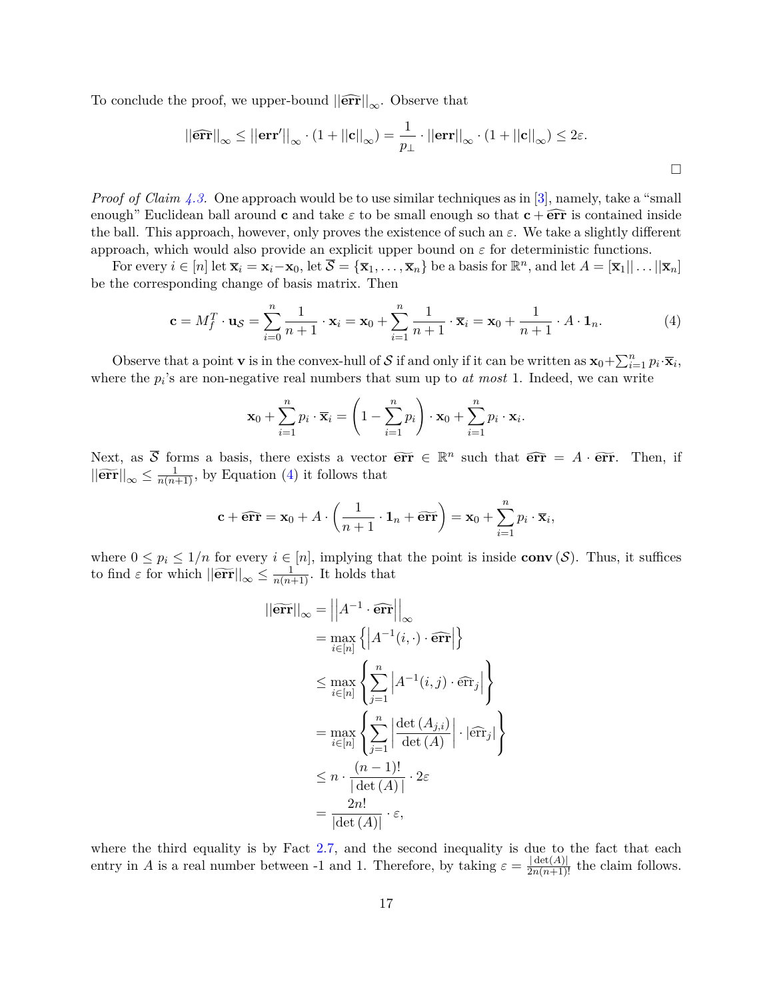To conclude the proof, we upper-bound  $\left\|\widehat{\mathbf{err}}\right\|_{\infty}$ . Observe that

$$
||\widehat{\text{err}}||_{\infty} \le ||\text{err}'||_{\infty} \cdot (1 + ||\textbf{c}||_{\infty}) = \frac{1}{p_{\perp}} \cdot ||\text{err}||_{\infty} \cdot (1 + ||\textbf{c}||_{\infty}) \le 2\varepsilon.
$$

*Proof of Claim [4.3.](#page-17-2)* One approach would be to use similar techniques as in [\[3\]](#page-31-0), namely, take a "small" enough" Euclidean ball around **c** and take  $\varepsilon$  to be small enough so that  $c + \widehat{err}$  is contained inside the ball. This approach, however, only proves the existence of such an *ε*. We take a slightly different approach, which would also provide an explicit upper bound on  $\varepsilon$  for deterministic functions.

For every  $i \in [n]$  let  $\overline{\mathbf{x}}_i = \mathbf{x}_i - \mathbf{x}_0$ , let  $\overline{\mathcal{S}} = {\overline{\mathbf{x}}_1, \ldots, \overline{\mathbf{x}}_n}$  be a basis for  $\mathbb{R}^n$ , and let  $A = [\overline{\mathbf{x}}_1 | \ldots | \overline{\mathbf{x}}_n]$ be the corresponding change of basis matrix. Then

$$
\mathbf{c} = M_f^T \cdot \mathbf{u}_\mathcal{S} = \sum_{i=0}^n \frac{1}{n+1} \cdot \mathbf{x}_i = \mathbf{x}_0 + \sum_{i=1}^n \frac{1}{n+1} \cdot \overline{\mathbf{x}}_i = \mathbf{x}_0 + \frac{1}{n+1} \cdot A \cdot \mathbf{1}_n. \tag{4}
$$

Observe that a point **v** is in the convex-hull of S if and only if it can be written as  $\mathbf{x}_0 + \sum_{i=1}^n p_i \cdot \overline{\mathbf{x}}_i$ , where the  $p_i$ 's are non-negative real numbers that sum up to *at most* 1. Indeed, we can write

<span id="page-18-0"></span>
$$
\mathbf{x}_0 + \sum_{i=1}^n p_i \cdot \overline{\mathbf{x}}_i = \left(1 - \sum_{i=1}^n p_i\right) \cdot \mathbf{x}_0 + \sum_{i=1}^n p_i \cdot \mathbf{x}_i.
$$

Next, as  $\overline{S}$  forms a basis, there exists a vector  $\widetilde{err} \in \mathbb{R}^n$  such that  $\widehat{err} = A \cdot \widetilde{err}$ . Then, if  $\left|\left|\widetilde{\mathbf{err}}\right|\right|_{\infty} \leq \frac{1}{n(n+1)}$ , by Equation [\(4\)](#page-18-0) it follows that

$$
\mathbf{c} + \widehat{\mathbf{err}} = \mathbf{x}_0 + A \cdot \left(\frac{1}{n+1} \cdot \mathbf{1}_n + \widetilde{\mathbf{err}}\right) = \mathbf{x}_0 + \sum_{i=1}^n p_i \cdot \overline{\mathbf{x}}_i,
$$

where  $0 \leq p_i \leq 1/n$  for every  $i \in [n]$ , implying that the point is inside **conv** (S). Thus, it suffices to find  $\varepsilon$  for which  $\left\|\widetilde{\mathbf{err}}\right\|_{\infty} \leq \frac{1}{n(n+1)}$ . It holds that

$$
\begin{aligned}\n||\widetilde{\text{err}}||_{\infty} &= \left\| A^{-1} \cdot \widehat{\text{err}} \right\|_{\infty} \\
&= \max_{i \in [n]} \left\{ \left| A^{-1}(i, \cdot) \cdot \widehat{\text{err}} \right| \right\} \\
&\leq \max_{i \in [n]} \left\{ \sum_{j=1}^{n} \left| A^{-1}(i, j) \cdot \widehat{\text{err}}_{j} \right| \right\} \\
&= \max_{i \in [n]} \left\{ \sum_{j=1}^{n} \left| \frac{\det (A_{j,i})}{\det (A)} \right| \cdot |\widehat{\text{err}}_{j}| \right\} \\
&\leq n \cdot \frac{(n-1)!}{|\det (A)|} \cdot 2\varepsilon \\
&= \frac{2n!}{|\det (A)|} \cdot \varepsilon,\n\end{aligned}
$$

where the third equality is by Fact [2.7,](#page-9-2) and the second inequality is due to the fact that each entry in *A* is a real number between -1 and 1. Therefore, by taking  $\varepsilon = \frac{|\det(A)|}{2n(n+1)!}$  the claim follows.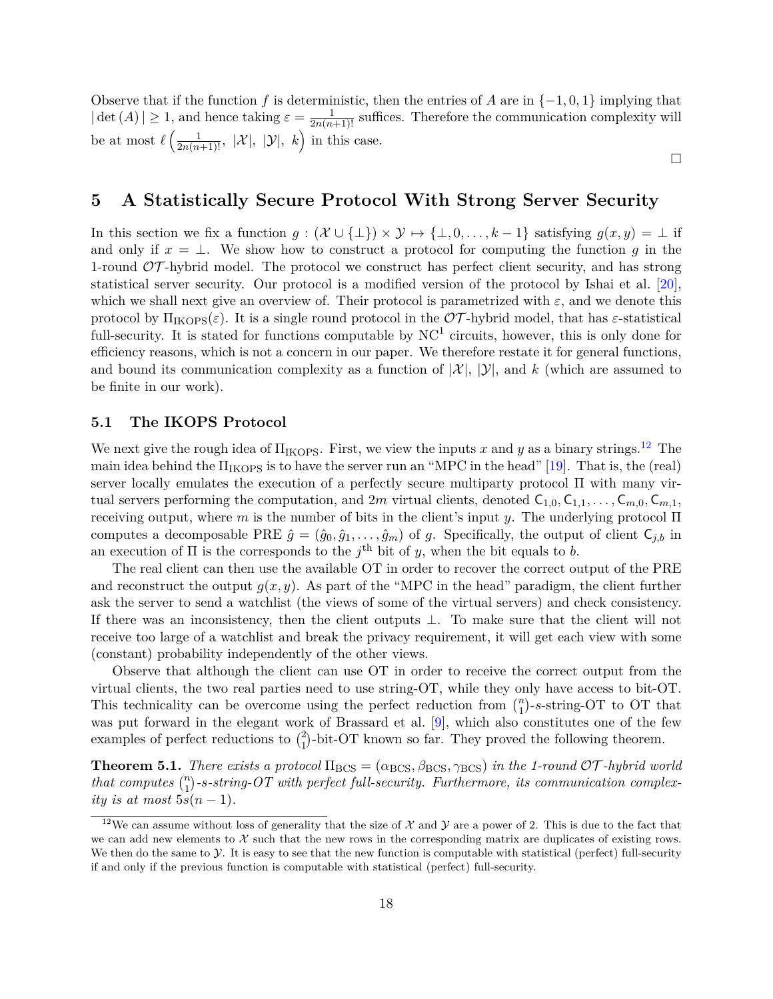Observe that if the function *f* is deterministic, then the entries of *A* are in  $\{-1,0,1\}$  implying that  $|\det(A)| \geq 1$ , and hence taking  $\varepsilon = \frac{1}{2n(n+1)!}$  suffices. Therefore the communication complexity will be at most  $\ell\left(\frac{1}{2n(n+1)!}, \,|\mathcal{X}|, |\mathcal{Y}|, k\right)$  in this case.

 $\Box$ 

## <span id="page-19-0"></span>**5 A Statistically Secure Protocol With Strong Server Security**

In this section we fix a function  $g : (\mathcal{X} \cup \{\perp\}) \times \mathcal{Y} \mapsto {\perp, 0, \ldots, k-1}$  satisfying  $g(x, y) = \perp$  if and only if  $x = \perp$ . We show how to construct a protocol for computing the function *g* in the 1-round  $\mathcal{OT}$ -hybrid model. The protocol we construct has perfect client security, and has strong statistical server security. Our protocol is a modified version of the protocol by Ishai et al. [\[20\]](#page-32-1), which we shall next give an overview of. Their protocol is parametrized with *ε*, and we denote this protocol by  $\Pi_{\text{IKOPS}}(\varepsilon)$ . It is a single round protocol in the  $\mathcal{OT}$ -hybrid model, that has  $\varepsilon$ -statistical full-security. It is stated for functions computable by  $NC<sup>1</sup>$  circuits, however, this is only done for efficiency reasons, which is not a concern in our paper. We therefore restate it for general functions, and bound its communication complexity as a function of  $|\mathcal{X}|$ ,  $|\mathcal{Y}|$ , and k (which are assumed to be finite in our work).

## <span id="page-19-1"></span>**5.1 The IKOPS Protocol**

We next give the rough idea of  $\Pi_{IKOPS}$ . First, we view the inputs *x* and *y* as a binary strings.<sup>[12](#page-19-2)</sup> The main idea behind the  $\Pi_{IKOPS}$  is to have the server run an "MPC in the head" [\[19\]](#page-32-8). That is, the (real) server locally emulates the execution of a perfectly secure multiparty protocol Π with many virtual servers performing the computation, and 2*m* virtual clients, denoted  $C_{1,0}, C_{1,1}, \ldots, C_{m,0}, C_{m,1}$ , receiving output, where *m* is the number of bits in the client's input *y*. The underlying protocol Π computes a decomposable PRE  $\hat{g} = (\hat{g}_0, \hat{g}_1, \dots, \hat{g}_m)$  of *g*. Specifically, the output of client  $C_{j,b}$  in an execution of  $\Pi$  is the corresponds to the *j*<sup>th</sup> bit of *y*, when the bit equals to *b*.

The real client can then use the available OT in order to recover the correct output of the PRE and reconstruct the output  $g(x, y)$ . As part of the "MPC in the head" paradigm, the client further ask the server to send a watchlist (the views of some of the virtual servers) and check consistency. If there was an inconsistency, then the client outputs  $\perp$ . To make sure that the client will not receive too large of a watchlist and break the privacy requirement, it will get each view with some (constant) probability independently of the other views.

Observe that although the client can use OT in order to receive the correct output from the virtual clients, the two real parties need to use string-OT, while they only have access to bit-OT. This technicality can be overcome using the perfect reduction from  $\binom{n}{1}$ -s-string-OT to OT that was put forward in the elegant work of Brassard et al. [\[9\]](#page-31-5), which also constitutes one of the few examples of perfect reductions to  $\binom{2}{1}$  $_{1}^{2}$ )-bit-OT known so far. They proved the following theorem.

**Theorem 5.1.** *There exists a protocol*  $\Pi_{BCS} = (\alpha_{BCS}, \beta_{BCS}, \gamma_{BCS})$  *in the 1-round*  $\mathcal{OT}$ *-hybrid world*  $that$  computes  $\binom{n}{1}$ -s-string-OT with perfect full-security. Furthermore, its communication complex*ity is at most*  $5s(n-1)$ *.* 

<span id="page-19-2"></span><sup>&</sup>lt;sup>12</sup>We can assume without loss of generality that the size of X and Y are a power of 2. This is due to the fact that we can add new elements to  $\mathcal X$  such that the new rows in the corresponding matrix are duplicates of existing rows. We then do the same to  $\mathcal Y$ . It is easy to see that the new function is computable with statistical (perfect) full-security if and only if the previous function is computable with statistical (perfect) full-security.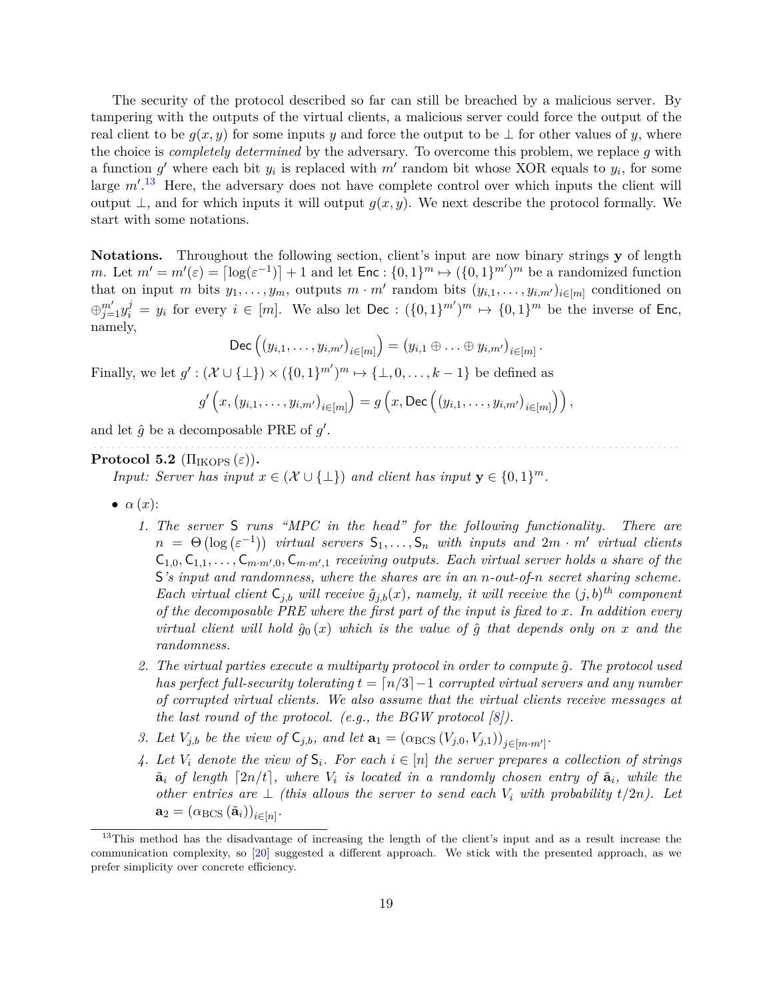The security of the protocol described so far can still be breached by a malicious server. By tampering with the outputs of the virtual clients, a malicious server could force the output of the real client to be  $g(x, y)$  for some inputs *y* and force the output to be  $\perp$  for other values of *y*, where the choice is *completely determined* by the adversary. To overcome this problem, we replace *g* with a function  $g'$  where each bit  $y_i$  is replaced with  $m'$  random bit whose XOR equals to  $y_i$ , for some large  $m'$ .<sup>[13](#page-20-0)</sup> Here, the adversary does not have complete control over which inputs the client will output  $\perp$ , and for which inputs it will output  $q(x, y)$ . We next describe the protocol formally. We start with some notations.

**Notations.** Throughout the following section, client's input are now binary strings **y** of length *m*. Let  $m' = m'(\varepsilon) = \left[\log(\varepsilon^{-1})\right] + 1$  and let  $\text{Enc} : \{0, 1\}^m \mapsto (\{0, 1\}^{m'})^m$  be a randomized function that on input *m* bits  $y_1, \ldots, y_m$ , outputs  $m \cdot m'$  random bits  $(y_{i,1}, \ldots, y_{i,m'})_{i \in [m]}$  conditioned on  $\bigoplus_{j=1}^{m'} y_i^j = y_i$  for every  $i \in [m]$ . We also let Dec :  $(\{0,1\}^{m'})^m \mapsto \{0,1\}^m$  be the inverse of Enc, namely,

$$
\mathsf{Dec}\left(\left(y_{i,1},\ldots,y_{i,m'}\right)_{i\in[m]}\right)=\left(y_{i,1}\oplus\ldots\oplus y_{i,m'}\right)_{i\in[m]}.
$$

Finally, we let  $g'$  :  $(\mathcal{X} \cup {\{\perp\}}) \times ({0,1\}^{m'})^m \mapsto {\{\perp,0,\ldots,k-1\}}$  be defined as

$$
g'\left(x,(y_{i,1},\ldots,y_{i,m'})_{i\in[m]}\right)=g\left(x,\text{Dec}\left((y_{i,1},\ldots,y_{i,m'})_{i\in[m]}\right)\right),\,
$$

. . . . . . . . . . . . . . . . . . . . . . . . . . . . . . . . . . . . . . . . . . . . . . . . . . . . . . . . . . . . . . . . . . . . . . . . . . . . . . . . . . . . . . . . . . . . . . . . .

and let  $\hat{g}$  be a decomposable PRE of  $g'$ .

## **Protocol 5.2**  $(\Pi_{\text{IKOPS}}(\varepsilon)).$

*Input: Server has input*  $x \in (\mathcal{X} \cup \{\perp\})$  *and client has input*  $\mathbf{y} \in \{0,1\}^m$ *.* 

- $\bullet$   $\alpha(x)$ :
	- *1. The server* S *runs "MPC in the head" for the following functionality. There are*  $n = \Theta(\log(\varepsilon^{-1}))$  *virtual servers*  $S_1, \ldots, S_n$  *with inputs and*  $2m \cdot m'$  *virtual clients*  $C_{1,0}, C_{1,1}, \ldots, C_{m \cdot m',0}, C_{m \cdot m',1}$  receiving outputs. Each virtual server holds a share of the S*'s input and randomness, where the shares are in an n-out-of-n secret sharing scheme. Each virtual client*  $C_{j,b}$  *will receive*  $\hat{g}_{j,b}(x)$ *, namely, it will receive the*  $(j,b)^{th}$  *component of the decomposable PRE where the first part of the input is fixed to x. In addition every virtual client will hold*  $\hat{g}_0(x)$  *which is the value of*  $\hat{g}$  *that depends only on x and the randomness.*
	- *2. The virtual parties execute a multiparty protocol in order to compute g*ˆ*. The protocol used has perfect full-security tolerating*  $t = \lfloor n/3 \rfloor - 1$  *corrupted virtual servers and any number of corrupted virtual clients. We also assume that the virtual clients receive messages at the last round of the protocol. (e.g., the BGW protocol*  $\{8\}$ *).*
	- *3. Let*  $V_{j,b}$  *be the view of*  $C_{j,b}$ *, and let*  $\mathbf{a}_1 = (\alpha_{\text{BCS}} (V_{j,0}, V_{j,1}))_{j \in [m \cdot m']}$ .
	- *4.* Let  $V_i$  denote the view of  $S_i$ . For each  $i \in [n]$  the server prepares a collection of strings  $\tilde{a}_i$  *of length*  $\lceil 2n/t \rceil$ *, where*  $V_i$  *is located in a randomly chosen entry of*  $\tilde{a}_i$ *, while the other entries are*  $\perp$  *(this allows the server to send each*  $V_i$  *with probability*  $t/2n$ *). Let*  $\mathbf{a}_2 = (\alpha_{\text{BCS}}(\tilde{\mathbf{a}}_i))_{i \in [n]}.$

<span id="page-20-0"></span><sup>&</sup>lt;sup>13</sup>This method has the disadvantage of increasing the length of the client's input and as a result increase the communication complexity, so [\[20\]](#page-32-1) suggested a different approach. We stick with the presented approach, as we prefer simplicity over concrete efficiency.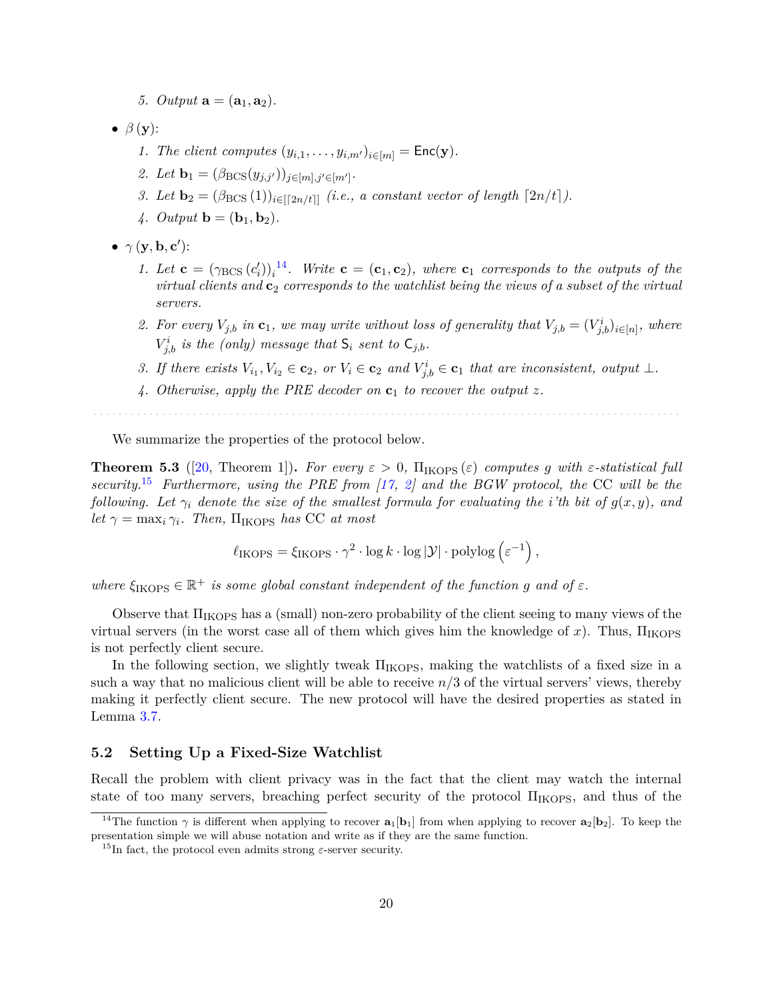- *5. Output*  $\mathbf{a} = (\mathbf{a}_1, \mathbf{a}_2)$ *.*
- $\bullet$   $\beta$  (**y**):
	- *1. The client computes*  $(y_{i,1}, \ldots, y_{i,m'})_{i \in [m]} = \text{Enc}(\mathbf{y})$ *.*
	- 2. Let  $\mathbf{b}_1 = (\beta_{\text{BCS}}(y_{j,j'}))_{j \in [m], j' \in [m']}$ .
	- *3. Let*  $\mathbf{b}_2 = (\beta_{\text{BCS}}(1))_{i \in \lbrack \lbrack 2n/t \rbrack \rbrack}$  *(i.e., a constant vector of length*  $\lbrack 2n/t \rbrack$ *).*
	- *4.*  $Output$   $$
- $\gamma$  (**y**, **b**, **c**'):
	- 1. Let  $\mathbf{c} = (\gamma_{\text{BCS}}(c'_i))_i^{14}$  $\mathbf{c} = (\gamma_{\text{BCS}}(c'_i))_i^{14}$  $\mathbf{c} = (\gamma_{\text{BCS}}(c'_i))_i^{14}$ . Write  $\mathbf{c} = (\mathbf{c}_1, \mathbf{c}_2)$ , where  $\mathbf{c}_1$  corresponds to the outputs of the *virtual clients and* **c**<sup>2</sup> *corresponds to the watchlist being the views of a subset of the virtual servers.*
	- 2. For every  $V_{j,b}$  in  $\mathbf{c}_1$ , we may write without loss of generality that  $V_{j,b} = (V_{j,b}^i)_{i \in [n]}$ , where  $V_{j,b}^i$  *is the (only) message that*  $S_i$  *sent to*  $C_{j,b}$ *.*
	- *3. If there exists*  $V_{i_1}, V_{i_2} \in \mathbf{c}_2$ , or  $V_i \in \mathbf{c}_2$  and  $V_{j,b}^i \in \mathbf{c}_1$  that are inconsistent, output  $\perp$ .
	- *4. Otherwise, apply the PRE decoder on* **c**<sup>1</sup> *to recover the output z.*

*. . . . . . . . . . . . . . . . . . . . . . . . . . . . . . . . . . . . . . . . . . . . . . . . . . . . . . . . . . . . . . . . . . . . . . . . . . . . . . . . . . . . . . . . . . . . . . .*

We summarize the properties of the protocol below.

**Theorem 5.3** ([\[20,](#page-32-1) Theorem 1]). For every  $\varepsilon > 0$ ,  $\Pi_{\text{IKOPS}}(\varepsilon)$  computes g with  $\varepsilon$ -statistical full *security.*[15](#page-21-2) *Furthermore, using the PRE from [\[17,](#page-32-13) [2\]](#page-31-6) and the BGW protocol, the* CC *will be the following. Let*  $\gamma_i$  *denote the size of the smallest formula for evaluating the <i>i*'th bit of  $g(x, y)$ *, and*  $let \gamma = \max_i \gamma_i$ *. Then,*  $\Pi_{IKOPS}$  *has* CC *at most* 

$$
\ell_{\text{IKOPS}} = \xi_{\text{IKOPS}} \cdot \gamma^2 \cdot \log k \cdot \log |\mathcal{Y}| \cdot \text{polylog} \left(\varepsilon^{-1}\right),
$$

 $where \xi_{IKOPS} \in \mathbb{R}^+$  *is some global constant independent of the function g and of*  $\varepsilon$ *.* 

Observe that  $\Pi_{\rm KOPS}$  has a (small) non-zero probability of the client seeing to many views of the virtual servers (in the worst case all of them which gives him the knowledge of x). Thus,  $\Pi_{\text{IKOPS}}$ is not perfectly client secure.

In the following section, we slightly tweak  $\Pi_{IKOPS}$ , making the watchlists of a fixed size in a such a way that no malicious client will be able to receive *n/*3 of the virtual servers' views, thereby making it perfectly client secure. The new protocol will have the desired properties as stated in Lemma [3.7.](#page-15-1)

## <span id="page-21-0"></span>**5.2 Setting Up a Fixed-Size Watchlist**

Recall the problem with client privacy was in the fact that the client may watch the internal state of too many servers, breaching perfect security of the protocol  $\Pi_{\rm KOPS}$ , and thus of the

<span id="page-21-1"></span><sup>&</sup>lt;sup>14</sup>The function  $\gamma$  is different when applying to recover  $\mathbf{a}_1[\mathbf{b}_1]$  from when applying to recover  $\mathbf{a}_2[\mathbf{b}_2]$ . To keep the presentation simple we will abuse notation and write as if they are the same function.

<span id="page-21-2"></span><sup>&</sup>lt;sup>15</sup>In fact, the protocol even admits strong  $\varepsilon$ -server security.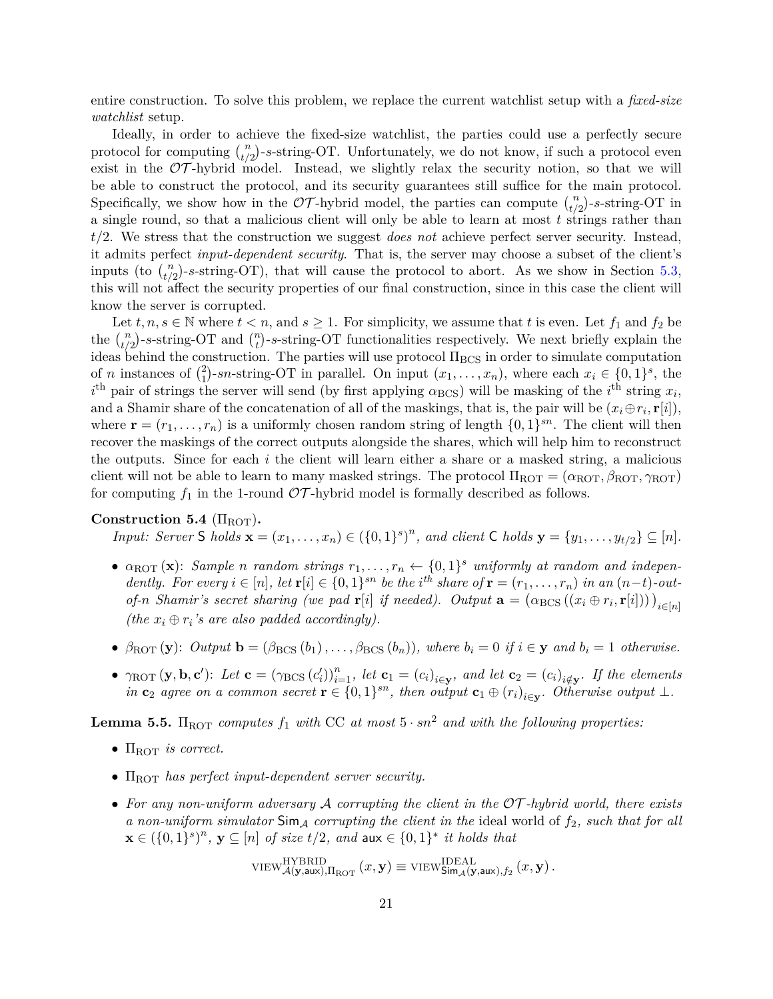entire construction. To solve this problem, we replace the current watchlist setup with a *fixed-size watchlist* setup.

Ideally, in order to achieve the fixed-size watchlist, the parties could use a perfectly secure protocol for computing  $\binom{n}{t/2}$ -s-string-OT. Unfortunately, we do not know, if such a protocol even exist in the  $\mathcal{OT}$ -hybrid model. Instead, we slightly relax the security notion, so that we will be able to construct the protocol, and its security guarantees still suffice for the main protocol. Specifically, we show how in the  $\mathcal{OT}$ -hybrid model, the parties can compute  $\binom{n}{t/2}$ -s-string-OT in a single round, so that a malicious client will only be able to learn at most *t* strings rather than *t/*2. We stress that the construction we suggest *does not* achieve perfect server security. Instead, it admits perfect *input-dependent security*. That is, the server may choose a subset of the client's inputs (to  $\binom{n}{t/2}$ -s-string-OT), that will cause the protocol to abort. As we show in Section [5.3,](#page-23-0) this will not affect the security properties of our final construction, since in this case the client will know the server is corrupted.

Let  $t, n, s \in \mathbb{N}$  where  $t < n$ , and  $s \geq 1$ . For simplicity, we assume that  $t$  is even. Let  $f_1$  and  $f_2$  be the  $\binom{n}{t/2}$ -s-string-OT and  $\binom{n}{t}$ -s-string-OT functionalities respectively. We next briefly explain the ideas behind the construction. The parties will use protocol  $\Pi_{BCS}$  in order to simulate computation of *n* instances of  $\binom{2}{1}$  $_{1}^{2}$ -sn-string-OT in parallel. On input  $(x_1, \ldots, x_n)$ , where each  $x_i \in \{0,1\}^s$ , the  $i$ <sup>th</sup> pair of strings the server will send (by first applying  $\alpha$ <sub>BCS</sub>) will be masking of the  $i$ <sup>th</sup> string  $x_i$ , and a Shamir share of the concatenation of all of the maskings, that is, the pair will be  $(x_i \oplus r_i, \mathbf{r}[i])$ , where  $\mathbf{r} = (r_1, \ldots, r_n)$  is a uniformly chosen random string of length  $\{0, 1\}^{sn}$ . The client will then recover the maskings of the correct outputs alongside the shares, which will help him to reconstruct the outputs. Since for each *i* the client will learn either a share or a masked string, a malicious client will not be able to learn to many masked strings. The protocol  $\Pi_{\text{ROT}} = (\alpha_{\text{ROT}}$ ,  $\beta_{\text{ROT}}$ ,  $\gamma_{\text{ROT}}$ for computing  $f_1$  in the 1-round  $\mathcal{OT}$ -hybrid model is formally described as follows.

## **Construction 5.4** (Π<sub>ROT</sub>).

*Input: Server*  $S$  *holds*  $\mathbf{x} = (x_1, \dots, x_n) \in (\{0, 1\}^s)^n$ *, and client*  $C$  *holds*  $\mathbf{y} = \{y_1, \dots, y_{t/2}\} \subseteq [n]$ *.* 

- $\alpha_{\text{ROT}}(\mathbf{x})$ : *Sample n random strings*  $r_1, \ldots, r_n \leftarrow \{0, 1\}^s$  *uniformly at random and indepen*dently. For every  $i \in [n]$ , let  $\mathbf{r}[i] \in \{0,1\}^{sn}$  be the i<sup>th</sup> share of  $\mathbf{r} = (r_1, \ldots, r_n)$  in an  $(n-t)$ -out*of-n Shamir's secret sharing (we pad*  $\mathbf{r}[i]$  *if needed). Output*  $\mathbf{a} = (\alpha_{\text{BCS}}((x_i \oplus r_i, \mathbf{r}[i]))_{i \in [n]}$ *(the*  $x_i \oplus r_i$ *'s are also padded accordingly).*
- $\beta_{\text{ROT}}(\mathbf{y})$ : Output  $\mathbf{b} = (\beta_{\text{BCS}}(b_1), \dots, \beta_{\text{BCS}}(b_n))$ , where  $b_i = 0$  if  $i \in \mathbf{y}$  and  $b_i = 1$  otherwise.
- $\gamma_{\text{ROT}}(\mathbf{y}, \mathbf{b}, \mathbf{c}')$ : Let  $\mathbf{c} = (\gamma_{\text{BCS}}(c_i'))_{i=1}^n$ , let  $\mathbf{c}_1 = (c_i)_{i \in \mathbf{y}}$ , and let  $\mathbf{c}_2 = (c_i)_{i \notin \mathbf{y}}$ . If the elements *in* **c**<sub>2</sub> *agree on a common secret*  $\mathbf{r} \in \{0,1\}^{sn}$ , then output **c**<sub>1</sub> ⊕  $(r_i)_{i \in \mathbf{y}}$ . Otherwise output  $\perp$ .

<span id="page-22-0"></span>**Lemma 5.5.**  $\Pi_{\text{ROT}}$  *computes*  $f_1$  *with* CC *at most*  $5 \cdot sn^2$  *and with the following properties:* 

- $\bullet$   $\Pi_{\text{ROT}}$  *is correct.*
- Π<sub>ROT</sub> has perfect input-dependent server security.
- *For any non-uniform adversary* A *corrupting the client in the* OT *-hybrid world, there exists a non-uniform simulator* Sim<sup>A</sup> *corrupting the client in the* ideal world of *f*2*, such that for all*  $\mathbf{x} \in (\{0,1\}^s)^n$ ,  $\mathbf{y} \subseteq [n]$  *of size*  $t/2$ , *and* aux  $\in \{0,1\}^*$  *it holds that*

$$
\text{VIEW}_{\mathcal{A}(\mathbf{y},\mathsf{aux}),\Pi_{\text{ROT}}}^{\text{HYBRID}}(x,\mathbf{y}) \equiv \text{VIEW}_{\mathsf{Sim}_{\mathcal{A}}(\mathbf{y},\mathsf{aux}),f_2}^{\text{IDEAL}}(x,\mathbf{y})\,.
$$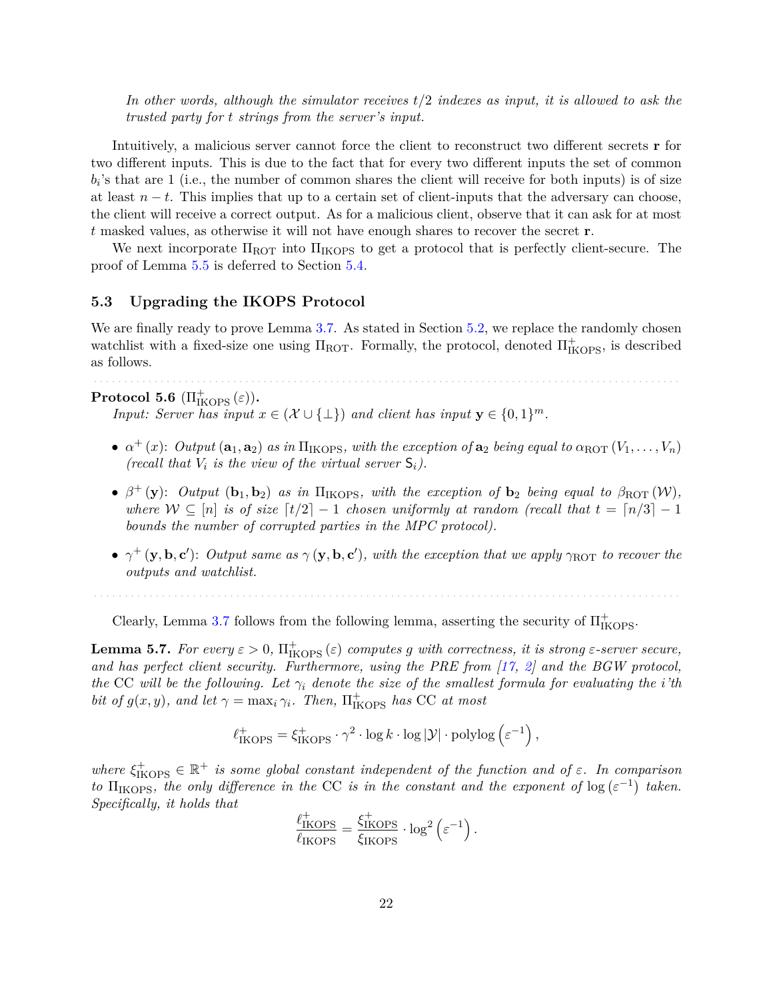*In other words, although the simulator receives t/*2 *indexes as input, it is allowed to ask the trusted party for t strings from the server's input.*

Intuitively, a malicious server cannot force the client to reconstruct two different secrets **r** for two different inputs. This is due to the fact that for every two different inputs the set of common  $b_i$ 's that are 1 (i.e., the number of common shares the client will receive for both inputs) is of size at least  $n - t$ . This implies that up to a certain set of client-inputs that the adversary can choose, the client will receive a correct output. As for a malicious client, observe that it can ask for at most *t* masked values, as otherwise it will not have enough shares to recover the secret **r**.

We next incorporate  $\Pi_{\text{ROT}}$  into  $\Pi_{\text{KOPS}}$  to get a protocol that is perfectly client-secure. The proof of Lemma [5.5](#page-22-0) is deferred to Section [5.4.](#page-27-0)

## <span id="page-23-0"></span>**5.3 Upgrading the IKOPS Protocol**

We are finally ready to prove Lemma [3.7.](#page-15-1) As stated in Section [5.2,](#page-21-0) we replace the randomly chosen watch is with a fixed-size one using  $\Pi_{\text{ROT}}$ . Formally, the protocol, denoted  $\Pi_{\text{IKOPS}}^+$ , is described as follows.

. . . . . . . . . . . . . . . . . . . . . . . . . . . . . . . . . . . . . . . . . . . . . . . . . . . . . . . . . . . . . . . . . . . . . . . . . . . . . . . . . . . . . . . . . . . . . . . . .

## $\textbf{Protocol 5.6} \ (\Pi_{\text{IKOPS}}^{+}(\varepsilon)).$

*Input: Server has input*  $x \in (\mathcal{X} \cup \{\perp\})$  *and client has input*  $\mathbf{y} \in \{0,1\}^m$ *.* 

- $\alpha^+(x)$ : *Output* (**a**<sub>1</sub>, **a**<sub>2</sub>) *as in*  $\Pi_{IKOPS}$ *, with the exception of* **a**<sub>2</sub> *being equal to*  $\alpha_{ROT}(V_1, \ldots, V_n)$ *(recall that*  $V_i$  *is the view of the virtual server*  $S_i$ *).*
- $\bullet$   $\beta^+$  (y): *Output* (**b**<sub>1</sub>, **b**<sub>2</sub>) *as in*  $\Pi_{IKOPS}$ *, with the exception of* **b**<sub>2</sub> *being equal to*  $\beta_{ROT}(\mathcal{W})$ *, where*  $W \subseteq [n]$  *is of size*  $\lceil t/2 \rceil - 1$  *chosen uniformly at random (recall that*  $t = \lceil n/3 \rceil - 1$ *bounds the number of corrupted parties in the MPC protocol).*
- $\bullet$   $\gamma^+$  (**y**, **b**, **c**'): *Output same as*  $\gamma$  (**y**, **b**, **c**'), with the exception that we apply  $\gamma_{\text{ROT}}$  to recover the *outputs and watchlist.*

*. . . . . . . . . . . . . . . . . . . . . . . . . . . . . . . . . . . . . . . . . . . . . . . . . . . . . . . . . . . . . . . . . . . . . . . . . . . . . . . . . . . . . . . . . . . . . . .*

Clearly, Lemma [3.7](#page-15-1) follows from the following lemma, asserting the security of  $\Pi^{+}_{\rm IKOPS}.$ 

**Lemma 5.7.** For every  $\varepsilon > 0$ ,  $\Pi^{+}_{IKOPS}(\varepsilon)$  computes g with correctness, it is strong  $\varepsilon$ -server secure, *and has perfect client security. Furthermore, using the PRE from [\[17,](#page-32-13) [2\]](#page-31-6) and the BGW protocol, the* CC will be the following. Let  $\gamma_i$  denote the size of the smallest formula for evaluating the *i*'th *bit of*  $g(x, y)$ *, and let*  $\gamma = \max_i \gamma_i$ *. Then,*  $\Pi_{\text{IKOPS}}^+$  *has* CC *at most* 

$$
\ell_{\text{IKOPS}}^+ = \xi_{\text{IKOPS}}^+ \cdot \gamma^2 \cdot \log k \cdot \log |\mathcal{Y}| \cdot \text{polylog} \left( \varepsilon^{-1} \right),
$$

 $where \xi_{IKOPS}^+ \in \mathbb{R}^+$  *is some global constant independent of the function and of*  $\varepsilon$ *. In comparison to*  $\Pi_{IKOPS}$ , the only difference in the CC is in the constant and the exponent of  $\log(\varepsilon^{-1})$  taken. *Specifically, it holds that*

$$
\frac{\ell_{\text{IKOPS}}^+}{\ell_{\text{IKOPS}}} = \frac{\xi_{\text{IKOPS}}^+}{\xi_{\text{IKOPS}}} \cdot \log^2\left(\varepsilon^{-1}\right).
$$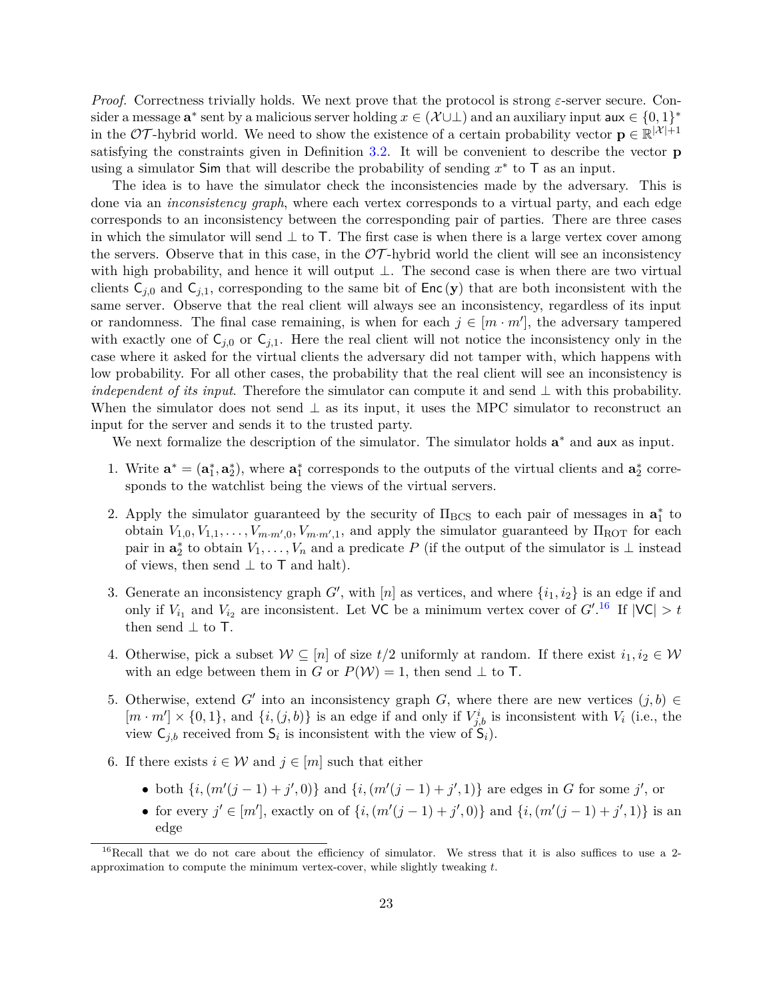*Proof.* Correctness trivially holds. We next prove that the protocol is strong  $\varepsilon$ -server secure. Consider a message  $\mathbf{a}^*$  sent by a malicious server holding  $x \in (\mathcal{X} \cup \bot)$  and an auxiliary input  $\mathsf{aux} \in \{0,1\}^*$ in the OT-hybrid world. We need to show the existence of a certain probability vector  $\mathbf{p} \in \mathbb{R}^{|\mathcal{X}|+1}$ satisfying the constraints given in Definition [3.2.](#page-14-4) It will be convenient to describe the vector **p** using a simulator Sim that will describe the probability of sending  $x^*$  to  $\overline{\mathrm{I}}$  as an input.

The idea is to have the simulator check the inconsistencies made by the adversary. This is done via an *inconsistency graph*, where each vertex corresponds to a virtual party, and each edge corresponds to an inconsistency between the corresponding pair of parties. There are three cases in which the simulator will send  $\perp$  to T. The first case is when there is a large vertex cover among the servers. Observe that in this case, in the  $\mathcal{OT}$ -hybrid world the client will see an inconsistency with high probability, and hence it will output ⊥. The second case is when there are two virtual clients  $C_{j,0}$  and  $C_{j,1}$ , corresponding to the same bit of  $Enc(y)$  that are both inconsistent with the same server. Observe that the real client will always see an inconsistency, regardless of its input or randomness. The final case remaining, is when for each  $j \in [m \cdot m']$ , the adversary tampered with exactly one of  $C_{j,0}$  or  $C_{j,1}$ . Here the real client will not notice the inconsistency only in the case where it asked for the virtual clients the adversary did not tamper with, which happens with low probability. For all other cases, the probability that the real client will see an inconsistency is *independent of its input*. Therefore the simulator can compute it and send ⊥ with this probability. When the simulator does not send  $\perp$  as its input, it uses the MPC simulator to reconstruct an input for the server and sends it to the trusted party.

We next formalize the description of the simulator. The simulator holds **a** <sup>∗</sup> and aux as input.

- 1. Write  $\mathbf{a}^* = (\mathbf{a}_1^*, \mathbf{a}_2^*)$ , where  $\mathbf{a}_1^*$  corresponds to the outputs of the virtual clients and  $\mathbf{a}_2^*$  corresponds to the watchlist being the views of the virtual servers.
- 2. Apply the simulator guaranteed by the security of  $\Pi$ <sub>BCS</sub> to each pair of messages in  $a_1^*$  to obtain  $V_{1,0}, V_{1,1}, \ldots, V_{m \cdot m',0}, V_{m \cdot m',1}$ , and apply the simulator guaranteed by  $\Pi_{\text{ROT}}$  for each pair in  $\mathbf{a}_2^*$  to obtain  $V_1, \ldots, V_n$  and a predicate *P* (if the output of the simulator is  $\perp$  instead of views, then send  $\perp$  to T and halt).
- 3. Generate an inconsistency graph  $G'$ , with  $[n]$  as vertices, and where  $\{i_1, i_2\}$  is an edge if and only if  $V_{i_1}$  and  $V_{i_2}$  are inconsistent. Let VC be a minimum vertex cover of  $G'.^{16}$  $G'.^{16}$  $G'.^{16}$  If  $|VC| > t$ then send  $\perp$  to T.
- 4. Otherwise, pick a subset  $W \subseteq [n]$  of size  $t/2$  uniformly at random. If there exist  $i_1, i_2 \in W$ with an edge between them in *G* or  $P(\mathcal{W}) = 1$ , then send  $\perp$  to **T**.
- 5. Otherwise, extend *G'* into an inconsistency graph *G*, where there are new vertices  $(j, b) \in$  $[m \cdot m'] \times \{0, 1\}$ , and  $\{i, (j, b)\}$  is an edge if and only if  $V_{j,b}^i$  is inconsistent with  $V_i$  (i.e., the view  $C_{j,b}$  received from  $S_i$  is inconsistent with the view of  $S_i$ ).
- 6. If there exists  $i \in \mathcal{W}$  and  $j \in [m]$  such that either
	- both  $\{i, (m'(j-1) + j', 0)\}$  and  $\{i, (m'(j-1) + j', 1)\}$  are edges in *G* for some *j'*, or
	- for every  $j' \in [m']$ , exactly on of  $\{i, (m'(j-1) + j', 0)\}$  and  $\{i, (m'(j-1) + j', 1)\}$  is an edge

<span id="page-24-0"></span><sup>&</sup>lt;sup>16</sup>Recall that we do not care about the efficiency of simulator. We stress that it is also suffices to use a 2approximation to compute the minimum vertex-cover, while slightly tweaking *t*.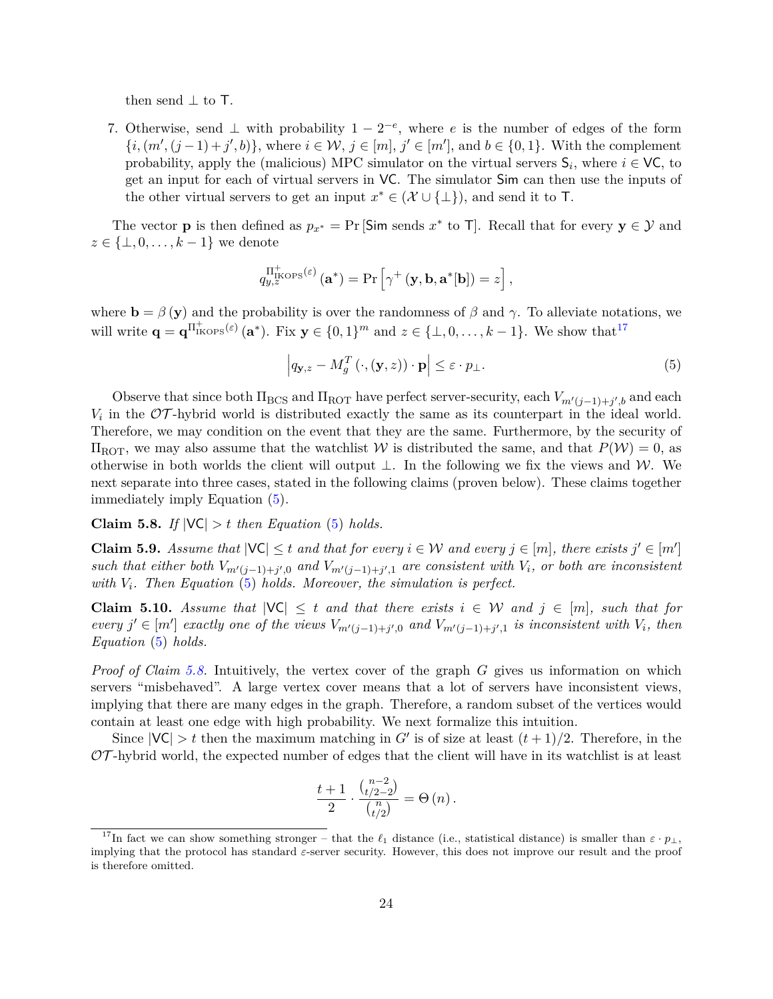then send  $\perp$  to T.

7. Otherwise, send ⊥ with probability  $1 - 2^{-e}$ , where *e* is the number of edges of the form  $\{i,(m',(j-1)+j',b)\},\$  where  $i \in \mathcal{W}, j \in [m], j' \in [m'],\$  and  $b \in \{0,1\}.$  With the complement probability, apply the (malicious) MPC simulator on the virtual servers  $S_i$ , where  $i \in \mathsf{VC}$ , to get an input for each of virtual servers in VC. The simulator Sim can then use the inputs of the other virtual servers to get an input  $x^* \in (\mathcal{X} \cup \{\perp\})$ , and send it to T.

The vector **p** is then defined as  $p_{x^*} = \Pr[\textsf{Sim sends } x^* \text{ to } T]$ . Recall that for every  $y \in \mathcal{Y}$  and  $z \in \{\perp, 0, \ldots, k-1\}$  we denote

$$
q_{y,z}^{\Pi^+_{\text{IKOPS}}(\varepsilon)}(\mathbf{a}^*) = \Pr\left[\gamma^+(\mathbf{y},\mathbf{b},\mathbf{a}^*[\mathbf{b}]) = z\right],
$$

where  $\mathbf{b} = \beta(\mathbf{y})$  and the probability is over the randomness of  $\beta$  and  $\gamma$ . To alleviate notations, we will write  $\mathbf{q} = \mathbf{q}^{\Pi_{\text{IKOPS}}^+(\varepsilon)} (\mathbf{a}^*)$ . Fix  $\mathbf{y} \in \{0,1\}^m$  and  $z \in \{\pm,0,\ldots,k-1\}$ . We show that<sup>[17](#page-25-0)</sup>

<span id="page-25-1"></span>
$$
\left| q_{\mathbf{y},z} - M_g^T \left( \cdot, (\mathbf{y}, z) \right) \cdot \mathbf{p} \right| \leq \varepsilon \cdot p_\perp. \tag{5}
$$

Observe that since both  $\Pi_{\text{BCS}}$  and  $\Pi_{\text{ROT}}$  have perfect server-security, each  $V_{m'(j-1)+j',b}$  and each  $V_i$  in the  $\mathcal{OT}$ -hybrid world is distributed exactly the same as its counterpart in the ideal world. Therefore, we may condition on the event that they are the same. Furthermore, by the security of  $\Pi_{\text{ROT}}$ , we may also assume that the watchlist *W* is distributed the same, and that  $P(W) = 0$ , as otherwise in both worlds the client will output  $\perp$ . In the following we fix the views and W. We next separate into three cases, stated in the following claims (proven below). These claims together immediately imply Equation [\(5\)](#page-25-1).

<span id="page-25-2"></span>**Claim 5.8.** *If*  $|VC| > t$  *then Equation* [\(5\)](#page-25-1) *holds.* 

<span id="page-25-3"></span>**Claim 5.9.** Assume that  $|VC| \leq t$  and that for every  $i \in W$  and every  $j \in [m]$ , there exists  $j' \in [m']$ *such that either both*  $V_{m'(j-1)+j',0}$  *and*  $V_{m'(j-1)+j',1}$  *are consistent with*  $V_i$ *, or both are inconsistent with Vi. Then Equation* [\(5\)](#page-25-1) *holds. Moreover, the simulation is perfect.*

<span id="page-25-4"></span>**Claim 5.10.** Assume that  $|VC| \leq t$  and that there exists  $i \in W$  and  $j \in [m]$ , such that for every  $j' \in [m']$  exactly one of the views  $V_{m'(j-1)+j',0}$  and  $V_{m'(j-1)+j',1}$  is inconsistent with  $V_i$ , then *Equation* [\(5\)](#page-25-1) *holds.*

*Proof of Claim [5.8.](#page-25-2)* Intuitively, the vertex cover of the graph *G* gives us information on which servers "misbehaved". A large vertex cover means that a lot of servers have inconsistent views, implying that there are many edges in the graph. Therefore, a random subset of the vertices would contain at least one edge with high probability. We next formalize this intuition.

Since  $|\mathsf{VC}| > t$  then the maximum matching in G' is of size at least  $(t+1)/2$ . Therefore, in the  $\mathcal{O}\mathcal{T}$ -hybrid world, the expected number of edges that the client will have in its watchlist is at least

$$
\frac{t+1}{2}\cdot\frac{\binom{n-2}{t/2-2}}{\binom{n}{t/2}}=\Theta\left(n\right).
$$

<span id="page-25-0"></span><sup>&</sup>lt;sup>17</sup>In fact we can show something stronger – that the  $\ell_1$  distance (i.e., statistical distance) is smaller than  $\varepsilon \cdot p_\perp$ , implying that the protocol has standard *ε*-server security. However, this does not improve our result and the proof is therefore omitted.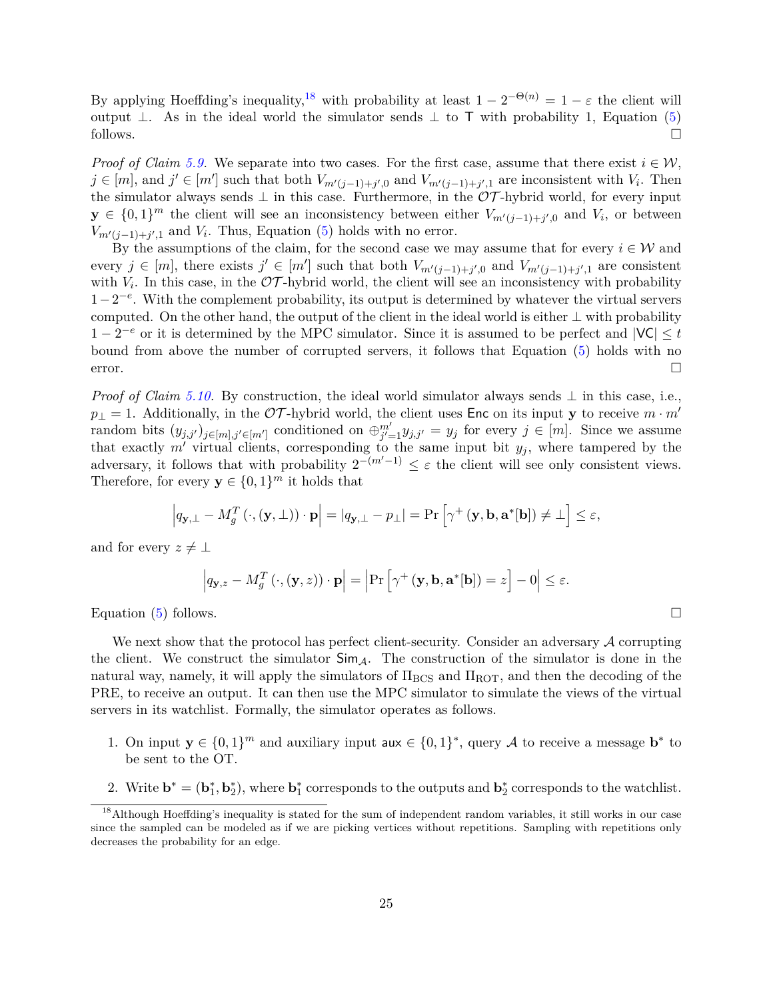By applying Hoeffding's inequality,<sup>[18](#page-26-0)</sup> with probability at least  $1 - 2^{-\Theta(n)} = 1 - \varepsilon$  the client will output ⊥. As in the ideal world the simulator sends  $\perp$  to T with probability 1, Equation [\(5\)](#page-25-1) follows.  $\Box$ 

*Proof of Claim [5.9.](#page-25-3)* We separate into two cases. For the first case, assume that there exist  $i \in \mathcal{W}$ , *j* ∈ [*m*], and *j*<sup> $\prime$ </sup> ∈ [*m*<sup> $\prime$ </sup>] such that both  $V_{m'(j-1)+j',0}$  and  $V_{m'(j-1)+j',1}$  are inconsistent with  $V_i$ . Then the simulator always sends  $\perp$  in this case. Furthermore, in the  $\mathcal{OT}$ -hybrid world, for every input **y** ∈ {0,1}<sup>*m*</sup> the client will see an inconsistency between either  $V_{m'(j-1)+j',0}$  and  $V_i$ , or between  $V_{m'(j-1)+j',1}$  and  $V_i$ . Thus, Equation [\(5\)](#page-25-1) holds with no error.

By the assumptions of the claim, for the second case we may assume that for every  $i \in \mathcal{W}$  and every  $j \in [m]$ , there exists  $j' \in [m']$  such that both  $V_{m'(j-1)+j',0}$  and  $V_{m'(j-1)+j',1}$  are consistent with  $V_i$ . In this case, in the  $\mathcal{OT}$ -hybrid world, the client will see an inconsistency with probability  $1-2^{-e}$ . With the complement probability, its output is determined by whatever the virtual servers computed. On the other hand, the output of the client in the ideal world is either  $\perp$  with probability  $1 - 2^{-e}$  or it is determined by the MPC simulator. Since it is assumed to be perfect and  $|VC| \leq t$ bound from above the number of corrupted servers, it follows that Equation [\(5\)](#page-25-1) holds with no error.  $\Box$ 

*Proof of Claim [5.10.](#page-25-4)* By construction, the ideal world simulator always sends ⊥ in this case, i.e.,  $p_{\perp} = 1$ . Additionally, in the OT-hybrid world, the client uses Enc on its input **y** to receive  $m \cdot m'$ random bits  $(y_{j,j'})_{j\in[m],j'\in[m']}$  conditioned on  $\bigoplus_{j'=1}^{m'} y_{j,j'} = y_j$  for every  $j \in [m]$ . Since we assume that exactly  $m'$  virtual clients, corresponding to the same input bit  $y_j$ , where tampered by the adversary, it follows that with probability  $2^{-(m'-1)} \leq \varepsilon$  the client will see only consistent views. Therefore, for every  $y \in \{0, 1\}^m$  it holds that

$$
\left| q_{\mathbf{y},\perp} - M_g^T \left( \cdot, (\mathbf{y}, \perp) \right) \cdot \mathbf{p} \right| = \left| q_{\mathbf{y},\perp} - p_{\perp} \right| = \Pr \left[ \gamma^+ (\mathbf{y}, \mathbf{b}, \mathbf{a}^* [\mathbf{b}]) \neq \perp \right] \leq \varepsilon,
$$

and for every  $z \neq \perp$ 

$$
\left| q_{\mathbf{y},z} - M_g^T\left( \cdot, (\mathbf{y},z) \right) \cdot \mathbf{p} \right| = \left| \Pr \left[ \gamma^+(\mathbf{y},\mathbf{b},\mathbf{a}^*[\mathbf{b}]) = z \right] - 0 \right| \leq \varepsilon.
$$

Equation [\(5\)](#page-25-1) follows.  $\square$ 

We next show that the protocol has perfect client-security. Consider an adversary  $\mathcal A$  corrupting the client. We construct the simulator  $\mathsf{Sim}_{\mathcal{A}}$ . The construction of the simulator is done in the natural way, namely, it will apply the simulators of  $\Pi_{BCS}$  and  $\Pi_{ROT}$ , and then the decoding of the PRE, to receive an output. It can then use the MPC simulator to simulate the views of the virtual servers in its watchlist. Formally, the simulator operates as follows.

- 1. On input  $y \in \{0,1\}^m$  and auxiliary input aux  $\in \{0,1\}^*$ , query A to receive a message  $\mathbf{b}^*$  to be sent to the OT.
- 2. Write  $\mathbf{b}^* = (\mathbf{b}_1^*, \mathbf{b}_2^*)$ , where  $\mathbf{b}_1^*$  corresponds to the outputs and  $\mathbf{b}_2^*$  corresponds to the watchlist.

<span id="page-26-0"></span><sup>&</sup>lt;sup>18</sup>Although Hoeffding's inequality is stated for the sum of independent random variables, it still works in our case since the sampled can be modeled as if we are picking vertices without repetitions. Sampling with repetitions only decreases the probability for an edge.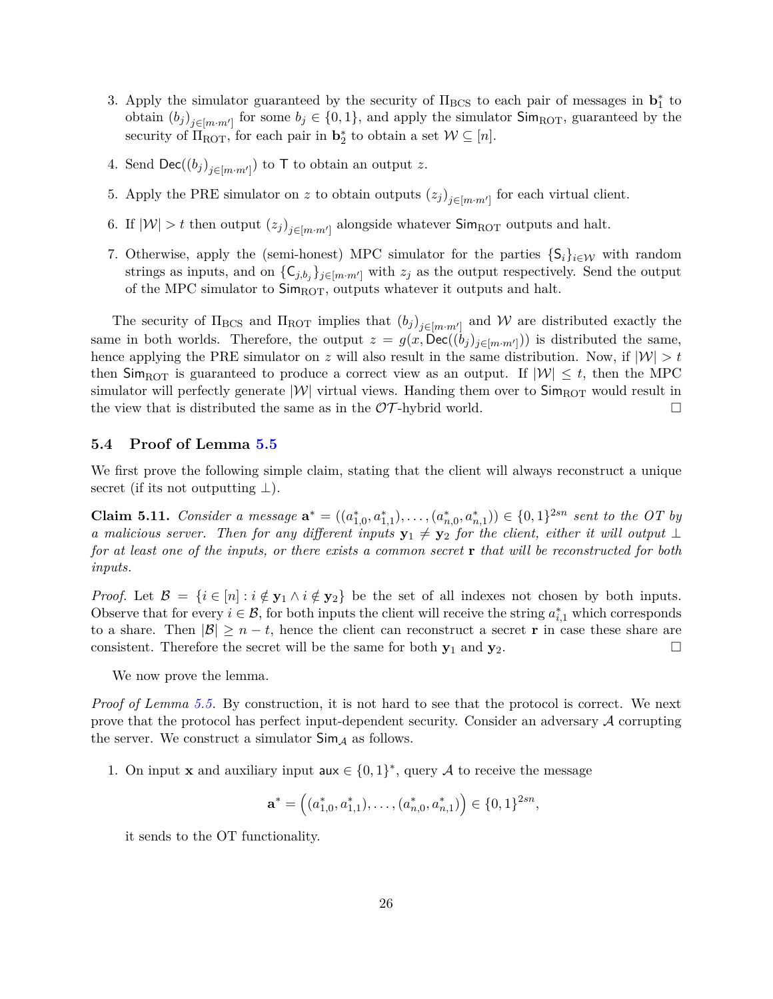- 3. Apply the simulator guaranteed by the security of  $\Pi$ <sub>BCS</sub> to each pair of messages in  $\mathbf{b}_1^*$  to obtain  $(b_j)_{j \in [m \cdot m']}$  for some  $b_j \in \{0, 1\}$ , and apply the simulator  $\mathsf{Sim}_{\text{ROT}}$ , guaranteed by the security of  $\Pi_{\text{ROT}}$ , for each pair in  $\mathbf{b}_2^*$  to obtain a set  $\mathcal{W} \subseteq [n]$ .
- 4. Send  $\textsf{Dec}((b_j)_{j \in [m \cdot m']} )$  to  $\top$  to obtain an output *z*.
- 5. Apply the PRE simulator on *z* to obtain outputs  $(z_j)_{j \in [m \cdot m']}$  for each virtual client.
- 6. If  $|W| > t$  then output  $(z_j)_{j \in [m \cdot m']}$  alongside whatever  $\textsf{Sim}_{\text{ROT}}$  outputs and halt.
- 7. Otherwise, apply the (semi-honest) MPC simulator for the parties  $\{S_i\}_{i\in\mathcal{W}}$  with random strings as inputs, and on  $\{C_{j,b_j}\}_{j\in[m,m']}$  with  $z_j$  as the output respectively. Send the output of the MPC simulator to  $Sim_{ROT}$ , outputs whatever it outputs and halt.

The security of  $\Pi_{BCS}$  and  $\Pi_{ROT}$  implies that  $(b_j)_{j \in [m \cdot m']}$  and W are distributed exactly the same in both worlds. Therefore, the output  $z = g(x, \text{Dec}((b_j)_{j \in [m \cdot m']})$  is distributed the same, hence applying the PRE simulator on *z* will also result in the same distribution. Now, if  $|\mathcal{W}| > t$ then  $\textsf{Sim}_{\text{ROT}}$  is guaranteed to produce a correct view as an output. If  $|\mathcal{W}| \leq t$ , then the MPC simulator will perfectly generate  $|\mathcal{W}|$  virtual views. Handing them over to  $\mathsf{Sim}_{\text{ROT}}$  would result in the view that is distributed the same as in the  $\mathcal{OT}$ -hybrid world.

## <span id="page-27-0"></span>**5.4 Proof of Lemma [5.5](#page-22-0)**

We first prove the following simple claim, stating that the client will always reconstruct a unique secret (if its not outputting  $\perp$ ).

<span id="page-27-1"></span>**Claim 5.11.** *Consider a message*  $\mathbf{a}^* = ((a_{1,0}^*, a_{1,1}^*), \ldots, (a_{n,0}^*, a_{n,1}^*)) \in \{0,1\}^{2sn}$  *sent to the OT by a malicious server. Then for any different inputs*  $y_1 \neq y_2$  *for the client, either it will output* ⊥ *for at least one of the inputs, or there exists a common secret* **r** *that will be reconstructed for both inputs.*

*Proof.* Let  $\mathcal{B} = \{i \in [n] : i \notin \mathbf{y}_1 \land i \notin \mathbf{y}_2\}$  be the set of all indexes not chosen by both inputs. Observe that for every  $i \in \mathcal{B}$ , for both inputs the client will receive the string  $a_{i,1}^*$  which corresponds to a share. Then  $|\mathcal{B}| \geq n - t$ , hence the client can reconstruct a secret **r** in case these share are consistent. Therefore the secret will be the same for both  $y_1$  and  $y_2$ .

We now prove the lemma.

*Proof of Lemma [5.5.](#page-22-0)* By construction, it is not hard to see that the protocol is correct. We next prove that the protocol has perfect input-dependent security. Consider an adversary  $A$  corrupting the server. We construct a simulator  $\mathsf{Sim}_{\mathcal{A}}$  as follows.

1. On input **x** and auxiliary input **aux**  $\in \{0, 1\}^*$ , query A to receive the message

$$
\mathbf{a}^* = \left( (a_{1,0}^*, a_{1,1}^*), \dots, (a_{n,0}^*, a_{n,1}^*) \right) \in \{0,1\}^{2sn},
$$

it sends to the OT functionality.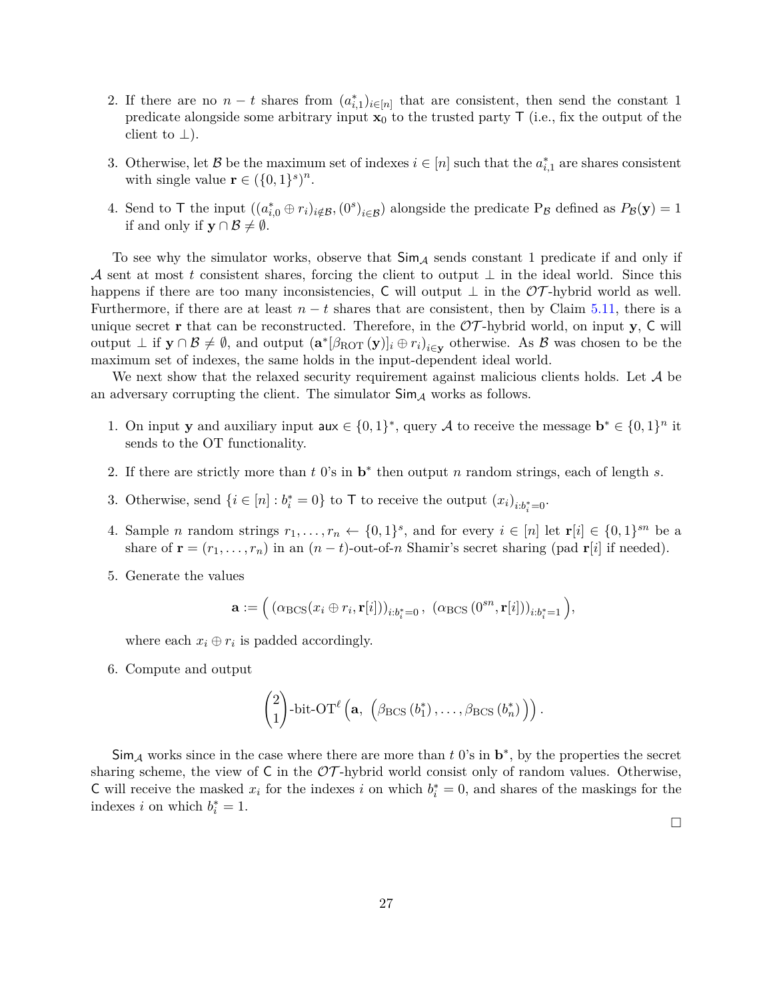- 2. If there are no  $n-t$  shares from  $(a_{i,1}^*)_{i\in[n]}$  that are consistent, then send the constant 1 predicate alongside some arbitrary input  $\mathbf{x}_0$  to the trusted party  $\mathsf{T}$  (i.e., fix the output of the client to  $\perp$ ).
- 3. Otherwise, let B be the maximum set of indexes  $i \in [n]$  such that the  $a_{i,1}^*$  are shares consistent with single value  $\mathbf{r} \in (\{0,1\}^s)^n$ .
- 4. Send to  $\mathsf{T}$  the input  $((a_{i,0}^*\oplus r_i)_{i\notin\mathcal{B}}, (0^s)_{i\in\mathcal{B}})$  alongside the predicate  $P_{\mathcal{B}}$  defined as  $P_{\mathcal{B}}(\mathbf{y})=1$ if and only if  $y \cap B \neq \emptyset$ .

To see why the simulator works, observe that  $\mathsf{Sim}_{\mathcal{A}}$  sends constant 1 predicate if and only if A sent at most *t* consistent shares, forcing the client to output ⊥ in the ideal world. Since this happens if there are too many inconsistencies, C will output  $\perp$  in the  $\mathcal{OT}$ -hybrid world as well. Furthermore, if there are at least  $n-t$  shares that are consistent, then by Claim [5.11,](#page-27-1) there is a unique secret **r** that can be reconstructed. Therefore, in the  $OT$ -hybrid world, on input **y**,  $C$  will output  $\perp$  if  $\mathbf{y} \cap \mathcal{B} \neq \emptyset$ , and output  $(\mathbf{a}^*[\beta_{\text{ROT}}(\mathbf{y})]_i \oplus r_i)_{i \in \mathbf{y}}$  otherwise. As  $\mathcal{B}$  was chosen to be the maximum set of indexes, the same holds in the input-dependent ideal world.

We next show that the relaxed security requirement against malicious clients holds. Let A be an adversary corrupting the client. The simulator  $\mathsf{Sim}_{\mathcal{A}}$  works as follows.

- 1. On input **y** and auxiliary input aux  $\in \{0, 1\}^*$ , query A to receive the message  $\mathbf{b}^* \in \{0, 1\}^n$  it sends to the OT functionality.
- 2. If there are strictly more than  $t$  0's in  $\mathbf{b}^*$  then output  $n$  random strings, each of length  $s$ .
- 3. Otherwise, send  $\{i \in [n] : b_i^* = 0\}$  to  $\mathsf{T}$  to receive the output  $(x_i)_{i:b_i^*=0}$ .
- 4. Sample *n* random strings  $r_1, \ldots, r_n \leftarrow \{0, 1\}^s$ , and for every  $i \in [n]$  let  $\mathbf{r}[i] \in \{0, 1\}^{sn}$  be a share of  $\mathbf{r} = (r_1, \ldots, r_n)$  in an  $(n - t)$ -out-of-*n* Shamir's secret sharing (pad  $\mathbf{r}[i]$  if needed).
- 5. Generate the values

$$
\mathbf{a} := \Big( \left( \alpha_{\rm BCS}(x_i \oplus r_i, \mathbf{r}[i]) \right)_{i:b_i^* = 0}, \left( \alpha_{\rm BCS}(0^{sn}, \mathbf{r}[i]) \right)_{i:b_i^* = 1} \Big),
$$

where each  $x_i \oplus r_i$  is padded accordingly.

6. Compute and output

$$
\begin{pmatrix} 2 \\ 1 \end{pmatrix} \text{-bit-OT}^{\ell} \left( \mathbf{a}, \; \left( \beta_{\text{BCS}} \left( b_1^* \right), \ldots, \beta_{\text{BCS}} \left( b_n^* \right) \right) \right).
$$

 $\mathsf{Sim}_{\mathcal{A}}$  works since in the case where there are more than  $t$  0's in  $\mathbf{b}^*$ , by the properties the secret sharing scheme, the view of  $\mathsf C$  in the  $\mathcal{OT}$ -hybrid world consist only of random values. Otherwise, C will receive the masked  $x_i$  for the indexes *i* on which  $b_i^* = 0$ , and shares of the maskings for the indexes *i* on which  $b_i^* = 1$ .

 $\Box$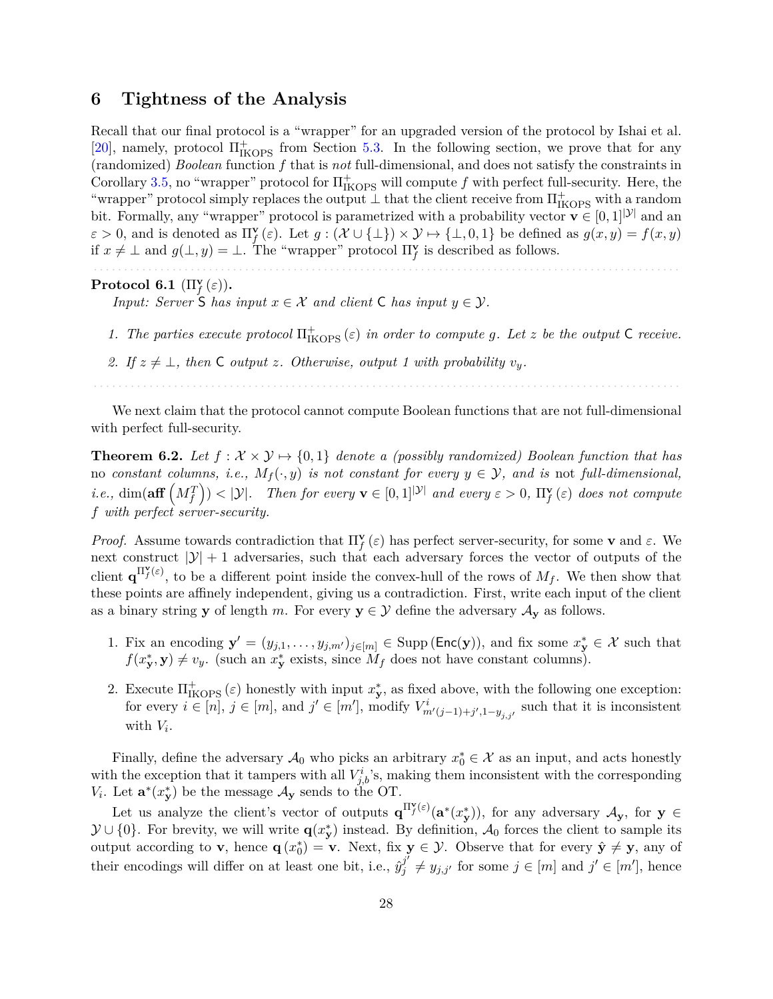## <span id="page-29-0"></span>**6 Tightness of the Analysis**

Recall that our final protocol is a "wrapper" for an upgraded version of the protocol by Ishai et al. [\[20\]](#page-32-1), namely, protocol  $\Pi_{\rm KOPS}^+$  from Section [5.3.](#page-23-0) In the following section, we prove that for any (randomized) *Boolean* function *f* that is *not* full-dimensional, and does not satisfy the constraints in Corollary [3.5,](#page-14-3) no "wrapper" protocol for  $\Pi_{\rm KOPS}^+$  will compute f with perfect full-security. Here, the "wrapper" protocol simply replaces the output  $\perp$  that the client receive from  $\Pi_{\text{IKOPS}}^+$  with a random bit. Formally, any "wrapper" protocol is parametrized with a probability vector  $\mathbf{v} \in [0,1]^{|\mathcal{Y}|}$  and an  $\varepsilon > 0$ , and is denoted as  $\Pi_f^{\mathbf{v}}(\varepsilon)$ . Let  $g : (\mathcal{X} \cup {\{\perp\}}) \times \mathcal{Y} \mapsto {\{\perp, 0, 1\}}$  be defined as  $g(x, y) = f(x, y)$ if  $x \neq \bot$  and  $g(\bot, y) = \bot$ . The "wrapper" protocol  $\Pi_f^{\mathbf{y}}$  is described as follows.

. . . . . . . . . . . . . . . . . . . . . . . . . . . . . . . . . . . . . . . . . . . . . . . . . . . . . . . . . . . . . . . . . . . . . . . . . . . . . . . . . . . . . . . . . . . . . . . . .

**Protocol 6.1**  $(\Pi_f^{\mathbf{v}}(\varepsilon))$ .

*Input: Server* S *has input*  $x \in \mathcal{X}$  *and client* C *has input*  $y \in \mathcal{Y}$ *.* 

- 1. The parties execute protocol  $\Pi^+_{\text{IKOPS}}(\varepsilon)$  in order to compute g. Let *z* be the output C receive.
- 2. If  $z \neq \bot$ , then C output *z*. Otherwise, output 1 with probability  $v_y$ .

*. . . . . . . . . . . . . . . . . . . . . . . . . . . . . . . . . . . . . . . . . . . . . . . . . . . . . . . . . . . . . . . . . . . . . . . . . . . . . . . . . . . . . . . . . . . . . . .*

We next claim that the protocol cannot compute Boolean functions that are not full-dimensional with perfect full-security.

**Theorem 6.2.** Let  $f : \mathcal{X} \times \mathcal{Y} \mapsto \{0,1\}$  denote a (possibly randomized) Boolean function that has no *constant columns, i.e.,*  $M_f(\cdot, y)$  *is not constant for every*  $y \in \mathcal{Y}$ *, and is not full-dimensional,*  $i.e., \dim(\mathbf{aff}\left(M_f^T\right)) < |\mathcal{Y}|$ *. Then for every*  $\mathbf{v} \in [0,1]^{|\mathcal{Y}|}$  and every  $\varepsilon > 0$ ,  $\Pi_f^{\mathbf{v}}(\varepsilon)$  does not compute *f with perfect server-security.*

*Proof.* Assume towards contradiction that  $\Pi_f^{\mathbf{v}}(\varepsilon)$  has perfect server-security, for some **v** and  $\varepsilon$ . We next construct  $|\mathcal{Y}| + 1$  adversaries, such that each adversary forces the vector of outputs of the client  $\mathbf{q}^{\Pi_f^{\mathbf{v}}(\varepsilon)}$ , to be a different point inside the convex-hull of the rows of  $M_f$ . We then show that these points are affinely independent, giving us a contradiction. First, write each input of the client as a binary string **y** of length *m*. For every  $y \in \mathcal{Y}$  define the adversary  $\mathcal{A}_y$  as follows.

- 1. Fix an encoding  $\mathbf{y}' = (y_{j,1}, \ldots, y_{j,m'})_{j \in [m]} \in \text{Supp}(\text{Enc}(\mathbf{y}))$ , and fix some  $x_{\mathbf{y}}^* \in \mathcal{X}$  such that  $f(x_{\mathbf{y}}^*, \mathbf{y}) \neq v_y$ . (such an  $x_{\mathbf{y}}^*$  exists, since  $M_f$  does not have constant columns).
- 2. Execute  $\Pi_{\text{IKOPS}}^+(\varepsilon)$  honestly with input  $x^*_{\mathbf{y}}$ , as fixed above, with the following one exception: for every  $i \in [n]$ ,  $j \in [m]$ , and  $j' \in [m']$ , modify  $V^i_{m'(j-1)+j',1-y_{j,j'}}$  such that it is inconsistent with *V<sup>i</sup>* .

Finally, define the adversary  $\mathcal{A}_0$  who picks an arbitrary  $x_0^* \in \mathcal{X}$  as an input, and acts honestly with the exception that it tampers with all  $V_{j,b}^i$ 's, making them inconsistent with the corresponding *V*<sub>*i*</sub>. Let  $\mathbf{a}^*(x^*_{\mathbf{y}})$  be the message  $\mathcal{A}_{\mathbf{y}}$  sends to the OT.

Let us analyze the client's vector of outputs  $\mathbf{q}^{\Pi_y^{\mathbf{v}}(\varepsilon)}(\mathbf{a}^*(x_y^{\ast}))$ , for any adversary  $\mathcal{A}_\mathbf{y}$ , for  $\mathbf{y} \in$  $\mathcal{Y} \cup \{0\}$ . For brevity, we will write  $\mathbf{q}(x^*_{\mathbf{y}})$  instead. By definition,  $\mathcal{A}_0$  forces the client to sample its output according to **v**, hence  $\mathbf{q}(x_0^*) = \mathbf{v}$ . Next, fix  $\mathbf{y} \in \mathcal{Y}$ . Observe that for every  $\hat{\mathbf{y}} \neq \mathbf{y}$ , any of their encodings will differ on at least one bit, i.e.,  $\hat{y}_i^j$  $j' \neq y_{j,j'}$  for some  $j \in [m]$  and  $j' \in [m']$ , hence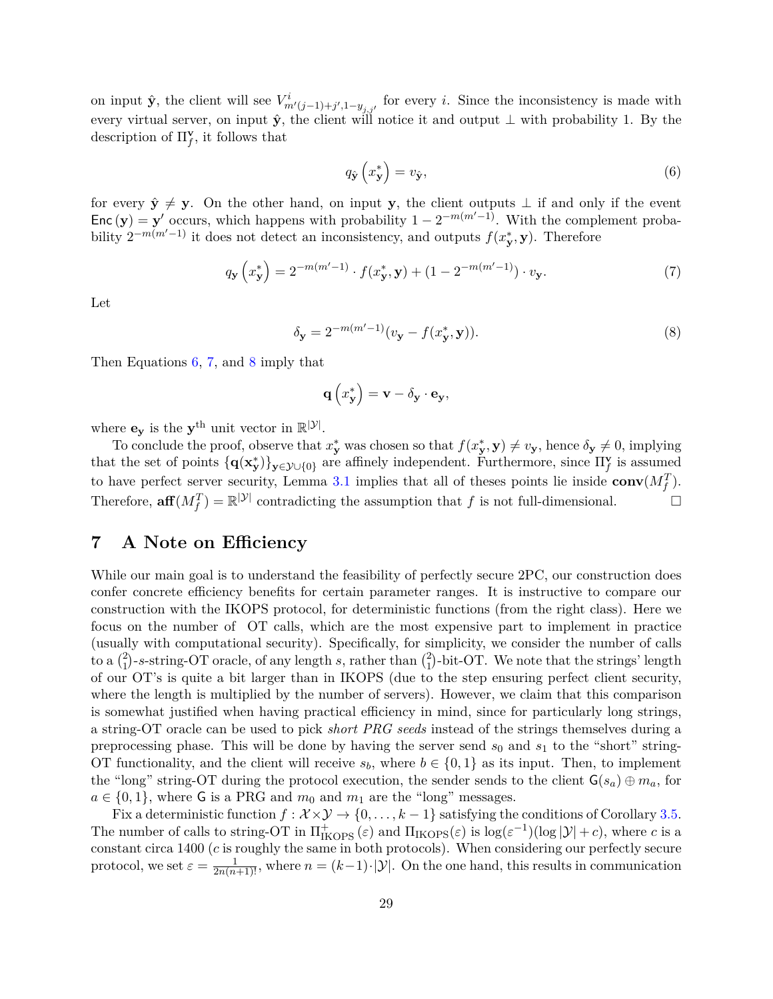on input  $\hat{\mathbf{y}}$ , the client will see  $V^i_{m'(j-1)+j',1-y_{j,j'}}$  for every *i*. Since the inconsistency is made with every virtual server, on input  $\hat{y}$ , the client will notice it and output  $\perp$  with probability 1. By the description of  $\Pi_f^{\mathbf{v}}$ , it follows that

<span id="page-30-2"></span><span id="page-30-1"></span>
$$
q_{\hat{\mathbf{y}}}\left(x_{\mathbf{y}}^*\right) = v_{\hat{\mathbf{y}}},\tag{6}
$$

for every  $\hat{\mathbf{y}} \neq \mathbf{y}$ . On the other hand, on input **y**, the client outputs  $\perp$  if and only if the event  $\mathsf{Enc}(\mathbf{y}) = \mathbf{y}'$  occurs, which happens with probability  $1 - 2^{-m(m'-1)}$ . With the complement probability  $2^{-m(m'-1)}$  it does not detect an inconsistency, and outputs  $f(x_y^*, y)$ . Therefore

$$
q_{\mathbf{y}}(x_{\mathbf{y}}^*) = 2^{-m(m'-1)} \cdot f(x_{\mathbf{y}}^*, \mathbf{y}) + (1 - 2^{-m(m'-1)}) \cdot v_{\mathbf{y}}.
$$
 (7)

Let

$$
\delta_{\mathbf{y}} = 2^{-m(m'-1)}(v_{\mathbf{y}} - f(x_{\mathbf{y}}^*, \mathbf{y})).
$$
\n(8)

Then Equations [6,](#page-30-1) [7,](#page-30-2) and [8](#page-30-3) imply that

<span id="page-30-3"></span>
$$
\mathbf{q}\left(x_{\mathbf{y}}^*\right) = \mathbf{v} - \delta_{\mathbf{y}} \cdot \mathbf{e}_{\mathbf{y}},
$$

where  $\mathbf{e}_y$  is the  $y^{\text{th}}$  unit vector in  $\mathbb{R}^{|\mathcal{Y}|}$ .

To conclude the proof, observe that  $x^*_{\mathbf{y}}$  was chosen so that  $f(x^*_{\mathbf{y}}, \mathbf{y}) \neq v_{\mathbf{y}}$ , hence  $\delta_{\mathbf{y}} \neq 0$ , implying that the set of points  $\{q(x^*_y)\}_{y \in \mathcal{Y} \cup \{0\}}$  are affinely independent. Furthermore, since  $\Pi_f^{\mathbf{y}}$  is assumed to have perfect server security, Lemma [3.1](#page-13-2) implies that all of theses points lie inside  $conv(M_f^T)$ . Therefore,  $\mathbf{aff}(M_f^T) = \mathbb{R}^{|\mathcal{Y}|}$  contradicting the assumption that *f* is not full-dimensional.

## <span id="page-30-0"></span>**7 A Note on Efficiency**

While our main goal is to understand the feasibility of perfectly secure  $2PC$ , our construction does confer concrete efficiency benefits for certain parameter ranges. It is instructive to compare our construction with the IKOPS protocol, for deterministic functions (from the right class). Here we focus on the number of OT calls, which are the most expensive part to implement in practice (usually with computational security). Specifically, for simplicity, we consider the number of calls to a  $\binom{2}{1}$ <sup>2</sup><sub>1</sub>)-s-string-OT oracle, of any length *s*, rather than  $\binom{2}{1}$  $_{1}^{2}$ )-bit-OT. We note that the strings' length of our OT's is quite a bit larger than in IKOPS (due to the step ensuring perfect client security, where the length is multiplied by the number of servers). However, we claim that this comparison is somewhat justified when having practical efficiency in mind, since for particularly long strings, a string-OT oracle can be used to pick *short PRG seeds* instead of the strings themselves during a preprocessing phase. This will be done by having the server send  $s_0$  and  $s_1$  to the "short" string-OT functionality, and the client will receive  $s_b$ , where  $b \in \{0,1\}$  as its input. Then, to implement the "long" string-OT during the protocol execution, the sender sends to the client  $\mathsf{G}(s_a) \oplus m_a$ , for  $a \in \{0,1\}$ , where G is a PRG and  $m_0$  and  $m_1$  are the "long" messages.

Fix a deterministic function  $f : \mathcal{X} \times \mathcal{Y} \to \{0, \ldots, k-1\}$  satisfying the conditions of Corollary [3.5.](#page-14-3) The number of calls to string-OT in  $\Pi^+_{\text{IKOPS}}(\varepsilon)$  and  $\Pi_{\text{IKOPS}}(\varepsilon)$  is  $\log(\varepsilon^{-1})(\log|\mathcal{Y}|+c)$ , where *c* is a constant circa 1400 (*c* is roughly the same in both protocols). When considering our perfectly secure protocol, we set  $\varepsilon = \frac{1}{2n(n+1)!}$ , where  $n = (k-1) \cdot |\mathcal{Y}|$ . On the one hand, this results in communication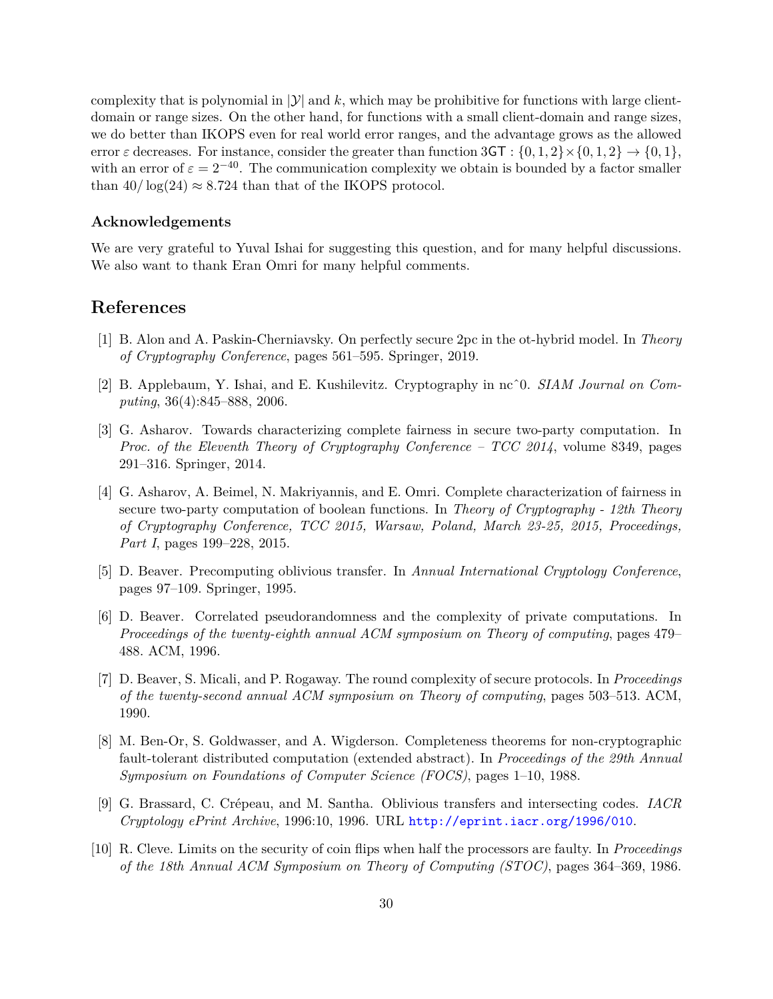complexity that is polynomial in  $|\mathcal{Y}|$  and k, which may be prohibitive for functions with large clientdomain or range sizes. On the other hand, for functions with a small client-domain and range sizes, we do better than IKOPS even for real world error ranges, and the advantage grows as the allowed error  $\varepsilon$  decreases. For instance, consider the greater than function  $3GT : \{0, 1, 2\} \times \{0, 1, 2\} \rightarrow \{0, 1\}$ , with an error of  $\varepsilon = 2^{-40}$ . The communication complexity we obtain is bounded by a factor smaller than  $40/\log(24) \approx 8.724$  than that of the IKOPS protocol.

## **Acknowledgements**

We are very grateful to Yuval Ishai for suggesting this question, and for many helpful discussions. We also want to thank Eran Omri for many helpful comments.

## **References**

- <span id="page-31-1"></span>[1] B. Alon and A. Paskin-Cherniavsky. On perfectly secure 2pc in the ot-hybrid model. In *Theory of Cryptography Conference*, pages 561–595. Springer, 2019.
- <span id="page-31-6"></span>[2] B. Applebaum, Y. Ishai, and E. Kushilevitz. Cryptography in ncˆ0. *SIAM Journal on Computing*, 36(4):845–888, 2006.
- <span id="page-31-0"></span>[3] G. Asharov. Towards characterizing complete fairness in secure two-party computation. In *Proc. of the Eleventh Theory of Cryptography Conference – TCC 2014*, volume 8349, pages 291–316. Springer, 2014.
- <span id="page-31-8"></span>[4] G. Asharov, A. Beimel, N. Makriyannis, and E. Omri. Complete characterization of fairness in secure two-party computation of boolean functions. In *Theory of Cryptography - 12th Theory of Cryptography Conference, TCC 2015, Warsaw, Poland, March 23-25, 2015, Proceedings, Part I*, pages 199–228, 2015.
- <span id="page-31-3"></span>[5] D. Beaver. Precomputing oblivious transfer. In *Annual International Cryptology Conference*, pages 97–109. Springer, 1995.
- <span id="page-31-4"></span>[6] D. Beaver. Correlated pseudorandomness and the complexity of private computations. In *Proceedings of the twenty-eighth annual ACM symposium on Theory of computing*, pages 479– 488. ACM, 1996.
- <span id="page-31-2"></span>[7] D. Beaver, S. Micali, and P. Rogaway. The round complexity of secure protocols. In *Proceedings of the twenty-second annual ACM symposium on Theory of computing*, pages 503–513. ACM, 1990.
- <span id="page-31-9"></span>[8] M. Ben-Or, S. Goldwasser, and A. Wigderson. Completeness theorems for non-cryptographic fault-tolerant distributed computation (extended abstract). In *Proceedings of the 29th Annual Symposium on Foundations of Computer Science (FOCS)*, pages 1–10, 1988.
- <span id="page-31-5"></span>[9] G. Brassard, C. Crépeau, and M. Santha. Oblivious transfers and intersecting codes. *IACR Cryptology ePrint Archive*, 1996:10, 1996. URL <http://eprint.iacr.org/1996/010>.
- <span id="page-31-7"></span>[10] R. Cleve. Limits on the security of coin flips when half the processors are faulty. In *Proceedings of the 18th Annual ACM Symposium on Theory of Computing (STOC)*, pages 364–369, 1986.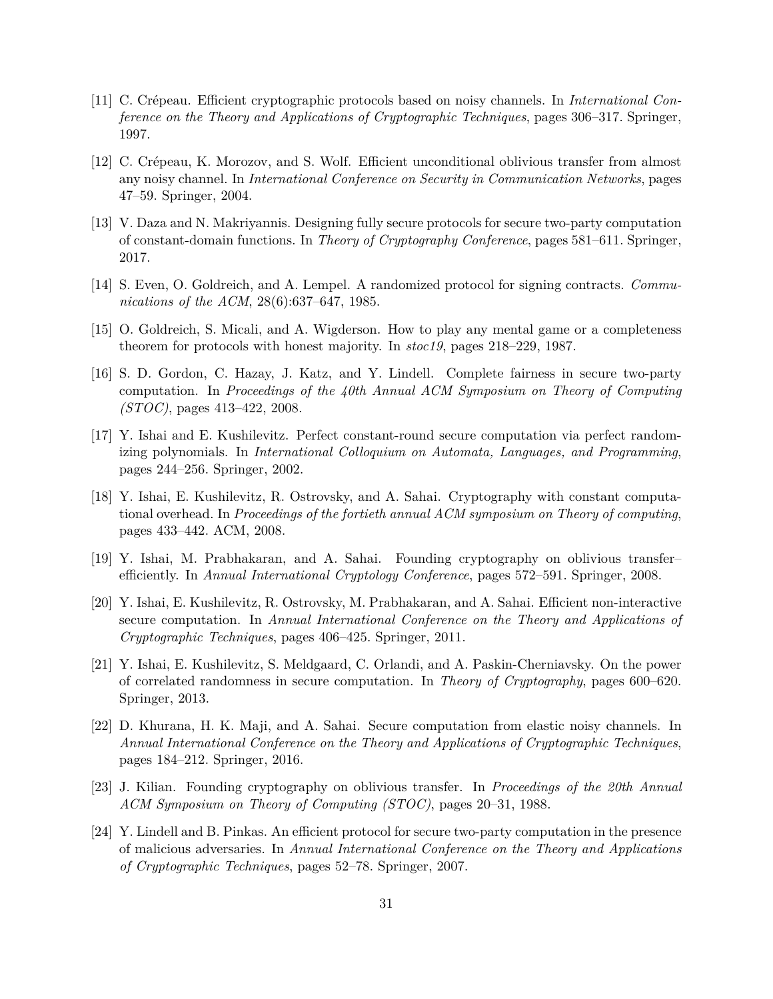- <span id="page-32-5"></span>[11] C. Crépeau. Efficient cryptographic protocols based on noisy channels. In *International Conference on the Theory and Applications of Cryptographic Techniques*, pages 306–317. Springer, 1997.
- <span id="page-32-6"></span>[12] C. Crépeau, K. Morozov, and S. Wolf. Efficient unconditional oblivious transfer from almost any noisy channel. In *International Conference on Security in Communication Networks*, pages 47–59. Springer, 2004.
- <span id="page-32-12"></span>[13] V. Daza and N. Makriyannis. Designing fully secure protocols for secure two-party computation of constant-domain functions. In *Theory of Cryptography Conference*, pages 581–611. Springer, 2017.
- <span id="page-32-2"></span>[14] S. Even, O. Goldreich, and A. Lempel. A randomized protocol for signing contracts. *Communications of the ACM*, 28(6):637–647, 1985.
- <span id="page-32-3"></span>[15] O. Goldreich, S. Micali, and A. Wigderson. How to play any mental game or a completeness theorem for protocols with honest majority. In *stoc19*, pages 218–229, 1987.
- <span id="page-32-11"></span>[16] S. D. Gordon, C. Hazay, J. Katz, and Y. Lindell. Complete fairness in secure two-party computation. In *Proceedings of the 40th Annual ACM Symposium on Theory of Computing (STOC)*, pages 413–422, 2008.
- <span id="page-32-13"></span>[17] Y. Ishai and E. Kushilevitz. Perfect constant-round secure computation via perfect randomizing polynomials. In *International Colloquium on Automata, Languages, and Programming*, pages 244–256. Springer, 2002.
- <span id="page-32-4"></span>[18] Y. Ishai, E. Kushilevitz, R. Ostrovsky, and A. Sahai. Cryptography with constant computational overhead. In *Proceedings of the fortieth annual ACM symposium on Theory of computing*, pages 433–442. ACM, 2008.
- <span id="page-32-8"></span>[19] Y. Ishai, M. Prabhakaran, and A. Sahai. Founding cryptography on oblivious transfer– efficiently. In *Annual International Cryptology Conference*, pages 572–591. Springer, 2008.
- <span id="page-32-1"></span>[20] Y. Ishai, E. Kushilevitz, R. Ostrovsky, M. Prabhakaran, and A. Sahai. Efficient non-interactive secure computation. In *Annual International Conference on the Theory and Applications of Cryptographic Techniques*, pages 406–425. Springer, 2011.
- <span id="page-32-9"></span>[21] Y. Ishai, E. Kushilevitz, S. Meldgaard, C. Orlandi, and A. Paskin-Cherniavsky. On the power of correlated randomness in secure computation. In *Theory of Cryptography*, pages 600–620. Springer, 2013.
- <span id="page-32-7"></span>[22] D. Khurana, H. K. Maji, and A. Sahai. Secure computation from elastic noisy channels. In *Annual International Conference on the Theory and Applications of Cryptographic Techniques*, pages 184–212. Springer, 2016.
- <span id="page-32-0"></span>[23] J. Kilian. Founding cryptography on oblivious transfer. In *Proceedings of the 20th Annual ACM Symposium on Theory of Computing (STOC)*, pages 20–31, 1988.
- <span id="page-32-10"></span>[24] Y. Lindell and B. Pinkas. An efficient protocol for secure two-party computation in the presence of malicious adversaries. In *Annual International Conference on the Theory and Applications of Cryptographic Techniques*, pages 52–78. Springer, 2007.